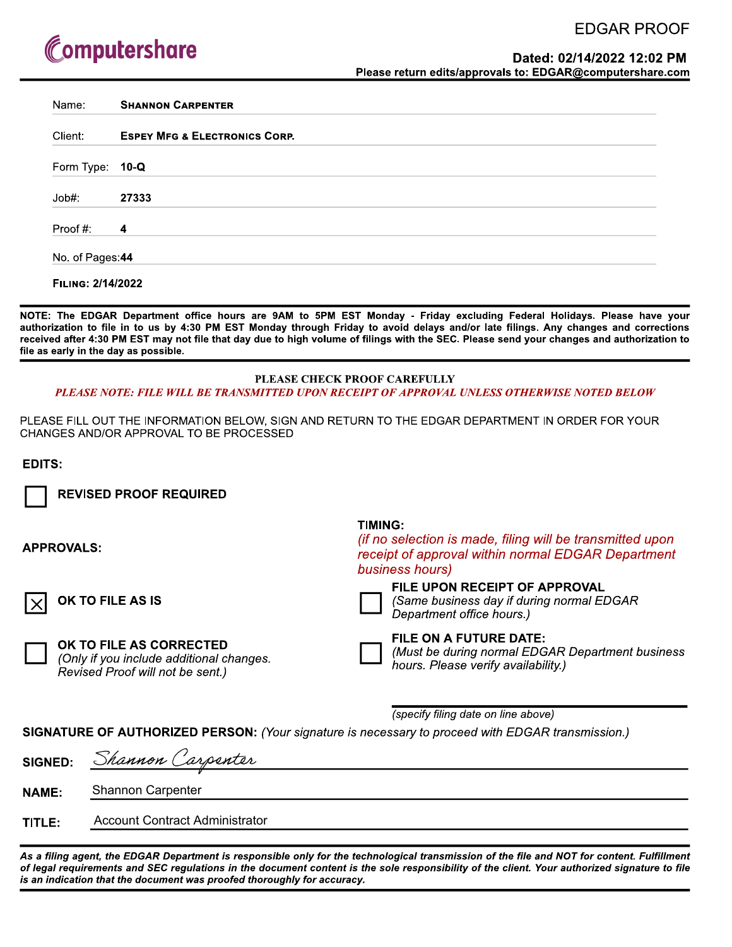## **EDGAR PROOF**

# Computershare

| Name:           | <b>SHANNON CARPENTER</b>                 |
|-----------------|------------------------------------------|
| Client:         | <b>ESPEY MFG &amp; ELECTRONICS CORP.</b> |
| Form Type: 10-Q |                                          |
| Job#:           | 27333                                    |
| Proof #:        | $\overline{4}$                           |
| No. of Pages:44 |                                          |

NOTE: The EDGAR Department office hours are 9AM to 5PM EST Monday - Friday excluding Federal Holidays. Please have your authorization to file in to us by 4:30 PM EST Monday through Friday to avoid delays and/or late filings. Any changes and corrections received after 4:30 PM EST may not file that day due to high volume of filings with the SEC. Please send your changes and authorization to file as early in the day as possible.

#### PLEASE CHECK PROOF CAREFULLY PLEASE NOTE: FILE WILL BE TRANSMITTED UPON RECEIPT OF APPROVAL UNLESS OTHERWISE NOTED BELOW

PLEASE FILL OUT THE INFORMATION BELOW, SIGN AND RETURN TO THE EDGAR DEPARTMENT IN ORDER FOR YOUR CHANGES AND/OR APPROVAL TO BE PROCESSED

EDITS:

**REVISED PROOF REQUIRED** 

**APPROVALS:** 

OK TO FILE AS IS

OK TO FILE AS CORRECTED

(Only if you include additional changes. Revised Proof will not be sent.)

## **TIMING:**

*(if no selection is made, filing will be transmitted upon* receipt of approval within normal EDGAR Department business hours)



#### FILE UPON RECEIPT OF APPROVAL

(Same business day if during normal EDGAR Department office hours.)

### FILE ON A FUTURE DATE:

(Must be during normal EDGAR Department business

hours. Please verify availability.)

(specify filing date on line above)

SIGNATURE OF AUTHORIZED PERSON: (Your signature is necessary to proceed with EDGAR transmission.)

| <b>SIGNED:</b> | Shannon Carpenter              |
|----------------|--------------------------------|
| <b>NAME:</b>   | <b>Shannon Carpenter</b>       |
| TITLE:         | Account Contract Administrator |

As a filing agent, the EDGAR Department is responsible only for the technological transmission of the file and NOT for content. Fulfillment of legal requirements and SEC regulations in the document content is the sole responsibility of the client. Your authorized signature to file is an indication that the document was proofed thoroughly for accuracy.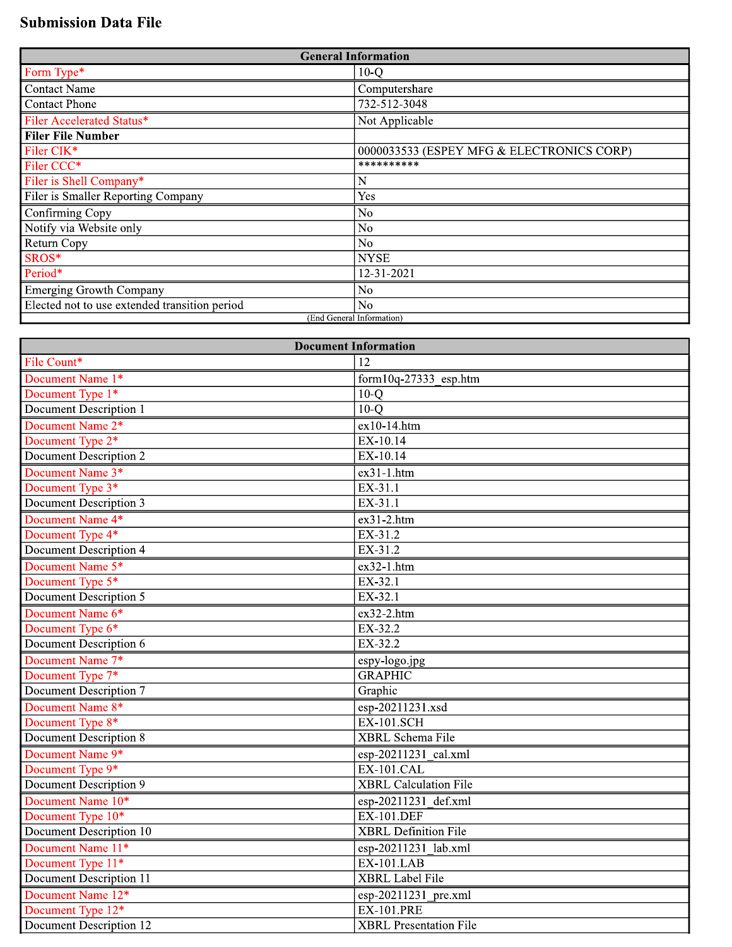## **Submission Data File**

| <b>General Information</b>                    |                                           |  |  |  |  |
|-----------------------------------------------|-------------------------------------------|--|--|--|--|
| Form Type*                                    | $10-Q$                                    |  |  |  |  |
| Contact Name                                  | Computershare                             |  |  |  |  |
| Contact Phone                                 | 732-512-3048                              |  |  |  |  |
| Filer Accelerated Status*                     | Not Applicable                            |  |  |  |  |
| <b>Filer File Number</b>                      |                                           |  |  |  |  |
| Filer CIK*                                    | 0000033533 (ESPEY MFG & ELECTRONICS CORP) |  |  |  |  |
| Filer CCC*                                    | **********                                |  |  |  |  |
| Filer is Shell Company*                       | N                                         |  |  |  |  |
| Filer is Smaller Reporting Company            | Yes                                       |  |  |  |  |
| Confirming Copy                               | N <sub>o</sub>                            |  |  |  |  |
| Notify via Website only                       | N <sub>0</sub>                            |  |  |  |  |
| <b>Return Copy</b>                            | N <sub>o</sub>                            |  |  |  |  |
| SROS*                                         | <b>NYSE</b>                               |  |  |  |  |
| Period*                                       | 12-31-2021                                |  |  |  |  |
| <b>Emerging Growth Company</b>                | N <sub>o</sub>                            |  |  |  |  |
| Elected not to use extended transition period | N <sub>o</sub>                            |  |  |  |  |
|                                               | (End General Information)                 |  |  |  |  |

| <b>Document Information</b>    |                              |  |  |  |  |  |
|--------------------------------|------------------------------|--|--|--|--|--|
| File Count*                    | 12                           |  |  |  |  |  |
| Document Name 1*               | form $10q-27333$ esp.htm     |  |  |  |  |  |
| Document Type 1*               | $10-Q$                       |  |  |  |  |  |
| <b>Document Description 1</b>  | $10-o$                       |  |  |  |  |  |
| Document Name 2*               | $ex10-14.htm$                |  |  |  |  |  |
| Document Type 2*               | EX-10.14                     |  |  |  |  |  |
| <b>Document Description 2</b>  | EX-10.14                     |  |  |  |  |  |
| Document Name 3*               | $ex31-1.htm$                 |  |  |  |  |  |
| Document Type 3 <sup>*</sup>   | EX-31.1                      |  |  |  |  |  |
| <b>Document Description 3</b>  | EX-31.1                      |  |  |  |  |  |
| Document Name 4*               | ex31-2.htm                   |  |  |  |  |  |
| Document Type 4*               | EX-31.2                      |  |  |  |  |  |
| Document Description 4         | EX-31.2                      |  |  |  |  |  |
| Document Name 5*               | $ex32-1.htm$                 |  |  |  |  |  |
| Document Type 5 <sup>*</sup>   | EX-32.1                      |  |  |  |  |  |
| Document Description 5         | EX-32.1                      |  |  |  |  |  |
| Document Name 6*               | $ex32-2.htm$                 |  |  |  |  |  |
| Document Type 6*               | EX-32.2                      |  |  |  |  |  |
| Document Description 6         | EX-32.2                      |  |  |  |  |  |
| Document Name 7*               | espy-logo.jpg                |  |  |  |  |  |
| Document Type 7*               | <b>GRAPHIC</b>               |  |  |  |  |  |
| <b>Document Description 7</b>  | Graphic                      |  |  |  |  |  |
| Document Name 8*               | esp-20211231.xsd             |  |  |  |  |  |
| Document Type 8*               | $EX-101$ . SCH               |  |  |  |  |  |
| <b>Document Description 8</b>  | <b>XBRL</b> Schema File      |  |  |  |  |  |
| Document Name 9*               | esp-20211231 cal.xml         |  |  |  |  |  |
| Document Type 9*               | $EX-101.CAL$                 |  |  |  |  |  |
| Document Description 9         | <b>XBRL Calculation File</b> |  |  |  |  |  |
| Document Name 10*              | esp-20211231 def.xml         |  |  |  |  |  |
| Document Type 10*              | <b>EX-101.DEF</b>            |  |  |  |  |  |
| <b>Document Description 10</b> | <b>XBRL</b> Definition File  |  |  |  |  |  |
| Document Name 11*              | esp-20211231 lab.xml         |  |  |  |  |  |
| Document Type 11 <sup>*</sup>  | $EX-101.LAB$                 |  |  |  |  |  |
| <b>Document Description 11</b> | <b>XBRL</b> Label File       |  |  |  |  |  |
| Document Name 12*              | esp-20211231 pre.xml         |  |  |  |  |  |
| Document Type 12*              | <b>EX-101.PRE</b>            |  |  |  |  |  |
| Document Description 12        | XBRL Presentation File       |  |  |  |  |  |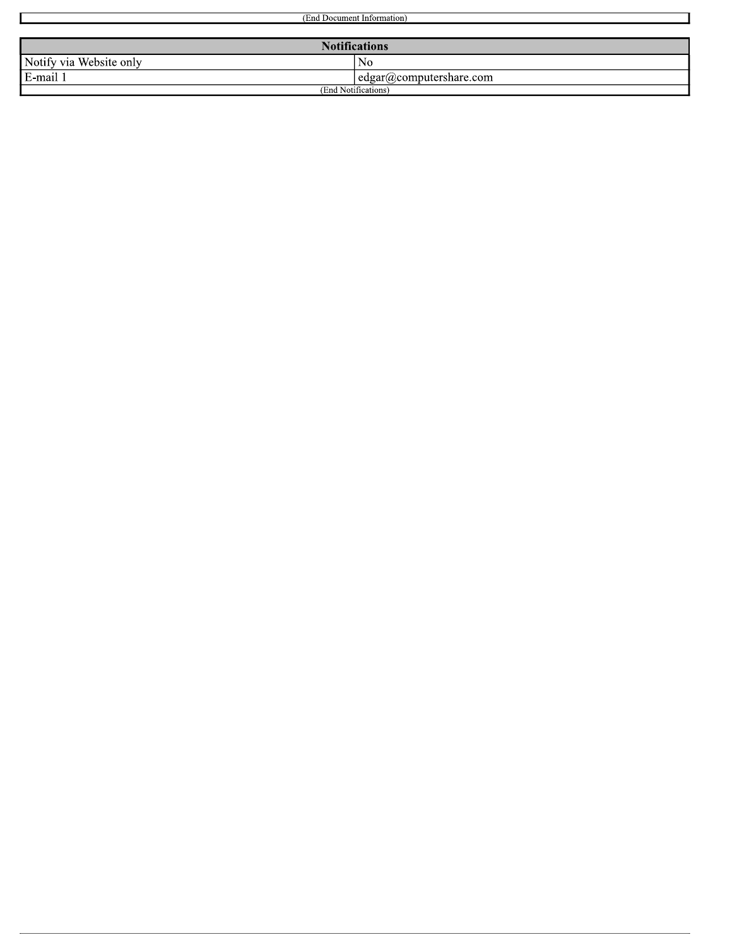| (End Document Information)          |                     |  |  |  |  |  |
|-------------------------------------|---------------------|--|--|--|--|--|
|                                     |                     |  |  |  |  |  |
| <b>Notifications</b>                |                     |  |  |  |  |  |
| Notify via Website only<br>No       |                     |  |  |  |  |  |
| E-mail 1<br>edgar@computershare.com |                     |  |  |  |  |  |
|                                     | (End Notifications) |  |  |  |  |  |

 $\blacksquare$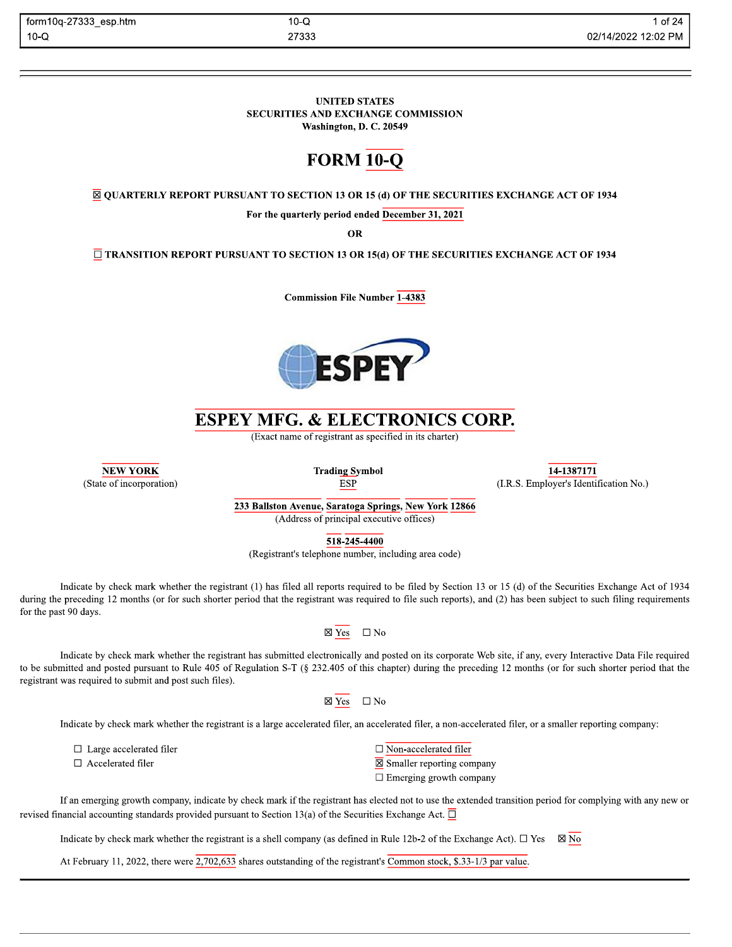$10-Q$ 27333

#### **UNITED STATES** SECURITIES AND EXCHANGE COMMISSION Washington, D. C. 20549

# **FORM 10-Q**

 $\overline{\boxtimes}$  QUARTERLY REPORT PURSUANT TO SECTION 13 OR 15 (d) OF THE SECURITIES EXCHANGE ACT OF 1934

For the quarterly period ended December 31, 2021

**OR** 

 $\overline{\Box}$  TRANSITION REPORT PURSUANT TO SECTION 13 OR 15(d) OF THE SECURITIES EXCHANGE ACT OF 1934

**Commission File Number 1-4383** 



# **ESPEY MFG. & ELECTRONICS CORP.**

(Exact name of registrant as specified in its charter)

**NEW YORK** (State of incorporation) **Trading Symbol ESP** 



233 Ballston Avenue, Saratoga Springs, New York 12866 (Address of principal executive offices)

 $\overline{518} - \overline{245} - \overline{4400}$ 

(Registrant's telephone number, including area code)

Indicate by check mark whether the registrant (1) has filed all reports required to be filed by Section 13 or 15 (d) of the Securities Exchange Act of 1934 during the preceding 12 months (or for such shorter period that the registrant was required to file such reports), and (2) has been subject to such filing requirements for the past 90 days.



Indicate by check mark whether the registrant has submitted electronically and posted on its corporate Web site, if any, every Interactive Data File required to be submitted and posted pursuant to Rule 405 of Regulation S-T (§ 232.405 of this chapter) during the preceding 12 months (or for such shorter period that the registrant was required to submit and post such files).

> $\boxtimes$  Yes  $\square$  No

Indicate by check mark whether the registrant is a large accelerated filer, an accelerated filer, a non-accelerated filer, or a smaller reporting company:

 $\Box$  Large accelerated filer  $\Box$  Accelerated filer

 $\Box$  Non-accelerated filer

 $\overline{\boxtimes}$  Smaller reporting company

 $\Box$  Emerging growth company

| If an emerging growth company, indicate by check mark if the registrant has elected not to use the extended transition period for complying with any new or |  |  |
|-------------------------------------------------------------------------------------------------------------------------------------------------------------|--|--|
| evised financial accounting standards provided pursuant to Section 13(a) of the Securities Exchange Act. $\Box$                                             |  |  |

Indicate by check mark whether the registrant is a shell company (as defined in Rule 12b-2 of the Exchange Act).  $\Box$  Yes  $\boxtimes$  No

At February 11, 2022, there were  $\overline{2,702,633}$  shares outstanding of the registrant's Common stock, \$.33-1/3 par value.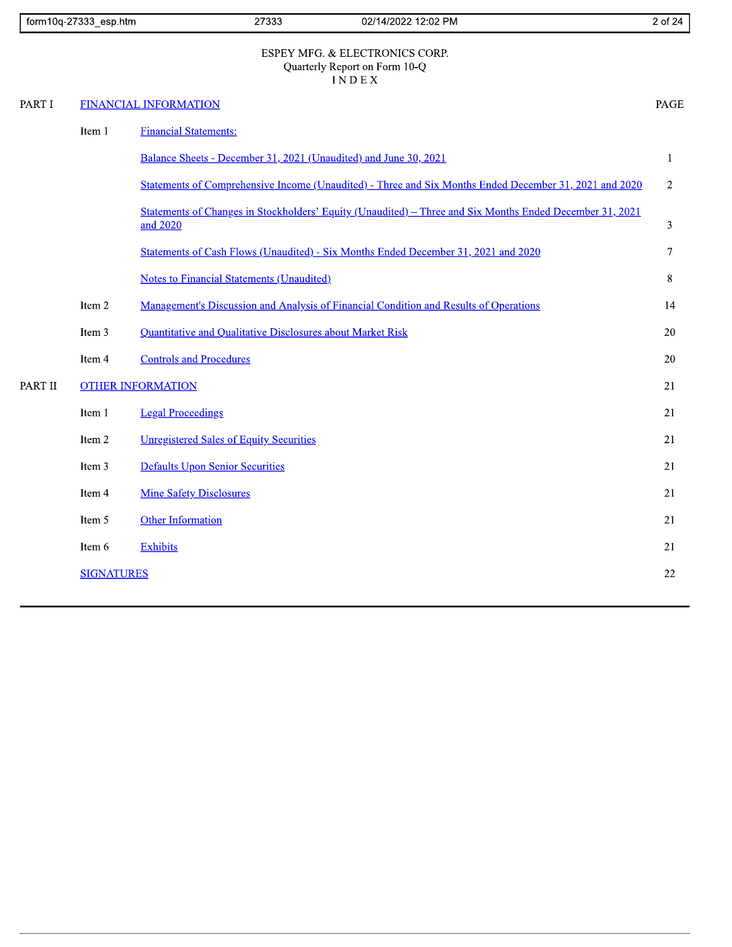|         | form10q-27333_esp.htm | 27333<br>02/14/2022 12:02 PM                                                                                         | 2 of 24        |
|---------|-----------------------|----------------------------------------------------------------------------------------------------------------------|----------------|
|         |                       | ESPEY MFG. & ELECTRONICS CORP.<br>Quarterly Report on Form 10-Q<br><b>INDEX</b>                                      |                |
| PART I  |                       | <b>FINANCIAL INFORMATION</b>                                                                                         | PAGE           |
|         | Item 1                | <b>Financial Statements:</b>                                                                                         |                |
|         |                       | Balance Sheets - December 31, 2021 (Unaudited) and June 30, 2021                                                     | $\mathbf{1}$   |
|         |                       | Statements of Comprehensive Income (Unaudited) - Three and Six Months Ended December 31, 2021 and 2020               | $\overline{2}$ |
|         |                       | Statements of Changes in Stockholders' Equity (Unaudited) – Three and Six Months Ended December 31, 2021<br>and 2020 | 3              |
|         |                       | Statements of Cash Flows (Unaudited) - Six Months Ended December 31, 2021 and 2020                                   | 7              |
|         |                       | <b>Notes to Financial Statements (Unaudited)</b>                                                                     | 8              |
|         | Item 2                | Management's Discussion and Analysis of Financial Condition and Results of Operations                                | 14             |
|         | Item 3                | Quantitative and Qualitative Disclosures about Market Risk                                                           | 20             |
|         | Item 4                | <b>Controls and Procedures</b>                                                                                       | 20             |
| PART II |                       | <b>OTHER INFORMATION</b>                                                                                             | 21             |
|         | Item 1                | <b>Legal Proceedings</b>                                                                                             | 21             |
|         | Item 2                | <b>Unregistered Sales of Equity Securities</b>                                                                       | 21             |
|         | Item 3                | <b>Defaults Upon Senior Securities</b>                                                                               | 21             |
|         | Item 4                | <b>Mine Safety Disclosures</b>                                                                                       | 21             |
|         | Item 5                | <b>Other Information</b>                                                                                             | 21             |
|         | Item 6                | <b>Exhibits</b>                                                                                                      | 21             |
|         | <b>SIGNATURES</b>     |                                                                                                                      | 22             |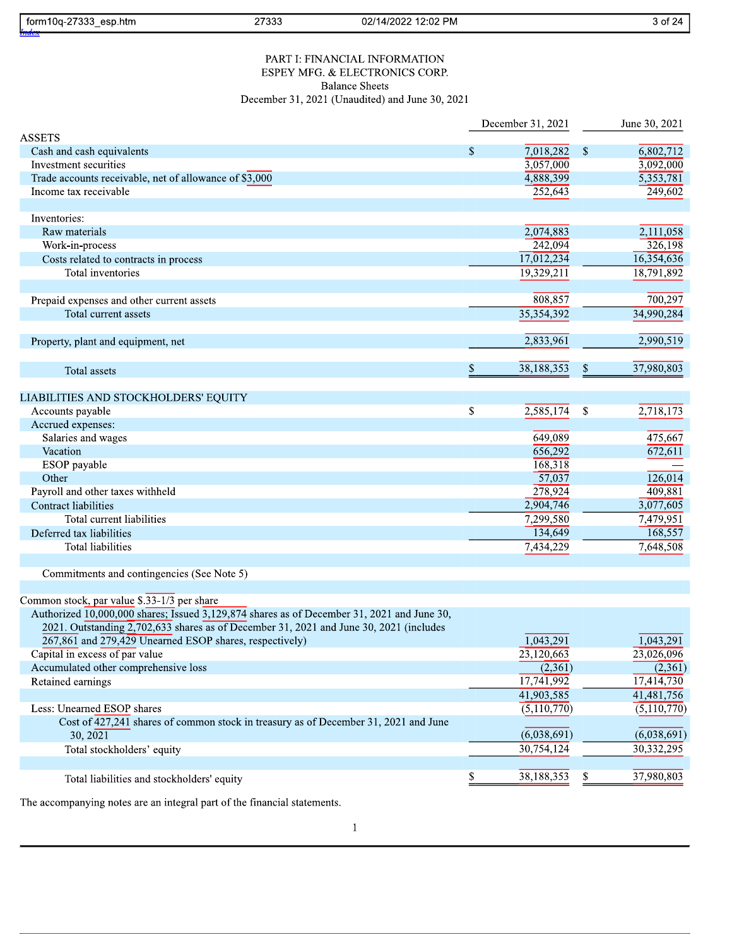| form10q-27333_esp.htm<br>27333<br>02/14/2022 12:02 PM                                                                                                                                |                      |              | 3 of 24                 |
|--------------------------------------------------------------------------------------------------------------------------------------------------------------------------------------|----------------------|--------------|-------------------------|
| PART I: FINANCIAL INFORMATION                                                                                                                                                        |                      |              |                         |
| ESPEY MFG. & ELECTRONICS CORP.                                                                                                                                                       |                      |              |                         |
| <b>Balance Sheets</b>                                                                                                                                                                |                      |              |                         |
| December 31, 2021 (Unaudited) and June 30, 2021                                                                                                                                      |                      |              |                         |
|                                                                                                                                                                                      | December 31, 2021    |              | June 30, 2021           |
| <b>ASSETS</b>                                                                                                                                                                        |                      |              |                         |
| Cash and cash equivalents                                                                                                                                                            | \$<br>7,018,282      | $\mathbb{S}$ | 6,802,712               |
| Investment securities                                                                                                                                                                | 3,057,000            |              | 3,092,000               |
| Trade accounts receivable, net of allowance of \$3,000                                                                                                                               | 4,888,399            |              | $\overline{5,353,781}$  |
| Income tax receivable                                                                                                                                                                | 252,643              |              | 249,602                 |
|                                                                                                                                                                                      |                      |              |                         |
| Inventories:                                                                                                                                                                         |                      |              |                         |
| Raw materials                                                                                                                                                                        | 2,074,883<br>242,094 |              | 2,111,058<br>326,198    |
| Work-in-process<br>Costs related to contracts in process                                                                                                                             | 17,012,234           |              | 16,354,636              |
| Total inventories                                                                                                                                                                    | 19,329,211           |              | 18,791,892              |
|                                                                                                                                                                                      |                      |              |                         |
| Prepaid expenses and other current assets                                                                                                                                            | 808,857              |              | 700,297                 |
| Total current assets                                                                                                                                                                 | 35,354,392           |              | 34,990,284              |
|                                                                                                                                                                                      |                      |              |                         |
| Property, plant and equipment, net                                                                                                                                                   | 2,833,961            |              | 2,990,519               |
| Total assets                                                                                                                                                                         | \$<br>38,188,353     | \$           | 37,980,803              |
| LIABILITIES AND STOCKHOLDERS' EQUITY                                                                                                                                                 |                      |              |                         |
| Accounts payable                                                                                                                                                                     | \$<br>2,585,174      | \$           | 2,718,173               |
| Accrued expenses:                                                                                                                                                                    |                      |              |                         |
| Salaries and wages                                                                                                                                                                   | 649,089              |              | 475,667                 |
| Vacation                                                                                                                                                                             | 656,292              |              | 672,611                 |
| ESOP payable                                                                                                                                                                         | 168,318              |              |                         |
| Other                                                                                                                                                                                | 57,037               |              | 126,014                 |
| Payroll and other taxes withheld                                                                                                                                                     | 278,924              |              | 409,881                 |
| Contract liabilities                                                                                                                                                                 | 2,904,746            |              | 3,077,605               |
| Total current liabilities                                                                                                                                                            | 7,299,580            |              | 7,479,951               |
| Deferred tax liabilities                                                                                                                                                             | 134,649              |              | 168,557                 |
| Total liabilities                                                                                                                                                                    | 7,434,229            |              | 7,648,508               |
| Commitments and contingencies (See Note 5)                                                                                                                                           |                      |              |                         |
| Common stock, par value $\sqrt[3]{33-1/3}$ per share                                                                                                                                 |                      |              |                         |
| Authorized 10,000,000 shares; Issued 3,129,874 shares as of December 31, 2021 and June 30,<br>2021. Outstanding 2,702,633 shares as of December 31, 2021 and June 30, 2021 (includes |                      |              |                         |
| 267,861 and 279,429 Unearned ESOP shares, respectively)                                                                                                                              | 1,043,291            |              | 1,043,291               |
| Capital in excess of par value                                                                                                                                                       | 23,120,663           |              | 23,026,096              |
| Accumulated other comprehensive loss                                                                                                                                                 | (2,361)              |              | (2,361)                 |
| Retained earnings                                                                                                                                                                    | 17,741,992           |              | $17,41\overline{4,730}$ |
|                                                                                                                                                                                      | 41,903,585           |              | 41,481,756              |
| Less: Unearned ESOP shares                                                                                                                                                           | (5,110,770)          |              | (5,110,770)             |
| Cost of $\overline{427,241}$ shares of common stock in treasury as of December 31, 2021 and June                                                                                     |                      |              |                         |
| 30, 2021                                                                                                                                                                             | (6,038,691)          |              | (6,038,691)             |
| Total stockholders' equity                                                                                                                                                           | 30,754,124           |              | 30,332,295              |
|                                                                                                                                                                                      | 38,188,353           | \$           | 37,980,803              |
| Total liabilities and stockholders' equity                                                                                                                                           |                      |              |                         |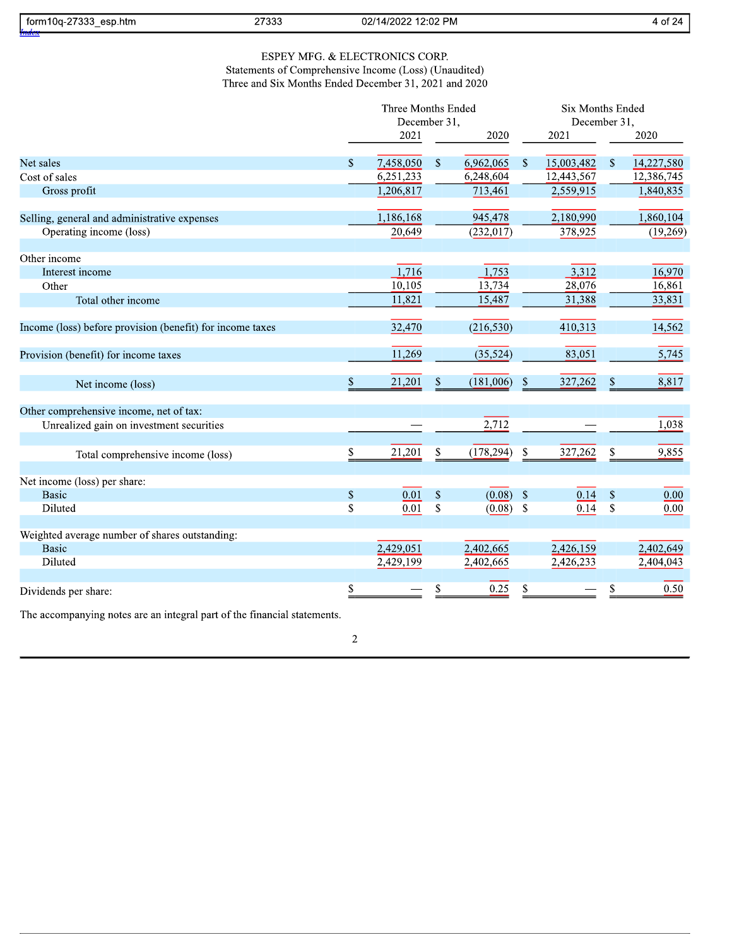| 07000<br>esp.htm<br>nor<br>torn<br>.<br>. .<br>. | 2700c  | PM<br>02/1<br>$\cdot$ . $\cap$<br>ימחמו.<br>14<br>$\sim$<br>- J/<br>. דר | $\sim$<br>- 01<br>. .<br> |  |
|--------------------------------------------------|--------|--------------------------------------------------------------------------|---------------------------|--|
|                                                  | 21,000 |                                                                          | $\sim$ $-$                |  |

## ESPEY MFG.  $\&$  ELECTRONICS CORP. Statements of Comprehensive Income (Loss) (Unaudited) Three and Six Months Ended December 31, 2021 and 2020

|                                                           | Three Months Ended |              |                           |            |              | <b>Six Months Ended</b> |              |            |  |
|-----------------------------------------------------------|--------------------|--------------|---------------------------|------------|--------------|-------------------------|--------------|------------|--|
|                                                           |                    | December 31, |                           |            |              | December 31,            |              |            |  |
|                                                           |                    | 2021         |                           | 2020       |              | 2021                    |              | 2020       |  |
| Net sales                                                 | \$                 | 7,458,050    | $\boldsymbol{\mathsf{S}}$ | 6,962,065  | \$           | 15,003,482              | \$           | 14,227,580 |  |
| Cost of sales                                             |                    | 6,251,233    |                           | 6,248,604  |              | 12,443,567              |              | 12,386,745 |  |
| Gross profit                                              |                    | 1,206,817    |                           | 713,461    |              | 2,559,915               |              | 1,840,835  |  |
| Selling, general and administrative expenses              |                    | 1,186,168    |                           | 945,478    |              | 2,180,990               |              | 1,860,104  |  |
| Operating income (loss)                                   |                    | 20,649       |                           | (232, 017) |              | 378,925                 |              | (19,269)   |  |
| Other income                                              |                    |              |                           |            |              |                         |              |            |  |
| Interest income                                           |                    | 1,716        |                           | 1,753      |              | 3,312                   |              | 16,970     |  |
| Other                                                     |                    | 10,105       |                           | 13,734     |              | 28,076                  |              | 16,861     |  |
| Total other income                                        |                    | 11,821       |                           | 15,487     |              | 31,388                  |              | 33,831     |  |
| Income (loss) before provision (benefit) for income taxes |                    | 32,470       |                           | (216, 530) |              | 410,313                 |              | 14,562     |  |
| Provision (benefit) for income taxes                      |                    | 11,269       |                           | (35, 524)  |              | 83,051                  |              | 5,745      |  |
| Net income (loss)                                         | $\,$               | 21,201       | $\mathbb{S}$              | (181,006)  | \$           | 327,262                 | $\$$         | 8,817      |  |
| Other comprehensive income, net of tax:                   |                    |              |                           |            |              |                         |              |            |  |
| Unrealized gain on investment securities                  |                    |              |                           | 2,712      |              |                         |              | 1,038      |  |
| Total comprehensive income (loss)                         | \$                 | 21,201       | \$                        | (178, 294) | \$           | 327,262                 | \$           | 9,855      |  |
| Net income (loss) per share:                              |                    |              |                           |            |              |                         |              |            |  |
| <b>Basic</b>                                              | \$                 | 0.01         | $\mathbb{S}$              | (0.08)     | $\$$         | 0.14                    | $\$$         | $0.00\,$   |  |
| Diluted                                                   | \$                 | 0.01         | $\mathsf{\$}$             | (0.08)     | $\mathbf{s}$ | 0.14                    | $\mathbb{S}$ | 0.00       |  |
| Weighted average number of shares outstanding:            |                    |              |                           |            |              |                         |              |            |  |
| <b>Basic</b>                                              |                    | 2,429,051    |                           | 2,402,665  |              | 2,426,159               |              | 2,402,649  |  |
| Diluted                                                   |                    | 2,429,199    |                           | 2,402,665  |              | 2,426,233               |              | 2,404,043  |  |
| Dividends per share:                                      | \$                 |              | \$                        | 0.25       | \$           |                         | $\mathbb S$  | 0.50       |  |

The accompanying notes are an integral part of the financial statements.

 $\overline{c}$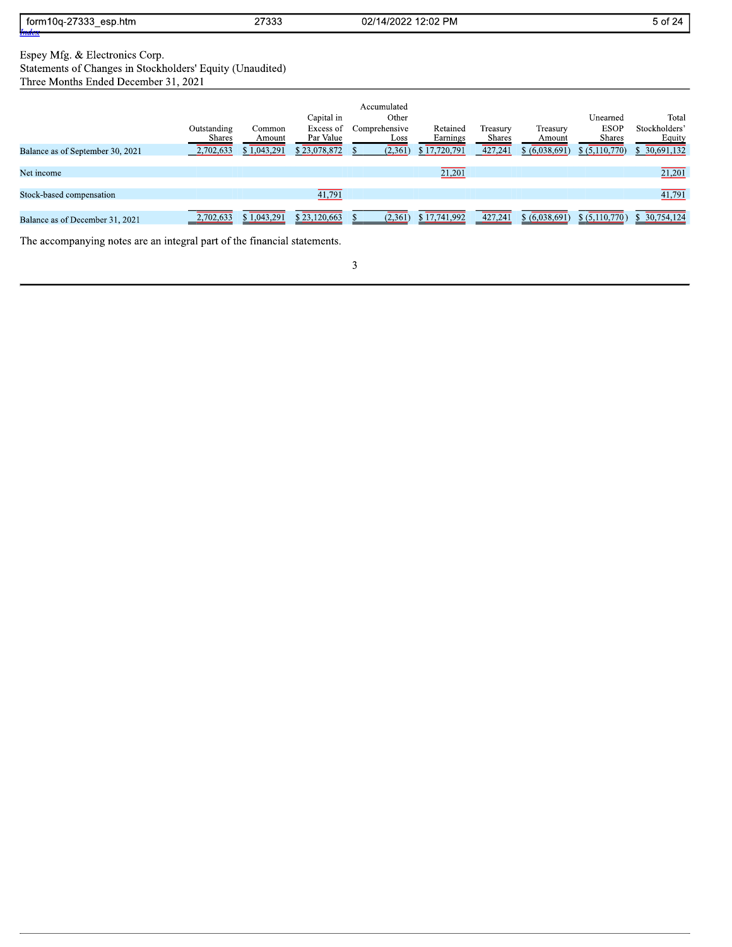| ממדי<br>form1<br>esp.htm<br>$\overline{\phantom{a}}$<br>ົບບບ | つてつつつ<br>21 JUJ | 12:02 PM<br>02/1<br>ാ∩ാ≏<br>$\overline{\phantom{a}}$<br>14<br>uz. | . .<br>5 of<br>,,, |
|--------------------------------------------------------------|-----------------|-------------------------------------------------------------------|--------------------|
| Inde.                                                        |                 |                                                                   |                    |
|                                                              |                 |                                                                   |                    |

Espey Mfg. & Electronics Corp.<br>Statements of Changes in Stockholders' Equity (Unaudited)

Three Months Ended December 31, 2021

|                                  | Outstanding<br><b>Shares</b> | Common<br>Amount | Capital in<br>Excess of<br>Par Value | Accumulated<br>Other<br>Comprehensive<br>Loss | Retained<br>Earnings | Treasury<br><b>Shares</b> | Treasury<br>Amount | Unearned<br><b>ESOP</b><br><b>Shares</b> | Total<br>Stockholders'<br>Equity |
|----------------------------------|------------------------------|------------------|--------------------------------------|-----------------------------------------------|----------------------|---------------------------|--------------------|------------------------------------------|----------------------------------|
| Balance as of September 30, 2021 | 2,702,633                    | \$1,043,291      | \$23,078,872                         | (2, 361)                                      | \$17,720,791         | 427.241                   | \$ (6,038,691)     | \$ (5,110,770)                           | \$ 30,691,132                    |
| Net income                       |                              |                  |                                      |                                               | 21,201               |                           |                    |                                          | 21,201                           |
| Stock-based compensation         |                              |                  | 41,791                               |                                               |                      |                           |                    |                                          | 41,791                           |
| Balance as of December 31, 2021  | 2,702,633                    | \$1,043,291      | \$23,120,663                         | (2,361)                                       | \$17,741,992         | 427,241                   | \$ (6,038,691)     | \$ (5,110,770)                           | \$ 30,754,124                    |

The accompanying notes are an integral part of the financial statements.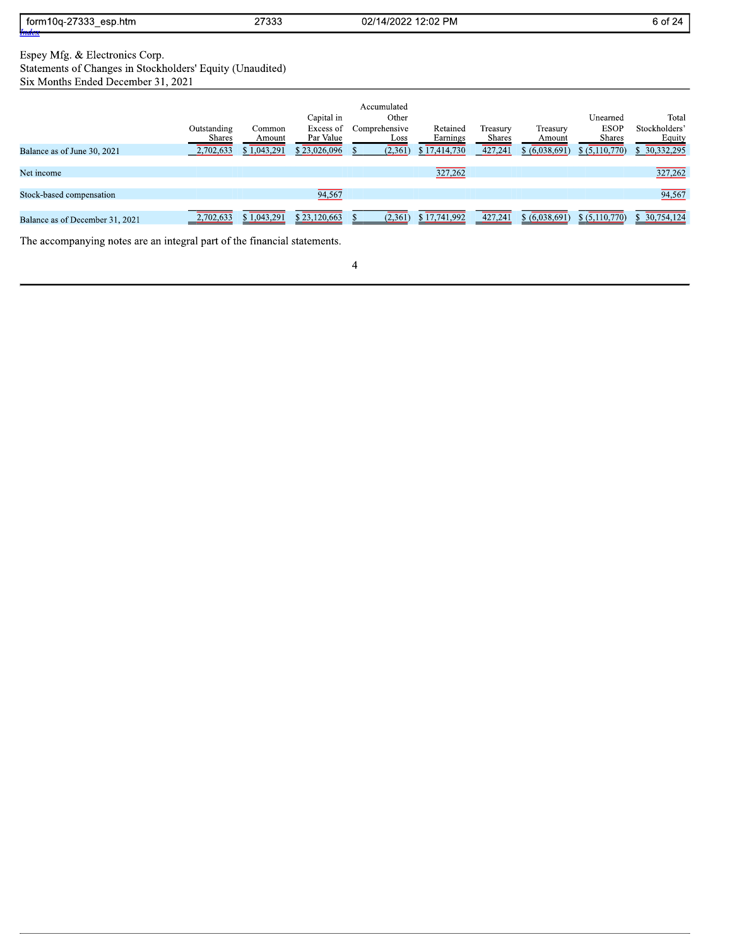| 27000<br>esp.htm<br>torm<br><b>DCC</b><br>Ua-2<br>. | 07000<br>21,000 | <b>PM</b><br>$\sim$<br>02/<br>$\sqrt{2}$<br>≤.∪∠<br>112 | 6 OT<br>.<br>- - - - |
|-----------------------------------------------------|-----------------|---------------------------------------------------------|----------------------|
| Index                                               |                 |                                                         |                      |

| form10q-27333_esp.htm<br><u>Index</u>                                                                                             |                       | 27333            |                                      | 02/14/2022 12:02 PM                           |                      |                    |                    |                                   | 6 of 24                          |
|-----------------------------------------------------------------------------------------------------------------------------------|-----------------------|------------------|--------------------------------------|-----------------------------------------------|----------------------|--------------------|--------------------|-----------------------------------|----------------------------------|
| Espey Mfg. & Electronics Corp.<br>Statements of Changes in Stockholders' Equity (Unaudited)<br>Six Months Ended December 31, 2021 |                       |                  |                                      |                                               |                      |                    |                    |                                   |                                  |
|                                                                                                                                   | Outstanding<br>Shares | Common<br>Amount | Capital in<br>Excess of<br>Par Value | Accumulated<br>Other<br>Comprehensive<br>Loss | Retained<br>Earnings | Treasury<br>Shares | Treasury<br>Amount | Unearned<br><b>ESOP</b><br>Shares | Total<br>Stockholders'<br>Equity |
| Balance as of June 30, 2021                                                                                                       | 2,702,633             | \$1,043,291      | \$23,026,096                         | (2,361)                                       | \$17,414,730         | 427,241            | \$ (6,038,691)     | $$$ $(5,110,770)$                 | \$30,332,295                     |
| Net income                                                                                                                        |                       |                  |                                      |                                               | 327,262              |                    |                    |                                   | 327,262                          |
| Stock-based compensation                                                                                                          |                       |                  | 94,567                               |                                               |                      |                    |                    |                                   | 94,567                           |
| Balance as of December 31, 2021                                                                                                   | 2,702,633             | \$1,043,291      | \$23,120,663                         | (2,361)<br>S                                  | \$17,741,992         | 427,241            | $$$ $(6,038,691)$  | $$(\overline{5,110,770})$         | \$30,754,124                     |
| The accompanying notes are an integral part of the financial statements.                                                          |                       |                  |                                      |                                               |                      |                    |                    |                                   |                                  |
|                                                                                                                                   |                       |                  |                                      | 4                                             |                      |                    |                    |                                   |                                  |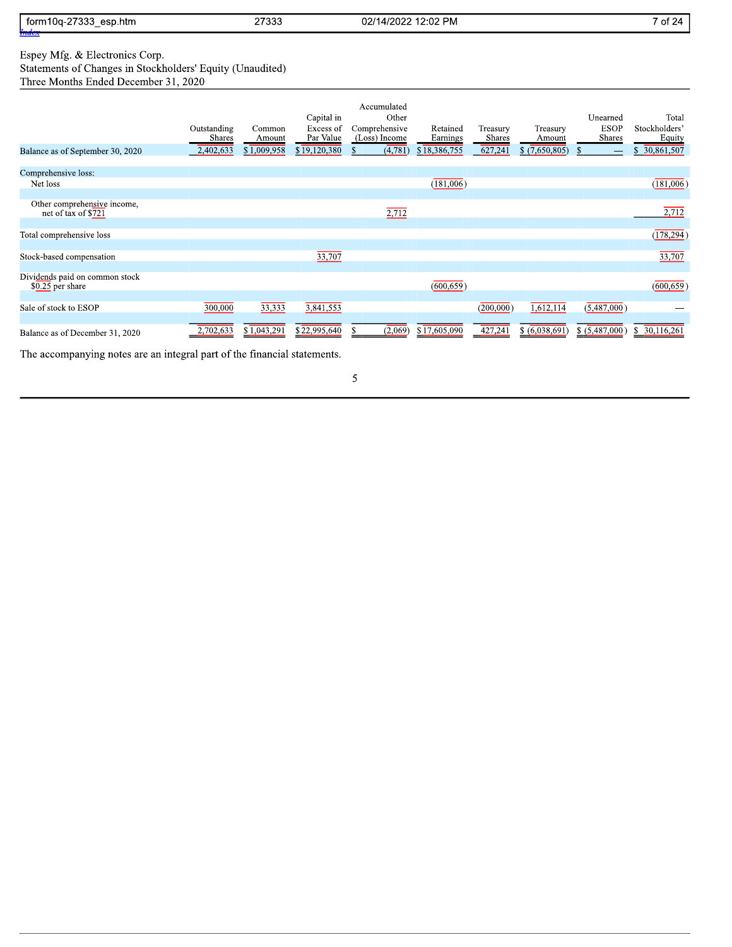| 27000<br>esp.htm<br>torn<br>່ບບບ | つフつつつ<br>21 JUJ | 12:02 PM<br>.ഗറാല<br>02/1<br>14<br>uz. | $\sim$ $\sim$ $\sim$<br>ΟT<br>- 20<br>- |
|----------------------------------|-----------------|----------------------------------------|-----------------------------------------|
| $\sim$                           |                 |                                        |                                         |
| Index                            |                 |                                        |                                         |

Espey Mfg. & Electronics Corp.<br>Statements of Changes in Stockholders' Equity (Unaudited)<br>Three Months Ended December 31, 2020

| Balance as of September 30, 2020                   | Outstanding<br>Shares<br>2,402,633 | Common<br>Amount<br>\$1,009,958 | Capital in<br>Excess of<br>Par Value<br>\$19,120,380 | Accumulated<br>Other<br>Comprehensive<br>(Loss) Income<br>(4,781) | Retained<br>Earnings<br>\$18,386,755 | Treasury<br><b>Shares</b><br>627,241 | Treasury<br>Amount<br>\$(7,650,805) | Unearned<br><b>ESOP</b><br>Shares<br>-S<br>$\qquad \qquad$ | Total<br>Stockholders'<br>Equity<br>30,861,507 |
|----------------------------------------------------|------------------------------------|---------------------------------|------------------------------------------------------|-------------------------------------------------------------------|--------------------------------------|--------------------------------------|-------------------------------------|------------------------------------------------------------|------------------------------------------------|
| Comprehensive loss:                                |                                    |                                 |                                                      |                                                                   |                                      |                                      |                                     |                                                            |                                                |
| Net loss                                           |                                    |                                 |                                                      |                                                                   | (181,006)                            |                                      |                                     |                                                            | (181,006)                                      |
|                                                    |                                    |                                 |                                                      |                                                                   |                                      |                                      |                                     |                                                            |                                                |
| Other comprehensive income,<br>net of tax of \$721 |                                    |                                 |                                                      | 2,712                                                             |                                      |                                      |                                     |                                                            | 2,712                                          |
| Total comprehensive loss                           |                                    |                                 |                                                      |                                                                   |                                      |                                      |                                     |                                                            | (178, 294)                                     |
| Stock-based compensation                           |                                    |                                 | 33,707                                               |                                                                   |                                      |                                      |                                     |                                                            | 33,707                                         |
| Dividends paid on common stock<br>\$0.25 per share |                                    |                                 |                                                      |                                                                   | (600, 659)                           |                                      |                                     |                                                            | (600, 659)                                     |
| Sale of stock to ESOP                              | 300,000                            | 33,333                          | 3,841,553                                            |                                                                   |                                      | (200,000)                            | 1,612,114                           | (5,487,000)                                                |                                                |
| Balance as of December 31, 2020                    | 702,633                            | \$1,043,291                     | \$22,995,640                                         | (2,069)<br>\$                                                     | \$17,605,090                         | 427,241                              | $$(\overline{6,038,691})$           | $$(\overline{5,487,000})$                                  | $\sqrt{30,116,261}$                            |
|                                                    |                                    | .                               |                                                      |                                                                   |                                      |                                      |                                     |                                                            |                                                |

The accompanying notes are an integral part of the financial statements.

 $\overline{5}$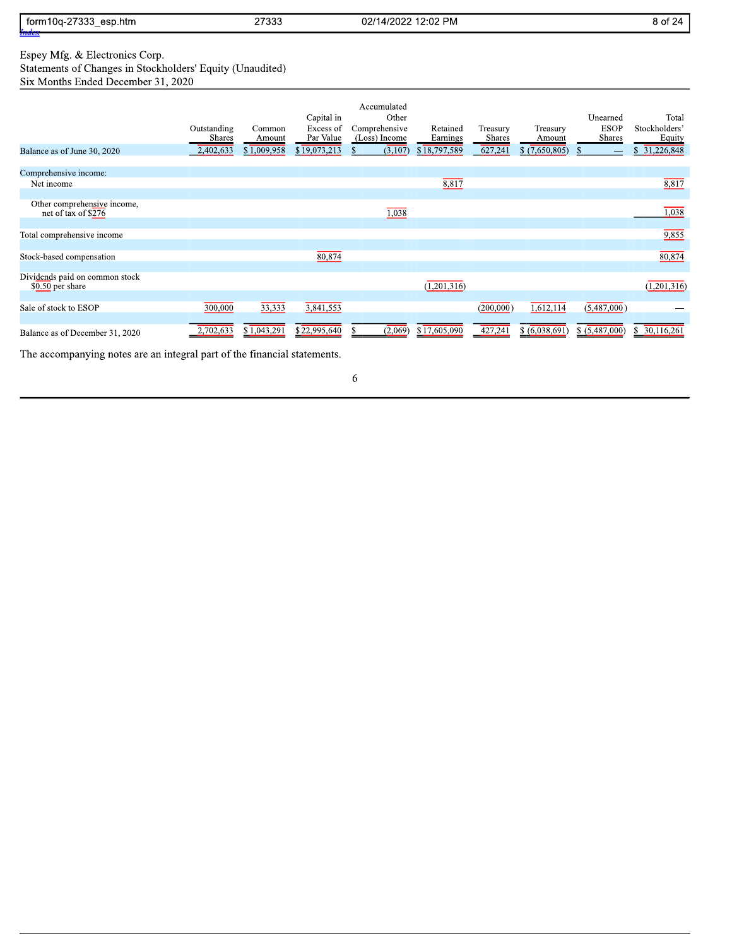| $-2722$<br>esp.htm<br>torn<br>n i ua-z<br>. JJJ | つフつつつ<br>21 JJJ | 12:02 PM<br>. ഗവാല<br>02/1<br>- 14<br>$U_{\ell}$ | $\sim$<br>3 OT<br>. 24 |
|-------------------------------------------------|-----------------|--------------------------------------------------|------------------------|
| $\sim$                                          |                 |                                                  |                        |
| Index                                           |                 |                                                  |                        |

# Espey Mfg. & Electronics Corp.<br>Statements of Changes in Stockholders' Equity (Unaudited)<br>Six Months Ended December 31, 2020

| Balance as of June 30, 2020                        | Outstanding<br><b>Shares</b><br>2,402,633 | Common<br>Amount<br>\$1,009,958 | Capital in<br>Excess of<br>Par Value<br>\$19,073,213 | Accumulated<br>Other<br>Comprehensive<br>(Loss) Income<br>(3,107)<br>$\mathcal{S}$ | Retained<br>Earnings<br>\$18,797,589 | Treasury<br><b>Shares</b><br>627,241 | Treasury<br>Amount<br>\$(7,650,805) | Unearned<br><b>ESOP</b><br><b>Shares</b><br><sup>\$</sup><br>$\qquad \qquad$ | Total<br>Stockholders'<br>Equity<br>31,226,848 |
|----------------------------------------------------|-------------------------------------------|---------------------------------|------------------------------------------------------|------------------------------------------------------------------------------------|--------------------------------------|--------------------------------------|-------------------------------------|------------------------------------------------------------------------------|------------------------------------------------|
| Comprehensive income:                              |                                           |                                 |                                                      |                                                                                    |                                      |                                      |                                     |                                                                              |                                                |
| Net income                                         |                                           |                                 |                                                      |                                                                                    | 8,817                                |                                      |                                     |                                                                              | 8,817                                          |
|                                                    |                                           |                                 |                                                      |                                                                                    |                                      |                                      |                                     |                                                                              |                                                |
| Other comprehensive income,<br>net of tax of \$276 |                                           |                                 |                                                      | 1,038                                                                              |                                      |                                      |                                     |                                                                              | 1,038                                          |
| Total comprehensive income                         |                                           |                                 |                                                      |                                                                                    |                                      |                                      |                                     |                                                                              | 9,855                                          |
| Stock-based compensation                           |                                           |                                 | 80,874                                               |                                                                                    |                                      |                                      |                                     |                                                                              | 80,874                                         |
| Dividends paid on common stock<br>\$0.50 per share |                                           |                                 |                                                      |                                                                                    | (1, 201, 316)                        |                                      |                                     |                                                                              | 1,201,316                                      |
| Sale of stock to ESOP                              | 300,000                                   | 33,333                          | 3,841,553                                            |                                                                                    |                                      | (200,000)                            | 1,612,114                           | (5,487,000)                                                                  |                                                |
| Balance as of December 31, 2020                    | 2,702,633                                 | \$1,043,291                     | \$22,995,640                                         | (2,069)<br>S.                                                                      | \$17,605,090                         | 427,241                              | \$ (6,038,691)                      | $$$ $(5,487,000)$                                                            | \$30,116,261                                   |

The accompanying notes are an integral part of the financial statements.

 $\sqrt{6}$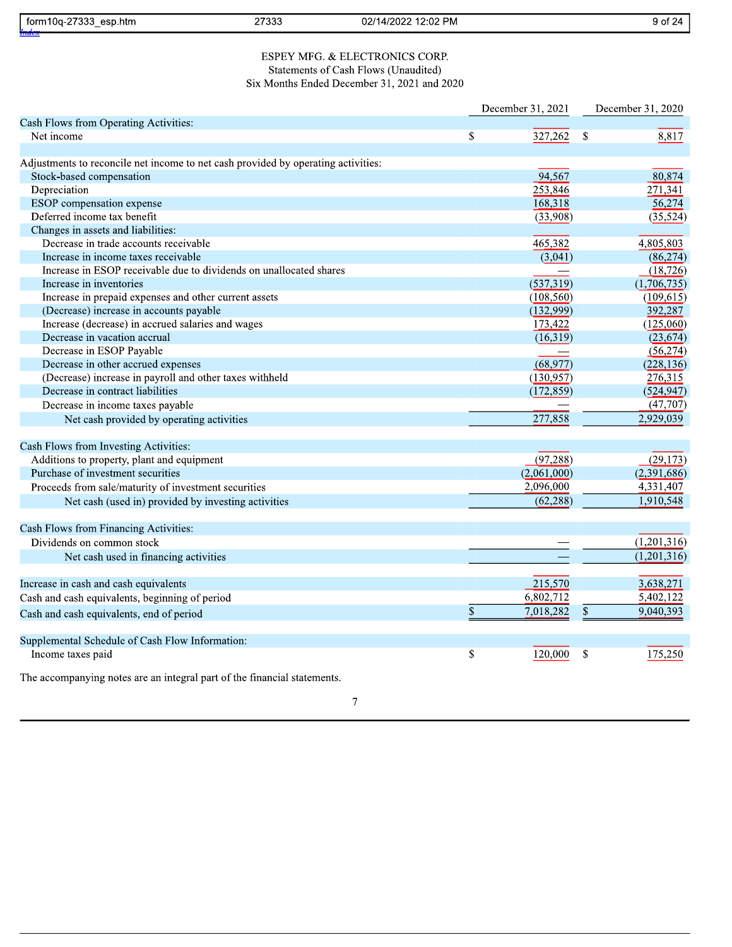| form10a-27333<br>esp.htm<br>Index | 27333           | 02/14/2022 12:02 PM          | у от<br>. 24 |
|-----------------------------------|-----------------|------------------------------|--------------|
|                                   |                 |                              |              |
|                                   |                 |                              |              |
|                                   | MFG.<br>ESPEV 1 | . & ELECTRONICS C<br>' CORP. |              |

| form10q-27333 esp.htm                                                             | 27333 | 02/14/2022 12:02 PM                         |                          |               | 9 of 24           |
|-----------------------------------------------------------------------------------|-------|---------------------------------------------|--------------------------|---------------|-------------------|
|                                                                                   |       |                                             |                          |               |                   |
|                                                                                   |       | ESPEY MFG. & ELECTRONICS CORP.              |                          |               |                   |
|                                                                                   |       | Statements of Cash Flows (Unaudited)        |                          |               |                   |
|                                                                                   |       | Six Months Ended December 31, 2021 and 2020 |                          |               |                   |
|                                                                                   |       |                                             | December 31, 2021        |               | December 31, 2020 |
| Cash Flows from Operating Activities:                                             |       |                                             |                          |               |                   |
| Net income                                                                        |       |                                             | \$<br>327,262            | <sup>\$</sup> | 8,817             |
|                                                                                   |       |                                             |                          |               |                   |
| Adjustments to reconcile net income to net cash provided by operating activities: |       |                                             |                          |               |                   |
| Stock-based compensation                                                          |       |                                             | 94,567                   |               | 80,874            |
| Depreciation                                                                      |       |                                             | 253,846                  |               | 271,341           |
| ESOP compensation expense                                                         |       |                                             | 168,318                  |               | 56,274            |
| Deferred income tax benefit                                                       |       |                                             | (33,908)                 |               | (35, 524)         |
| Changes in assets and liabilities:                                                |       |                                             |                          |               |                   |
| Decrease in trade accounts receivable                                             |       |                                             | 465,382                  |               | 4,805,803         |
| Increase in income taxes receivable                                               |       |                                             | (3,041)                  |               | (86, 274)         |
| Increase in ESOP receivable due to dividends on unallocated shares                |       |                                             |                          |               | (18, 726)         |
| Increase in inventories                                                           |       |                                             | (537,319)                |               | (1,706,735)       |
| Increase in prepaid expenses and other current assets                             |       |                                             | (108, 560)               |               | (109, 615)        |
| (Decrease) increase in accounts payable                                           |       |                                             | (132,999)                |               | 392,287           |
| Increase (decrease) in accrued salaries and wages                                 |       |                                             | 173,422                  |               | (125,060)         |
| Decrease in vacation accrual                                                      |       |                                             | (16,319)                 |               | (23, 674)         |
| Decrease in ESOP Payable                                                          |       |                                             |                          |               | (56, 274)         |
| Decrease in other accrued expenses                                                |       |                                             | (68, 977)                |               | (228, 136)        |
| (Decrease) increase in payroll and other taxes withheld                           |       |                                             | (130,957)                |               | 276,315           |
| Decrease in contract liabilities                                                  |       |                                             | (172, 859)               |               | (524, 947)        |
| Decrease in income taxes payable                                                  |       |                                             |                          |               | (47, 707)         |
| Net cash provided by operating activities                                         |       |                                             | 277,858                  |               | 2,929,039         |
| Cash Flows from Investing Activities:                                             |       |                                             |                          |               |                   |
| Additions to property, plant and equipment                                        |       |                                             | (97, 288)                |               | (29, 173)         |
| Purchase of investment securities                                                 |       |                                             | (2.061,000)              |               | (2,391,686)       |
| Proceeds from sale/maturity of investment securities                              |       |                                             | 2,096,000                |               | 4,331,407         |
| Net cash (used in) provided by investing activities                               |       |                                             | (62, 288)                |               | 1,910,548         |
| Cash Flows from Financing Activities:                                             |       |                                             |                          |               |                   |
| Dividends on common stock                                                         |       |                                             |                          |               | (1,201,316)       |
|                                                                                   |       |                                             |                          |               | (1,201,316)       |
| Net cash used in financing activities                                             |       |                                             |                          |               |                   |
| Increase in cash and cash equivalents                                             |       |                                             | 215,570                  |               | 3,638,271         |
| Cash and cash equivalents, beginning of period                                    |       |                                             | 6,802,712                |               | 5,402,122         |
| Cash and cash equivalents, end of period                                          |       |                                             | $\mathbb S$<br>7,018,282 | \$            | 9,040,393         |
|                                                                                   |       |                                             |                          |               |                   |
| Supplemental Schedule of Cash Flow Information:<br>Income taxes paid              |       |                                             | \$<br>120,000            | <sup>\$</sup> | 175,250           |
|                                                                                   |       |                                             |                          |               |                   |
| The accompanying notes are an integral part of the financial statements.          |       |                                             |                          |               |                   |

 $\boldsymbol{7}$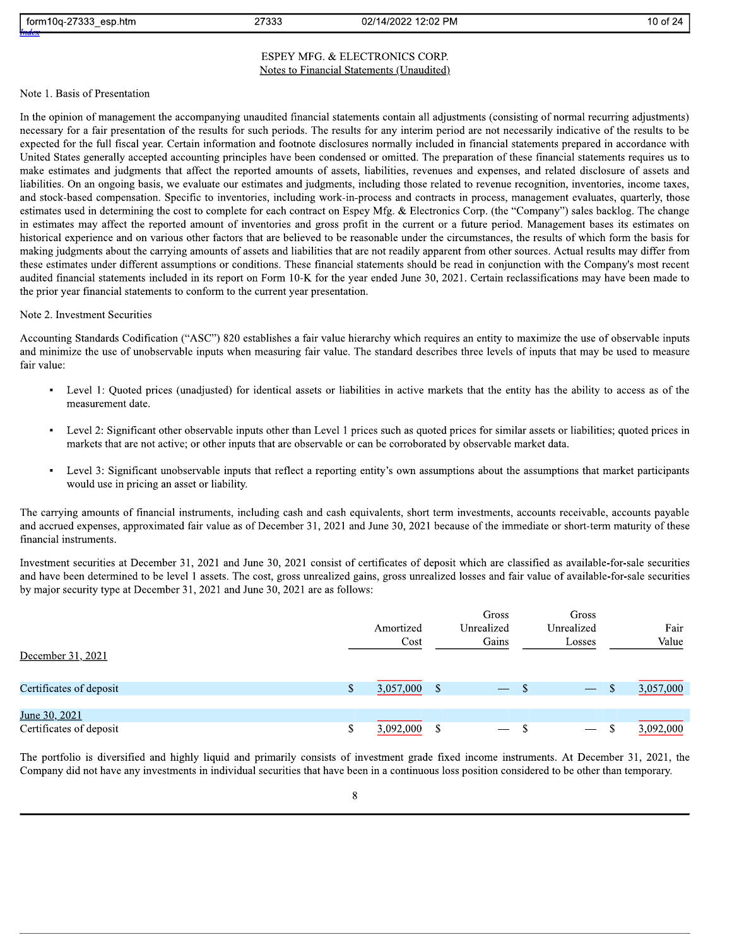27333 02/14/2022 12:02 PM 02/14/2022 12:02 PM 05:04 10:05 12:07

10 of 24<br>
ESPEY MFG. & ELECTRONICS CORP.<br>
Note 1. Basis of Presentation<br>
In the opinion of management the accompanying unaudited financial statements contain all adjustments (consisting of normal recurring adjustments)<br>
In liabilities. On an ongoing basis, we evaluate our estimates and judgments, including those related to revenue recognition, inventories, income taxes, and stock-based compensation. Specific to inventories, including work-in-process and contracts in process, management evaluates, quarterly, those estimates used in determining the cost to complete for each contract on Espey Mfg. & Electronics Corp. (the "Company") sales backlog. The change in estimates may affect the reported amount of inventories and gross profit in the current or a future period. Management bases its estimates on historical experience and on various other factors that are believed to be reasonable under the circumstances, the results of which form the basis for making judgments about the carrying amounts of assets and liabilities that are not readily apparent from other sources. Actual results may differ from these estimates under different assumptions or conditions. These financial statements should be read in conjunction with the Company's most recent audited financial statements included in its report on Form 10-K for the year ended June 30, 2021. Certain reclassifications may have been made to the prior year financial statements to conform to the current year presentation.

#### Note 2. Investment Securities

Accounting Standards Codification ("ASC") 820 establishes a fair value hierarchy which requires an entity to maximize the use of observable inputs The prior year financial statements to conform to the current year presentation.<br>
Note 2. Investment Securities<br>
Accounting Standards Codification ("ASC") 820 establishes a fair value hierarchy which requires an entity to Accounting Standards Codification ("ASC") 820 establishes a fair value. The standard describes three levels of inputs that may be used to measure fair value:<br>and minimize the use of unobservable inputs when measuring fair

- 
- 
- 

Level 1: Quoted prices (unadjusted) for identical assets or liabilities in active markets that the entity has the ability to access as of the<br>measurement date.<br>Level 2: Significant other observable inputs other than Level

| financial instruments.<br>Investment securities at December 31, 2021 and June 30, 2021 consist of certificates of deposit which are classified as available-for-sale securities<br>and have been determined to be level 1 assets. The cost, gross unrealized gains, gross unrealized losses and fair value of available-for-sale securities<br>by major security type at December 31, 2021 and June 30, 2021 are as follows: |                   |               |                              |                               |    |               |
|------------------------------------------------------------------------------------------------------------------------------------------------------------------------------------------------------------------------------------------------------------------------------------------------------------------------------------------------------------------------------------------------------------------------------|-------------------|---------------|------------------------------|-------------------------------|----|---------------|
| December 31, 2021                                                                                                                                                                                                                                                                                                                                                                                                            | Amortized<br>Cost |               | Gross<br>Unrealized<br>Gains | Gross<br>Unrealized<br>Losses |    | Fair<br>Value |
| Certificates of deposit                                                                                                                                                                                                                                                                                                                                                                                                      | \$<br>3,057,000   | <sup>\$</sup> |                              | $\sqrt{s}$                    | \$ | 3,057,000     |
| June 30, 2021<br>Certificates of deposit                                                                                                                                                                                                                                                                                                                                                                                     | \$<br>3.092.000   | \$            |                              |                               | S. | 3,092,000     |
| The neutrities is divergified and highly tigrid and numerity consists of investment angle fixed income instantants. At December 21, 2021, the                                                                                                                                                                                                                                                                                |                   |               |                              |                               |    |               |

The portfolio is diversified and highly liquid and primarily consists of investment grade fixed income instruments. At December 31, 2021, the Company did not have any investments in individual securities that have been in a continuous loss position considered to be other than temporary.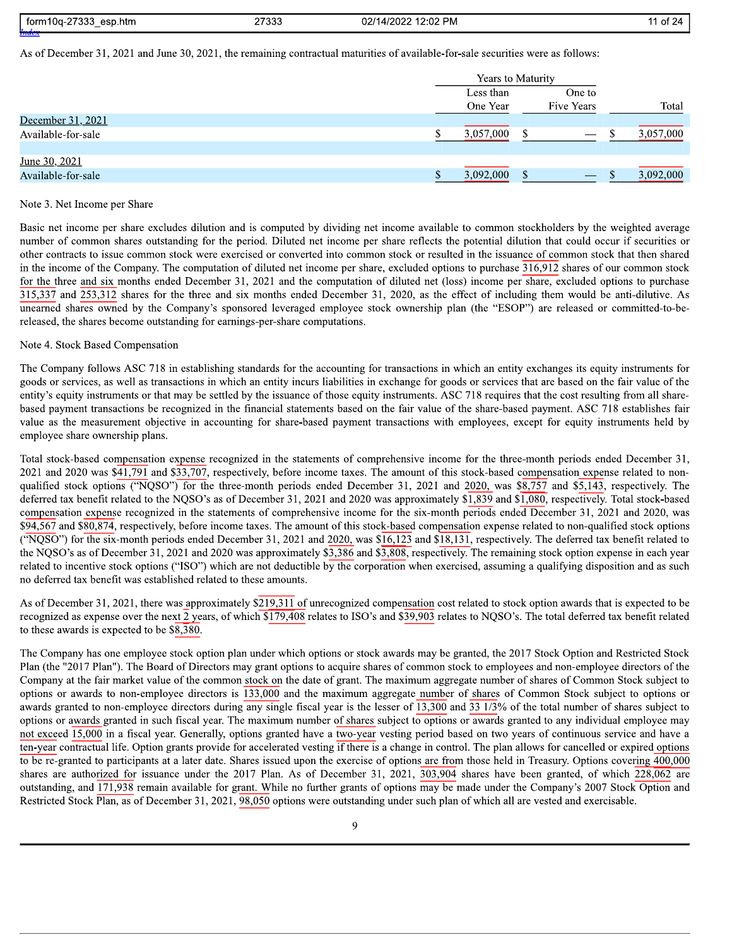| ר פרדר<br>esp.htm<br>torm1<br>$\sim$<br>$\sim$<br>.<br>.   | 27222<br><b>21000</b> | <sup>າ</sup> :02 PM<br>10000<br>22/1<br>ΤД.<br>uz<br>$\mathbf{u}$ | --<br>,, |
|------------------------------------------------------------|-----------------------|-------------------------------------------------------------------|----------|
| $\overline{\phantom{a}}$<br>_<br>$\mathbf{r}$ $\mathbf{r}$ |                       |                                                                   |          |

As of December 31, 2021 and June 30, 2021, the remaining contractual maturities of available-for-sale securities were as follows:

|                    | <b>Years to Maturity</b> |  |                   |           |
|--------------------|--------------------------|--|-------------------|-----------|
|                    | Less than                |  | One to            |           |
|                    | One Year                 |  | <b>Five Years</b> | Total     |
| December 31, 2021  |                          |  |                   |           |
| Available-for-sale | 3,057,000                |  | $-$               | 3,057,000 |
|                    |                          |  |                   |           |
| June 30, 2021      |                          |  |                   |           |
| Available-for-sale | 3,092,000                |  | $- - -$           | 3,092,000 |

#### Note 3. Net Income per Share

Basic net income per share excludes dilution and is computed by dividing net income available to common stockholders by the weighted average number of common shares outstanding for the period. Diluted net income per share reflects the potential dilution that could occur if securities or other contracts to issue common stock were exercised or converted into common stock or resulted in the issuance of common stock that then shared in the income of the Company. The computation of diluted net income per share, excluded options to purchase  $\overline{316,912}$  shares of our common stock for the three and six months ended December 31, 2021 and the computation of diluted net (loss) income per share, excluded options to purchase 315,337 and 253,312 shares for the three and six months ended December 31, 2020, as the effect of including them would be anti-dilutive. As unearned shares owned by the Company's sponsored leveraged employee stock ownership plan (the "ESOP") are released or committed-to-bereleased, the shares become outstanding for earnings-per-share computations.

#### Note 4. Stock Based Compensation

The Company follows ASC 718 in establishing standards for the accounting for transactions in which an entity exchanges its equity instruments for goods or services, as well as transactions in which an entity incurs liabilities in exchange for goods or services that are based on the fair value of the entity's equity instruments or that may be settled by the issuance of those equity instruments. ASC 718 requires that the cost resulting from all sharebased payment transactions be recognized in the financial statements based on the fair value of the share-based payment. ASC 718 establishes fair value as the measurement objective in accounting for share-based payment transactions with employees, except for equity instruments held by employee share ownership plans.

Total stock-based compensation expense recognized in the statements of comprehensive income for the three-month periods ended December 31, 2021 and 2020 was \$41,791 and \$33,707, respectively, before income taxes. The amount of this stock-based compensation expense related to nonqualified stock options ("NQSO") for the three-month periods ended December 31, 2021 and 2020, was  $\sqrt[3]{5,757}$  and  $\sqrt[5]{5,143}$ , respectively. The deferred tax benefit related to the NQSO's as of December 31, 2021 and 2020 was approximately \$1,839 and  $$1,080$ , respectively. Total stock-based compensation expense recognized in the statements of comprehensive income for the six-month periods ended December 31, 2021 and 2020, was  $\sqrt[6]{94,567}$  and  $\sqrt[8]{80,874}$ , respectively, before income taxes. The amount of this stock-based compensation expense related to non-qualified stock options ("NQSO") for the six-month periods ended December 31, 2021 and 2020, was  $\sqrt[3]{16,123}$  and  $\sqrt[3]{18,131}$ , respectively. The deferred tax benefit related to the NQSO's as of December 31, 2021 and 2020 was approximately \$3,386 and  $\sqrt[3]{3,808}$ , respectively. The remaining stock option expense in each year related to incentive stock options ("ISO") which are not deductible by the corporation when exercised, assuming a qualifying disposition and as such no deferred tax benefit was established related to these amounts.

As of December 31, 2021, there was approximately \$219,311 of unrecognized compensation cost related to stock option awards that is expected to be recognized as expense over the next 2 years, of which \$179,408 relates to ISO's and \$39,903 relates to NOSO's. The total deferred tax benefit related to these awards is expected to be  $$8,\overline{3}80$ .

The Company has one employee stock option plan under which options or stock awards may be granted, the 2017 Stock Option and Restricted Stock Plan (the "2017 Plan"). The Board of Directors may grant options to acquire shares of common stock to employees and non-employee directors of the Company at the fair market value of the common stock on the date of grant. The maximum aggregate number of shares of Common Stock subject to options or awards to non-employee directors is  $\overline{133,000}$  and the maximum aggregate number of shares of Common Stock subject to options or awards granted to non-employee directors during any single fiscal year is the lesser of  $\frac{13,300}{13,300}$  and  $\frac{33,1/3}{13,300}$  of the total number of shares subject to options or awards granted in such fiscal year. The maximum number of shares subject to options or awards granted to any individual employee may not exceed  $15,000$  in a fiscal year. Generally, options granted have a two-year vesting period based on two years of continuous service and have a  $\frac{1}{2}$  contractual life. Option grants provide for accelerated vesting if there is a change in control. The plan allows for cancelled or expired options to be re-granted to participants at a later date. Shares issued upon the exercise of options are from those held in Treasury. Options covering 400,000 shares are authorized for issuance under the 2017 Plan. As of December 31, 2021, 303,904 shares have been granted, of which 228,062 are outstanding, and 171,938 remain available for grant. While no further grants of options may be made under the Company's 2007 Stock Option and Restricted Stock Plan, as of December 31, 2021, 98,050 options were outstanding under such plan of which all are vested and exercisable.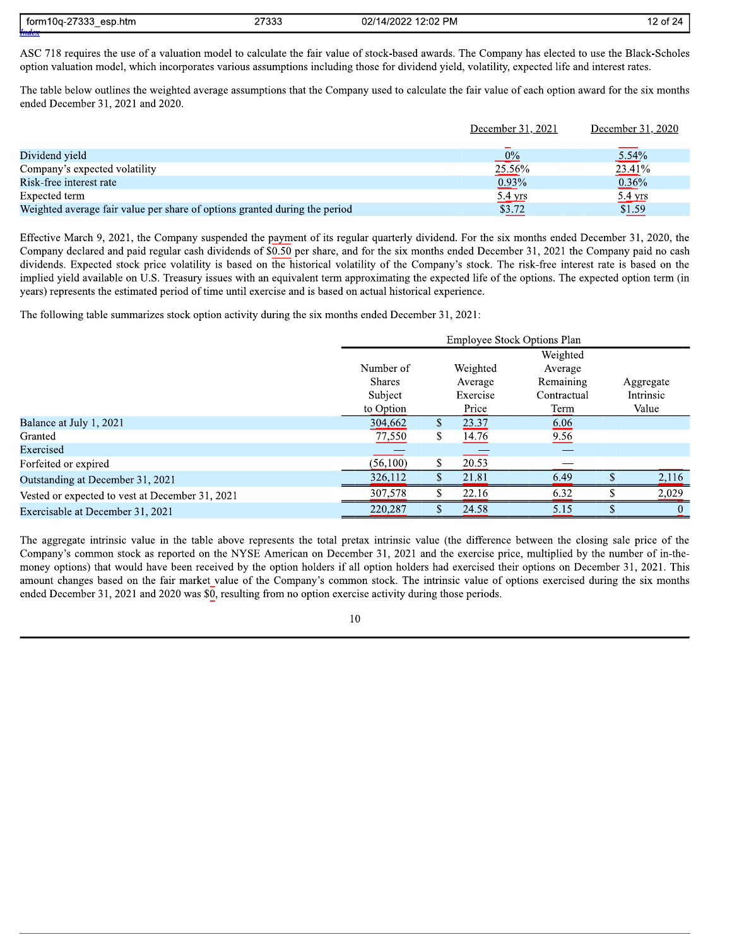| $112 -$<br>torm<br>esp.htm<br>$1.11 - 7.7$<br>, , , , ,<br>$\overline{\phantom{a}}$ | ר 2333<br>21,000 | ?:02 PM<br>10000<br>02/14/2<br>$\mathbf{u}$ | $\sim$ $\sim$ $\sim$<br>$\cdot$ , $\prime$<br>ΟT |
|-------------------------------------------------------------------------------------|------------------|---------------------------------------------|--------------------------------------------------|
|                                                                                     |                  |                                             |                                                  |

ASC 718 requires the use of a valuation model to calculate the fair value of stock-based awards. The Company has elected to use the Black-Scholes option valuation model, which incorporates various assumptions including those for dividend yield, volatility, expected life and interest rates.

The table below outlines the weighted average assumptions that the Company used to calculate the fair value of each option award for the six months ended December 31, 2021 and 2020.

|                                                                            | December 31, 2021 | December 31, 2020 |
|----------------------------------------------------------------------------|-------------------|-------------------|
|                                                                            |                   |                   |
| Dividend yield                                                             | $\frac{0\%}{2}$   | $5.54\%$          |
| Company's expected volatility                                              | 25.56%            | 23.41%            |
| Risk-free interest rate                                                    | $0.93\%$          | $0.36\%$          |
| Expected term                                                              | 5.4 yrs           | $5.4$ yrs         |
| Weighted average fair value per share of options granted during the period | \$3.72            | \$1.59            |

Effective March 9, 2021, the Company suspended the payment of its regular quarterly dividend. For the six months ended December 31, 2020, the Company declared and paid regular cash dividends of \$0.50 per share, and for the six months ended December 31, 2021 the Company paid no cash dividends. Expected stock price volatility is based on the historical volatility of the Company's stock. The risk-free interest rate is based on the implied yield available on U.S. Treasury issues with an equivalent term approximating the expected life of the options. The expected option term (in years) represents the estimated period of time until exercise and is based on actual historical experience.

The following table summarizes stock option activity during the six months ended December 31, 2021:

|                                                 |               |    |          | <b>Employee Stock Options Plan</b> |   |           |
|-------------------------------------------------|---------------|----|----------|------------------------------------|---|-----------|
|                                                 |               |    |          | Weighted                           |   |           |
|                                                 | Number of     |    | Weighted | Average                            |   |           |
|                                                 | <b>Shares</b> |    | Average  | Remaining                          |   | Aggregate |
|                                                 | Subject       |    | Exercise | Contractual                        |   | Intrinsic |
|                                                 | to Option     |    | Price    | Term                               |   | Value     |
| Balance at July 1, 2021                         | 304,662       | \$ | 23.37    | 6.06                               |   |           |
| Granted                                         | 77,550        | \$ | 14.76    | 9.56                               |   |           |
| Exercised                                       |               |    |          |                                    |   |           |
| Forfeited or expired                            | (56,100)      | \$ | 20.53    |                                    |   |           |
| Outstanding at December 31, 2021                | 326,112       | \$ | 21.81    | 6.49                               |   | 2,116     |
| Vested or expected to vest at December 31, 2021 | 307,578       | ъ  | 22.16    | 6.32                               |   | 2,029     |
| Exercisable at December 31, 2021                | 220,287       | S. | 24.58    | 5.15                               | S | $\theta$  |

The aggregate intrinsic value in the table above represents the total pretax intrinsic value (the difference between the closing sale price of the Company's common stock as reported on the NYSE American on December 31, 2021 and the exercise price, multiplied by the number of in-themoney options) that would have been received by the option holders if all option holders had exercised their options on December 31, 2021. This amount changes based on the fair market value of the Company's common stock. The intrinsic value of options exercised during the six months ended December 31, 2021 and 2020 was \$0, resulting from no option exercise activity during those periods.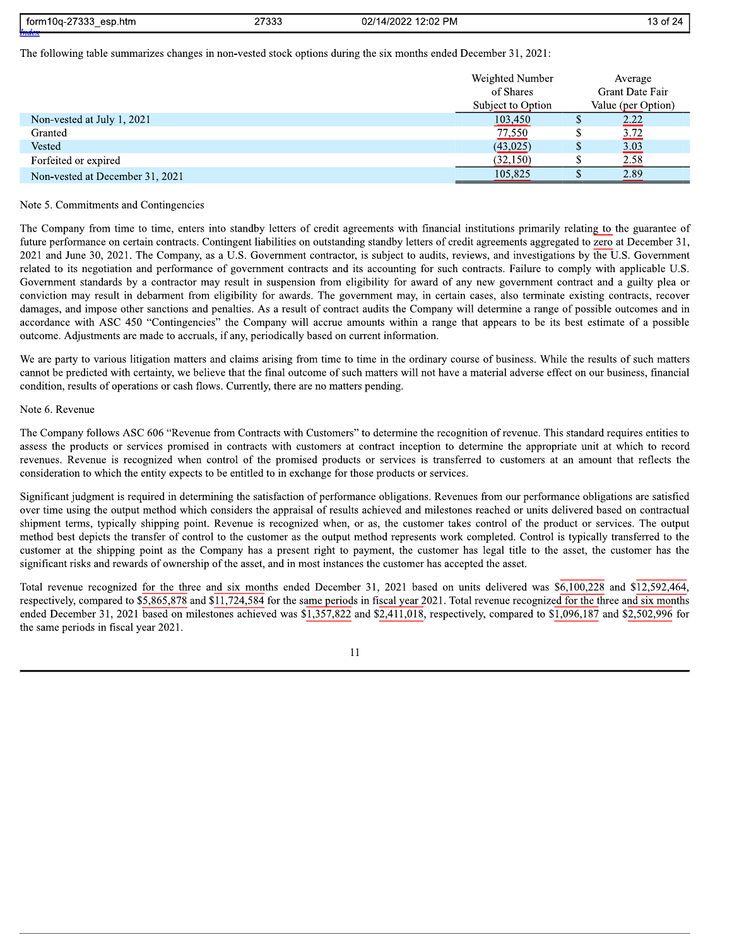| つつつつ<br>≀10a-2<br>torm1<br>esp.htm<br>.<br>$\overline{\phantom{a}}$ | つフつつつ<br>טטט ו | 02 PM<br>ררחריו<br>Ŵ<br>$.121^{4}$<br>-2.02<br>4 ا<br>ZUZ. | ี่ ี่<br>$\lambda$<br>. |
|---------------------------------------------------------------------|----------------|------------------------------------------------------------|-------------------------|
| dan alan s                                                          |                |                                                            |                         |

The following table summarizes changes in non-vested stock options during the six months ended December 31, 2021:

|                                 | Weighted Number<br>of Shares<br>Subject to Option |    | Average<br>Grant Date Fair<br>Value (per Option) |
|---------------------------------|---------------------------------------------------|----|--------------------------------------------------|
|                                 |                                                   |    |                                                  |
| Non-vested at July 1, 2021      | 103,450                                           |    | 2.22                                             |
| Granted                         | 77,550                                            |    | 3.72                                             |
| Vested                          | (43,025)                                          | \$ | 3.03                                             |
| Forfeited or expired            | (32,150)                                          |    | 2.58                                             |
| Non-vested at December 31, 2021 | 105,825                                           |    | 2.89                                             |

#### Note 5. Commitments and Contingencies

The Company from time to time, enters into standby letters of credit agreements with financial institutions primarily relating to the guarantee of future performance on certain contracts. Contingent liabilities on outstanding standby letters of credit agreements aggregated to zero at December 31, 2021 and June 30, 2021. The Company, as a U.S. Government contractor, is subject to audits, reviews, and investigations by the U.S. Government related to its negotiation and performance of government contracts and its accounting for such contracts. Failure to comply with applicable U.S. Government standards by a contractor may result in suspension from eligibility for award of any new government contract and a guilty plea or conviction may result in debarment from eligibility for awards. The government may, in certain cases, also terminate existing contracts, recover damages, and impose other sanctions and penalties. As a result of contract audits the Company will determine a range of possible outcomes and in accordance with ASC 450 "Contingencies" the Company will accrue amounts within a range that appears to be its best estimate of a possible outcome. Adjustments are made to accruals, if any, periodically based on current information.

We are party to various litigation matters and claims arising from time to time in the ordinary course of business. While the results of such matters cannot be predicted with certainty, we believe that the final outcome of such matters will not have a material adverse effect on our business, financial condition, results of operations or cash flows. Currently, there are no matters pending.

#### Note 6. Revenue

The Company follows ASC 606 "Revenue from Contracts with Customers" to determine the recognition of revenue. This standard requires entities to assess the products or services promised in contracts with customers at contract inception to determine the appropriate unit at which to record revenues. Revenue is recognized when control of the promised products or services is transferred to customers at an amount that reflects the consideration to which the entity expects to be entitled to in exchange for those products or services.

Significant judgment is required in determining the satisfaction of performance obligations. Revenues from our performance obligations are satisfied over time using the output method which considers the appraisal of results achieved and milestones reached or units delivered based on contractual shipment terms, typically shipping point. Revenue is recognized when, or as, the customer takes control of the product or services. The output method best depicts the transfer of control to the customer as the output method represents work completed. Control is typically transferred to the customer at the shipping point as the Company has a present right to payment, the customer has legal title to the asset, the customer has the significant risks and rewards of ownership of the asset, and in most instances the customer has accepted the asset.

Total revenue recognized for the three and six months ended December 31, 2021 based on units delivered was \$6,100,228 and \$12,592,464, respectively, compared to \$5,865,878 and \$11,724,584 for the same periods in fiscal year 2021. Total revenue recognized for the three and six months ended December 31, 2021 based on milestones achieved was \$1,357,822 and \$2,411,018, respectively, compared to \$1,096,187 and \$2,502,996 for the same periods in fiscal year 2021.

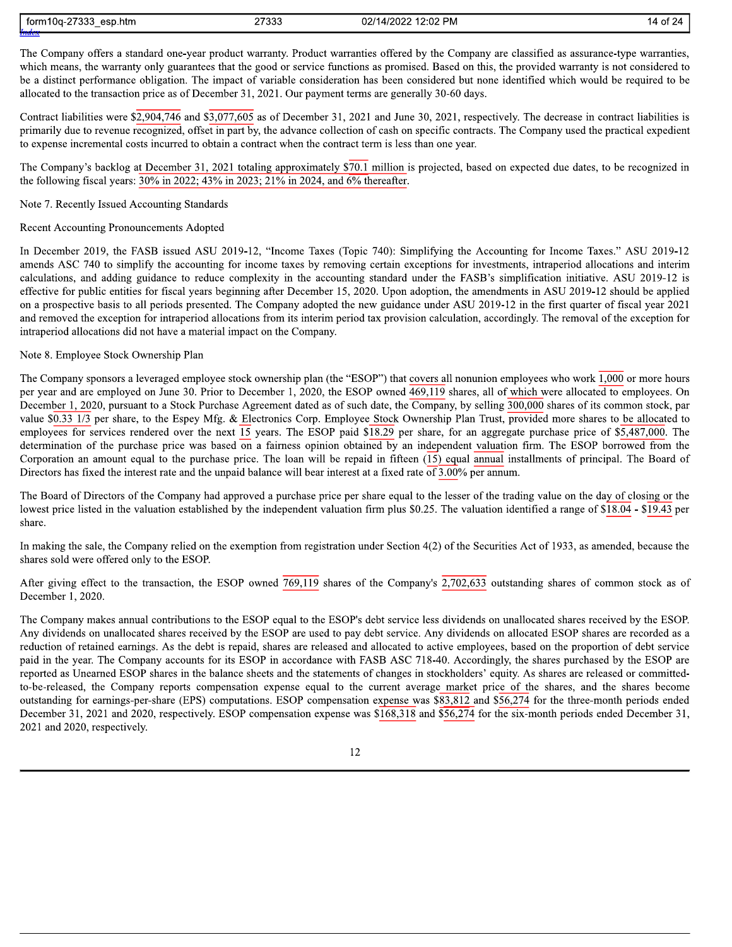| ממרדם<br>$\overline{\phantom{a}}$<br>ı10α-<br>torm1<br>esp.htm<br>.<br>$\sim$ | 27333 | $2:02$ PM<br>مصط∩م.<br>02/1<br>ாட<br>∠UZ | $\sim$<br>-24<br>`of ∠·<br>$\overline{ }$ |
|-------------------------------------------------------------------------------|-------|------------------------------------------|-------------------------------------------|
|                                                                               |       |                                          |                                           |

The Company offers a standard one-year product warranty. Product warranties offered by the Company are classified as assurance-type warranties, which means, the warranty only guarantees that the good or service functions as promised. Based on this, the provided warranty is not considered to be a distinct performance obligation. The impact of variable consideration has been considered but none identified which would be required to be allocated to the transaction price as of December 31, 2021. Our payment terms are generally 30-60 days.

Contract liabilities were \$2,904,746 and \$3,077,605 as of December 31, 2021 and June 30, 2021, respectively. The decrease in contract liabilities is primarily due to revenue recognized, offset in part by, the advance collection of cash on specific contracts. The Company used the practical expedient to expense incremental costs incurred to obtain a contract when the contract term is less than one year.

The Company's backlog at December 31, 2021 totaling approximately \$70.1 million is projected, based on expected due dates, to be recognized in the following fiscal years: 30% in 2022; 43% in 2023; 21% in 2024, and  $\overline{6\%}$  thereafter.

#### Note 7. Recently Issued Accounting Standards

#### Recent Accounting Pronouncements Adopted

In December 2019, the FASB issued ASU 2019-12, "Income Taxes (Topic 740): Simplifying the Accounting for Income Taxes." ASU 2019-12 amends ASC 740 to simplify the accounting for income taxes by removing certain exceptions for investments, intraperiod allocations and interim calculations, and adding guidance to reduce complexity in the accounting standard under the FASB's simplification initiative. ASU 2019-12 is effective for public entities for fiscal years beginning after December 15, 2020. Upon adoption, the amendments in ASU 2019-12 should be applied on a prospective basis to all periods presented. The Company adopted the new guidance under ASU 2019-12 in the first quarter of fiscal year 2021 and removed the exception for intraperiod allocations from its interim period tax provision calculation, accordingly. The removal of the exception for intraperiod allocations did not have a material impact on the Company.

#### Note 8. Employee Stock Ownership Plan

The Company sponsors a leveraged employee stock ownership plan (the "ESOP") that covers all nonunion employees who work 1,000 or more hours per year and are employed on June 30. Prior to December 1, 2020, the ESOP owned 469,119 shares, all of which were allocated to employees. On December 1, 2020, pursuant to a Stock Purchase Agreement dated as of such date, the  $\overline{ Company}$ , by selling 300,000 shares of its common stock, par value  $\frac{60.33 \times 1}{3}$  per share, to the Espey Mfg. & Electronics Corp. Employee Stock Ownership Plan Trust, provided more shares to be allocated to employees for services rendered over the next 15 years. The ESOP paid \$18.29 per share, for an aggregate purchase price of \$5,487,000. The determination of the purchase price was based on a fairness opinion obtained by an independent valuation firm. The ESOP borrowed from the Corporation an amount equal to the purchase price. The loan will be repaid in fifteen (15) equal annual installments of principal. The Board of Directors has fixed the interest rate and the unpaid balance will bear interest at a fixed rate of  $3.00\%$  per annum.

The Board of Directors of the Company had approved a purchase price per share equal to the lesser of the trading value on the day of closing or the lowest price listed in the valuation established by the independent valuation firm plus \$0.25. The valuation identified a range of \$18.04 - \$19.43 per share.

In making the sale, the Company relied on the exemption from registration under Section 4(2) of the Securities Act of 1933, as amended, because the shares sold were offered only to the ESOP.

After giving effect to the transaction, the ESOP owned  $\overline{769,119}$  shares of the Company's  $\overline{2,702,633}$  outstanding shares of common stock as of December 1, 2020.

The Company makes annual contributions to the ESOP equal to the ESOP's debt service less dividends on unallocated shares received by the ESOP. Any dividends on unallocated shares received by the ESOP are used to pay debt service. Any dividends on allocated ESOP shares are recorded as a reduction of retained earnings. As the debt is repaid, shares are released and allocated to active employees, based on the proportion of debt service paid in the year. The Company accounts for its ESOP in accordance with FASB ASC 718-40. Accordingly, the shares purchased by the ESOP are reported as Unearned ESOP shares in the balance sheets and the statements of changes in stockholders' equity. As shares are released or committedto-be-released, the Company reports compensation expense equal to the current average market price of the shares, and the shares become outstanding for earnings-per-share (EPS) computations. ESOP compensation expense was \$83,812 and \$56,274 for the three-month periods ended December 31, 2021 and 2020, respectively. ESOP compensation expense was \$168,318 and \$56,274 for the six-month periods ended December 31, 2021 and 2020, respectively.

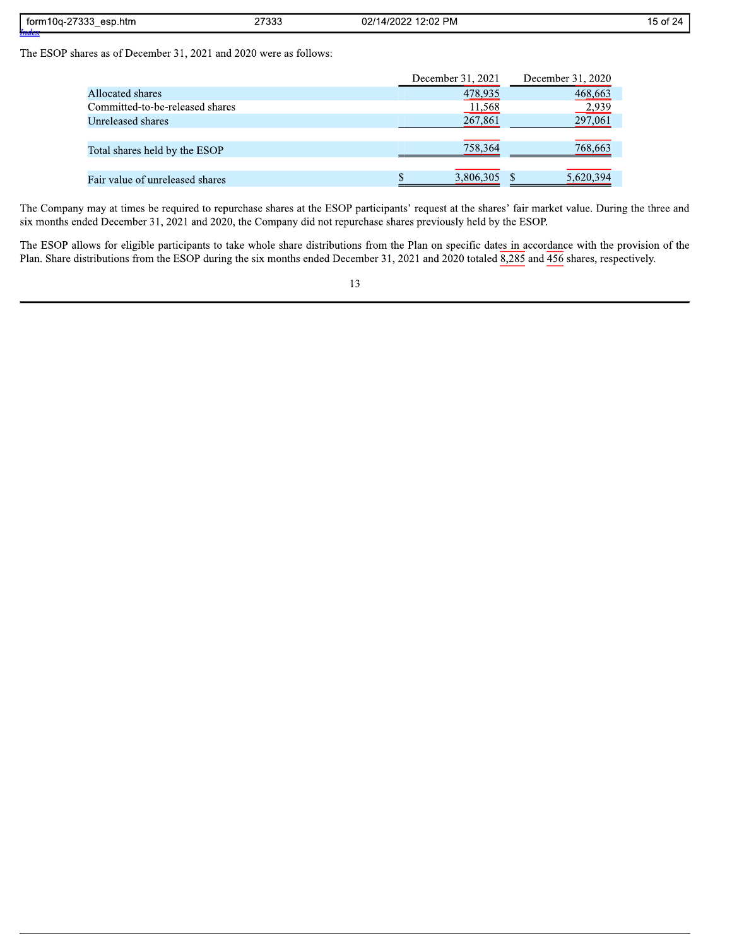| 77000<br>$\mathbf{a}$<br>torm<br>esp.htm<br>- 300-20<br>.<br>$\overline{\phantom{a}}$ | ን7333 | <b>PM</b><br>ം റല<br>ົ<br>״מחמו<br>$\cdot$<br>- UZ<br>- 17 | $\sim$<br>^*<br>,,<br>. |
|---------------------------------------------------------------------------------------|-------|------------------------------------------------------------|-------------------------|
| . <i>.</i>                                                                            |       |                                                            |                         |

The ESOP shares as of December 31, 2021 and 2020 were as follows:

|                                 | December 31, 2021 | December 31, 2020 |
|---------------------------------|-------------------|-------------------|
| Allocated shares                | 478,935           | 468,663           |
| Committed-to-be-released shares | <u>11,568</u>     | 2,939             |
| Unreleased shares               | 267,861           | 297,061           |
|                                 |                   |                   |
| Total shares held by the ESOP   | 758,364           | 768,663           |
|                                 |                   |                   |
| Fair value of unreleased shares | 3,806,305         | 5,620,394         |

The Company may at times be required to repurchase shares at the ESOP participants' request at the shares' fair market value. During the three and six months ended December 31, 2021 and 2020, the Company did not repurchase shares previously held by the ESOP.

The ESOP allows for eligible participants to take whole share distributions from the Plan on specific dates in accordance with the provision of the Plan. Share distributions from the ESOP during the six months ended December 31, 2021 and 2020 totaled  $\overline{8,285}$  and  $\overline{456}$  shares, respectively.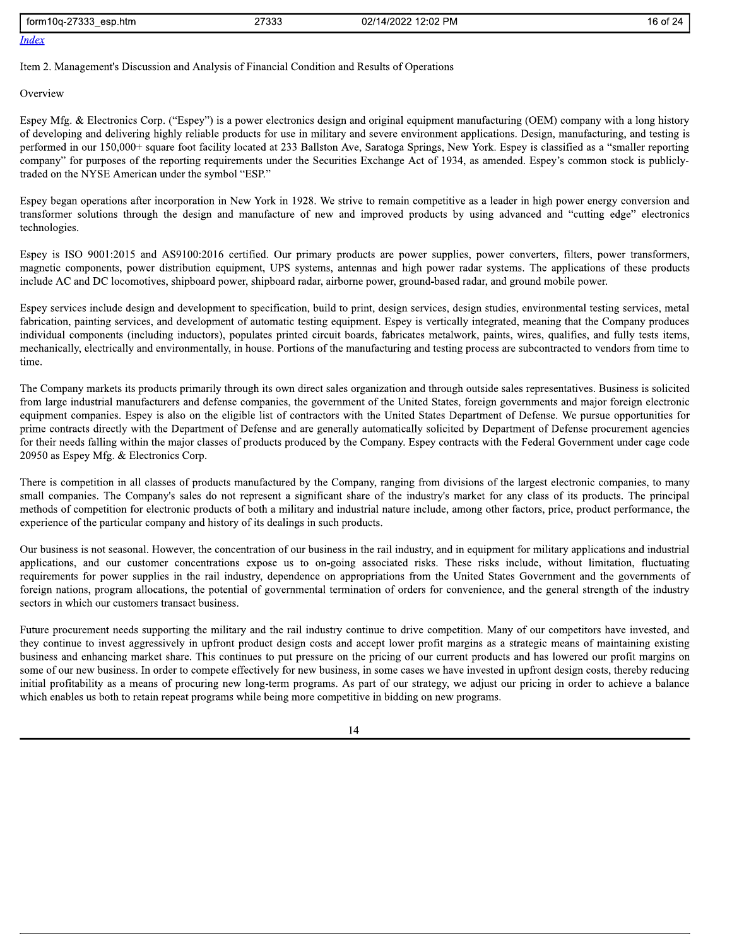| <b>CCCC</b><br>، form10a-2<br>esp.htm<br>טטט ו∴ | 07000<br>21 JJJ | $\sim$<br>12.02<br>02/14/2022<br>РM | $\sim$ $\sim$ $\sim$<br>16<br>$-+$<br>24 |
|-------------------------------------------------|-----------------|-------------------------------------|------------------------------------------|
| <b>Index</b>                                    |                 |                                     |                                          |

Item 2. Management's Discussion and Analysis of Financial Condition and Results of Operations

#### Overview

Espey Mfg. & Electronics Corp. ("Espey") is a power electronics design and original equipment manufacturing (OEM) company with a long history of developing and delivering highly reliable products for use in military and severe environment applications. Design, manufacturing, and testing is performed in our 150,000+ square foot facility located at 233 Ballston Ave, Saratoga Springs, New York. Espey is classified as a "smaller reporting company" for purposes of the reporting requirements under the Securities Exchange Act of 1934, as amended. Espey's common stock is publiclytraded on the NYSE American under the symbol "ESP."

Espey began operations after incorporation in New York in 1928. We strive to remain competitive as a leader in high power energy conversion and transformer solutions through the design and manufacture of new and improved products by using advanced and "cutting edge" electronics technologies.

Espey is ISO 9001:2015 and AS9100:2016 certified. Our primary products are power supplies, power converters, filters, power transformers, magnetic components, power distribution equipment, UPS systems, antennas and high power radar systems. The applications of these products include AC and DC locomotives, shipboard power, shipboard radar, airborne power, ground-based radar, and ground mobile power.

Espey services include design and development to specification, build to print, design services, design studies, environmental testing services, metal fabrication, painting services, and development of automatic testing equipment. Espey is vertically integrated, meaning that the Company produces individual components (including inductors), populates printed circuit boards, fabricates metalwork, paints, wires, qualifies, and fully tests items, mechanically, electrically and environmentally, in house. Portions of the manufacturing and testing process are subcontracted to vendors from time to time.

The Company markets its products primarily through its own direct sales organization and through outside sales representatives. Business is solicited from large industrial manufacturers and defense companies, the government of the United States, foreign governments and major foreign electronic equipment companies. Espey is also on the eligible list of contractors with the United States Department of Defense. We pursue opportunities for prime contracts directly with the Department of Defense and are generally automatically solicited by Department of Defense procurement agencies for their needs falling within the major classes of products produced by the Company. Espey contracts with the Federal Government under cage code 20950 as Espey Mfg. & Electronics Corp.

There is competition in all classes of products manufactured by the Company, ranging from divisions of the largest electronic companies, to many small companies. The Company's sales do not represent a significant share of the industry's market for any class of its products. The principal methods of competition for electronic products of both a military and industrial nature include, among other factors, price, product performance, the experience of the particular company and history of its dealings in such products.

Our business is not seasonal. However, the concentration of our business in the rail industry, and in equipment for military applications and industrial applications, and our customer concentrations expose us to on-going associated risks. These risks include, without limitation, fluctuating requirements for power supplies in the rail industry, dependence on appropriations from the United States Government and the governments of foreign nations, program allocations, the potential of governmental termination of orders for convenience, and the general strength of the industry sectors in which our customers transact business.

Future procurement needs supporting the military and the rail industry continue to drive competition. Many of our competitors have invested, and they continue to invest aggressively in upfront product design costs and accept lower profit margins as a strategic means of maintaining existing business and enhancing market share. This continues to put pressure on the pricing of our current products and has lowered our profit margins on some of our new business. In order to compete effectively for new business, in some cases we have invested in upfront design costs, thereby reducing initial profitability as a means of procuring new long-term programs. As part of our strategy, we adjust our pricing in order to achieve a balance which enables us both to retain repeat programs while being more competitive in bidding on new programs.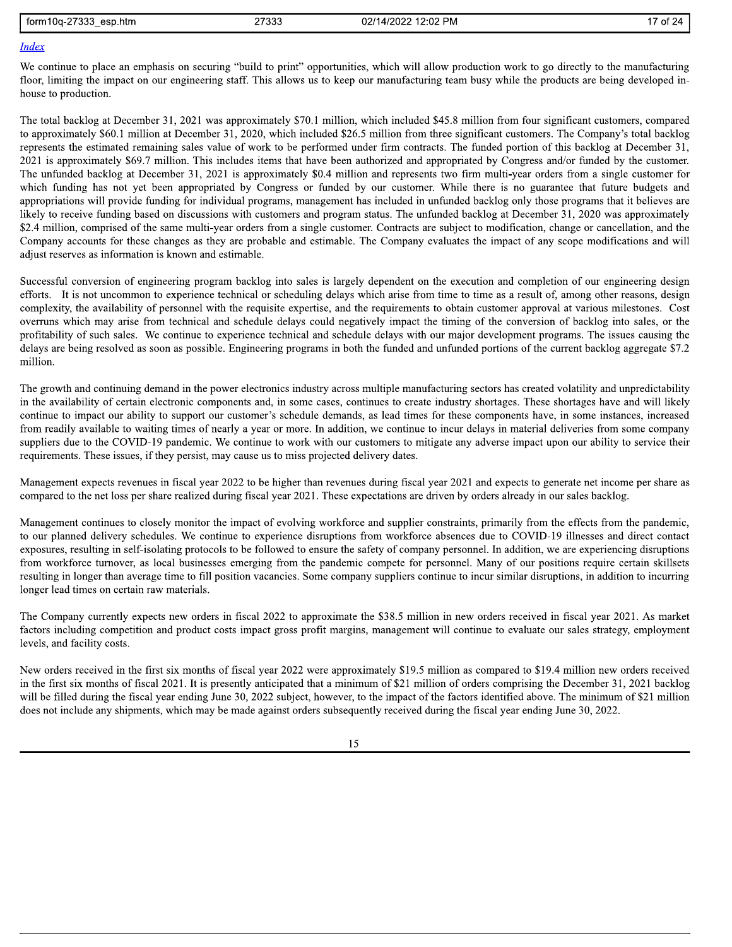| form10a-27333<br>esp.htm | . המדי<br>ാാക | 02/14/2022 12:02 PM |
|--------------------------|---------------|---------------------|
|                          |               |                     |

### **Index**

We continue to place an emphasis on securing "build to print" opportunities, which will allow production work to go directly to the manufacturing floor, limiting the impact on our engineering staff. This allows us to keep our manufacturing team busy while the products are being developed inhouse to production.

The total backlog at December 31, 2021 was approximately \$70.1 million, which included \$45.8 million from four significant customers, compared to approximately \$60.1 million at December 31, 2020, which included \$26.5 million from three significant customers. The Company's total backlog represents the estimated remaining sales value of work to be performed under firm contracts. The funded portion of this backlog at December 31, 2021 is approximately \$69.7 million. This includes items that have been authorized and appropriated by Congress and/or funded by the customer. The unfunded backlog at December 31, 2021 is approximately \$0.4 million and represents two firm multi-vear orders from a single customer for which funding has not yet been appropriated by Congress or funded by our customer. While there is no guarantee that future budgets and appropriations will provide funding for individual programs, management has included in unfunded backlog only those programs that it believes are likely to receive funding based on discussions with customers and program status. The unfunded backlog at December 31, 2020 was approximately \$2.4 million, comprised of the same multi-year orders from a single customer. Contracts are subject to modification, change or cancellation, and the Company accounts for these changes as they are probable and estimable. The Company evaluates the impact of any scope modifications and will adjust reserves as information is known and estimable.

Successful conversion of engineering program backlog into sales is largely dependent on the execution and completion of our engineering design efforts. It is not uncommon to experience technical or scheduling delays which arise from time to time as a result of, among other reasons, design complexity, the availability of personnel with the requisite expertise, and the requirements to obtain customer approval at various milestones. Cost overruns which may arise from technical and schedule delays could negatively impact the timing of the conversion of backlog into sales, or the profitability of such sales. We continue to experience technical and schedule delays with our major development programs. The issues causing the delays are being resolved as soon as possible. Engineering programs in both the funded and unfunded portions of the current backlog aggregate \$7.2 million.

The growth and continuing demand in the power electronics industry across multiple manufacturing sectors has created volatility and unpredictability in the availability of certain electronic components and, in some cases, continues to create industry shortages. These shortages have and will likely continue to impact our ability to support our customer's schedule demands, as lead times for these components have, in some instances, increased from readily available to waiting times of nearly a year or more. In addition, we continue to incur delays in material deliveries from some company suppliers due to the COVID-19 pandemic. We continue to work with our customers to mitigate any adverse impact upon our ability to service their requirements. These issues, if they persist, may cause us to miss projected delivery dates.

Management expects revenues in fiscal year 2022 to be higher than revenues during fiscal year 2021 and expects to generate net income per share as compared to the net loss per share realized during fiscal year 2021. These expectations are driven by orders already in our sales backlog.

Management continues to closely monitor the impact of evolving workforce and supplier constraints, primarily from the effects from the pandemic, to our planned delivery schedules. We continue to experience disruptions from workforce absences due to COVID-19 illnesses and direct contact exposures, resulting in self-isolating protocols to be followed to ensure the safety of company personnel. In addition, we are experiencing disruptions from workforce turnover, as local businesses emerging from the pandemic compete for personnel. Many of our positions require certain skillsets resulting in longer than average time to fill position vacancies. Some company suppliers continue to incur similar disruptions, in addition to incurring longer lead times on certain raw materials.

The Company currently expects new orders in fiscal 2022 to approximate the \$38.5 million in new orders received in fiscal year 2021. As market factors including competition and product costs impact gross profit margins, management will continue to evaluate our sales strategy, employment levels, and facility costs.

New orders received in the first six months of fiscal year 2022 were approximately \$19.5 million as compared to \$19.4 million new orders received in the first six months of fiscal 2021. It is presently anticipated that a minimum of \$21 million of orders comprising the December 31, 2021 backlog will be filled during the fiscal year ending June 30, 2022 subject, however, to the impact of the factors identified above. The minimum of \$21 million does not include any shipments, which may be made against orders subsequently received during the fiscal year ending June 30, 2022.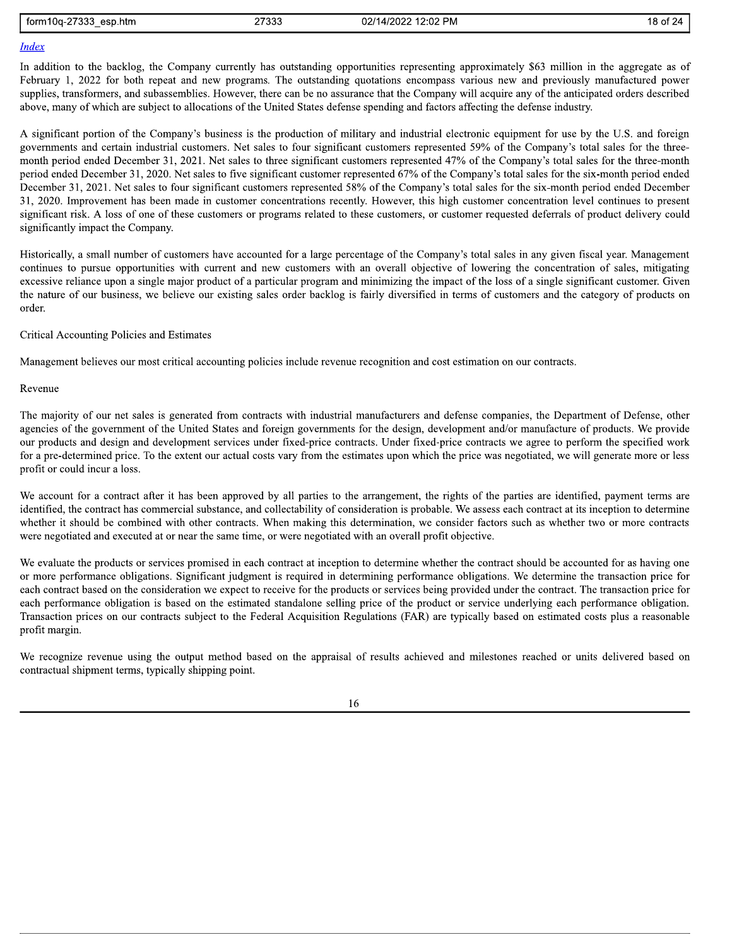| 2722<br>torm10a<br>esp.htm<br>. .<br>uu.<br>$\sim$ | つフつつつ<br>21999 | 12:02 PM<br>021<br>$\overline{\phantom{a}}$<br>⊿2∩2≏<br>$\mathbf{1}$<br>. .<br>'UZ. | . . |
|----------------------------------------------------|----------------|-------------------------------------------------------------------------------------|-----|
|                                                    |                |                                                                                     |     |

## **Index**

In addition to the backlog, the Company currently has outstanding opportunities representing approximately \$63 million in the aggregate as of February 1, 2022 for both repeat and new programs. The outstanding quotations encompass various new and previously manufactured power supplies, transformers, and subassemblies. However, there can be no assurance that the Company will acquire any of the anticipated orders described above, many of which are subject to allocations of the United States defense spending and factors affecting the defense industry.

A significant portion of the Company's business is the production of military and industrial electronic equipment for use by the U.S. and foreign governments and certain industrial customers. Net sales to four significant customers represented 59% of the Company's total sales for the threemonth period ended December 31, 2021. Net sales to three significant customers represented 47% of the Company's total sales for the three-month period ended December 31, 2020. Net sales to five significant customer represented 67% of the Company's total sales for the six-month period ended December 31, 2021. Net sales to four significant customers represented 58% of the Company's total sales for the six-month period ended December 31, 2020. Improvement has been made in customer concentrations recently. However, this high customer concentration level continues to present significant risk. A loss of one of these customers or programs related to these customers, or customer requested deferrals of product delivery could significantly impact the Company.

Historically, a small number of customers have accounted for a large percentage of the Company's total sales in any given fiscal year. Management continues to pursue opportunities with current and new customers with an overall objective of lowering the concentration of sales, mitigating excessive reliance upon a single major product of a particular program and minimizing the impact of the loss of a single significant customer. Given the nature of our business, we believe our existing sales order backlog is fairly diversified in terms of customers and the category of products on order.

**Critical Accounting Policies and Estimates** 

Management believes our most critical accounting policies include revenue recognition and cost estimation on our contracts.

Revenue

The majority of our net sales is generated from contracts with industrial manufacturers and defense companies, the Department of Defense, other agencies of the government of the United States and foreign governments for the design, development and/or manufacture of products. We provide our products and design and development services under fixed-price contracts. Under fixed-price contracts we agree to perform the specified work for a pre-determined price. To the extent our actual costs vary from the estimates upon which the price was negotiated, we will generate more or less profit or could incur a loss.

We account for a contract after it has been approved by all parties to the arrangement, the rights of the parties are identified, payment terms are identified, the contract has commercial substance, and collectability of consideration is probable. We assess each contract at its inception to determine whether it should be combined with other contracts. When making this determination, we consider factors such as whether two or more contracts were negotiated and executed at or near the same time, or were negotiated with an overall profit objective.

We evaluate the products or services promised in each contract at inception to determine whether the contract should be accounted for as having one or more performance obligations. Significant judgment is required in determining performance obligations. We determine the transaction price for each contract based on the consideration we expect to receive for the products or services being provided under the contract. The transaction price for each performance obligation is based on the estimated standalone selling price of the product or service underlying each performance obligation. Transaction prices on our contracts subject to the Federal Acquisition Regulations (FAR) are typically based on estimated costs plus a reasonable profit margin.

We recognize revenue using the output method based on the appraisal of results achieved and milestones reached or units delivered based on contractual shipment terms, typically shipping point.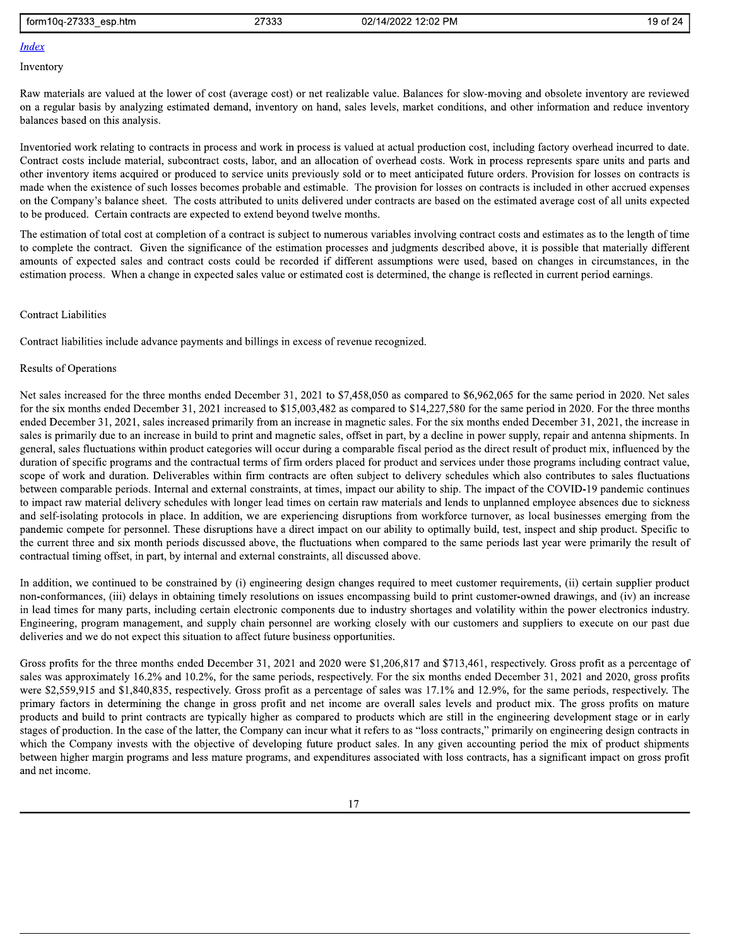#### form10q-27333 esp.htm

27333

#### **Index**

Inventory

Raw materials are valued at the lower of cost (average cost) or net realizable value. Balances for slow-moving and obsolete inventory are reviewed on a regular basis by analyzing estimated demand, inventory on hand, sales levels, market conditions, and other information and reduce inventory balances based on this analysis.

Inventoried work relating to contracts in process and work in process is valued at actual production cost, including factory overhead incurred to date. Contract costs include material, subcontract costs, labor, and an allocation of overhead costs. Work in process represents spare units and parts and other inventory items acquired or produced to service units previously sold or to meet anticipated future orders. Provision for losses on contracts is made when the existence of such losses becomes probable and estimable. The provision for losses on contracts is included in other accrued expenses on the Company's balance sheet. The costs attributed to units delivered under contracts are based on the estimated average cost of all units expected to be produced. Certain contracts are expected to extend beyond twelve months.

The estimation of total cost at completion of a contract is subject to numerous variables involving contract costs and estimates as to the length of time to complete the contract. Given the significance of the estimation processes and judgments described above, it is possible that materially different amounts of expected sales and contract costs could be recorded if different assumptions were used, based on changes in circumstances, in the estimation process. When a change in expected sales value or estimated cost is determined, the change is reflected in current period earnings.

#### **Contract Liabilities**

Contract liabilities include advance payments and billings in excess of revenue recognized.

#### **Results of Operations**

Net sales increased for the three months ended December 31, 2021 to \$7,458,050 as compared to \$6,962,065 for the same period in 2020. Net sales for the six months ended December 31, 2021 increased to \$15,003,482 as compared to \$14,227,580 for the same period in 2020. For the three months ended December 31, 2021, sales increased primarily from an increase in magnetic sales. For the six months ended December 31, 2021, the increase in sales is primarily due to an increase in build to print and magnetic sales, offset in part, by a decline in power supply, repair and antenna shipments. In general, sales fluctuations within product categories will occur during a comparable fiscal period as the direct result of product mix, influenced by the duration of specific programs and the contractual terms of firm orders placed for product and services under those programs including contract value, scope of work and duration. Deliverables within firm contracts are often subject to delivery schedules which also contributes to sales fluctuations between comparable periods. Internal and external constraints, at times, impact our ability to ship. The impact of the COVID-19 pandemic continues to impact raw material delivery schedules with longer lead times on certain raw materials and lends to unplanned employee absences due to sickness and self-isolating protocols in place. In addition, we are experiencing disruptions from workforce turnover, as local businesses emerging from the pandemic compete for personnel. These disruptions have a direct impact on our ability to optimally build, test, inspect and ship product. Specific to the current three and six month periods discussed above, the fluctuations when compared to the same periods last year were primarily the result of contractual timing offset, in part, by internal and external constraints, all discussed above.

In addition, we continued to be constrained by (i) engineering design changes required to meet customer requirements, (ii) certain supplier product non-conformances, (iii) delays in obtaining timely resolutions on issues encompassing build to print customer-owned drawings, and (iv) an increase in lead times for many parts, including certain electronic components due to industry shortages and volatility within the power electronics industry. Engineering, program management, and supply chain personnel are working closely with our customers and suppliers to execute on our past due deliveries and we do not expect this situation to affect future business opportunities.

Gross profits for the three months ended December 31, 2021 and 2020 were \$1,206,817 and \$713,461, respectively. Gross profit as a percentage of sales was approximately 16.2% and 10.2%, for the same periods, respectively. For the six months ended December 31, 2021 and 2020, gross profits were \$2,559,915 and \$1,840,835, respectively. Gross profit as a percentage of sales was 17.1% and 12.9%, for the same periods, respectively. The primary factors in determining the change in gross profit and net income are overall sales levels and product mix. The gross profits on mature products and build to print contracts are typically higher as compared to products which are still in the engineering development stage or in early stages of production. In the case of the latter, the Company can incur what it refers to as "loss contracts," primarily on engineering design contracts in which the Company invests with the objective of developing future product sales. In any given accounting period the mix of product shipments between higher margin programs and less mature programs, and expenditures associated with loss contracts, has a significant impact on gross profit and net income.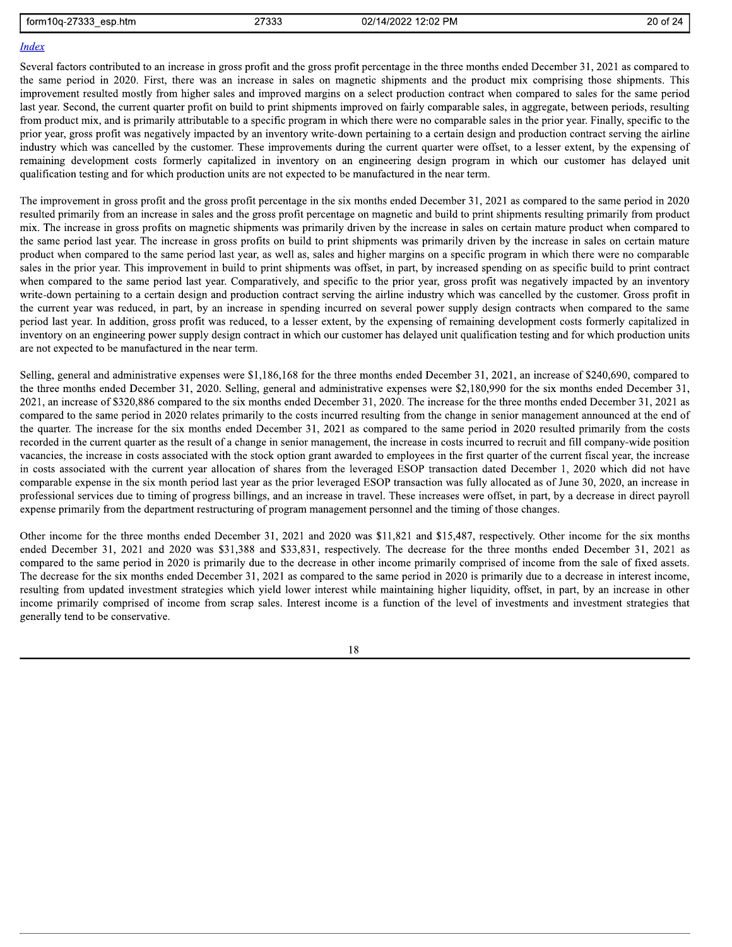form10q-27333 esp.htm

27333

#### **Index**

Several factors contributed to an increase in gross profit and the gross profit percentage in the three months ended December 31, 2021 as compared to the same period in 2020. First, there was an increase in sales on magnetic shipments and the product mix comprising those shipments. This improvement resulted mostly from higher sales and improved margins on a select production contract when compared to sales for the same period last year. Second, the current quarter profit on build to print shipments improved on fairly comparable sales, in aggregate, between periods, resulting from product mix, and is primarily attributable to a specific program in which there were no comparable sales in the prior year. Finally, specific to the prior year, gross profit was negatively impacted by an inventory write-down pertaining to a certain design and production contract serving the airline industry which was cancelled by the customer. These improvements during the current quarter were offset, to a lesser extent, by the expensing of remaining development costs formerly capitalized in inventory on an engineering design program in which our customer has delayed unit qualification testing and for which production units are not expected to be manufactured in the near term.

The improvement in gross profit and the gross profit percentage in the six months ended December 31, 2021 as compared to the same period in 2020 resulted primarily from an increase in sales and the gross profit percentage on magnetic and build to print shipments resulting primarily from product mix. The increase in gross profits on magnetic shipments was primarily driven by the increase in sales on certain mature product when compared to the same period last year. The increase in gross profits on build to print shipments was primarily driven by the increase in sales on certain mature product when compared to the same period last year, as well as, sales and higher margins on a specific program in which there were no comparable sales in the prior year. This improvement in build to print shipments was offset, in part, by increased spending on as specific build to print contract when compared to the same period last year. Comparatively, and specific to the prior year, gross profit was negatively impacted by an inventory write-down pertaining to a certain design and production contract serving the airline industry which was cancelled by the customer. Gross profit in the current year was reduced, in part, by an increase in spending incurred on several power supply design contracts when compared to the same period last year. In addition, gross profit was reduced, to a lesser extent, by the expensing of remaining development costs formerly capitalized in inventory on an engineering power supply design contract in which our customer has delayed unit qualification testing and for which production units are not expected to be manufactured in the near term.

Selling, general and administrative expenses were \$1,186,168 for the three months ended December 31, 2021, an increase of \$240,690, compared to the three months ended December 31, 2020. Selling, general and administrative expenses were \$2,180,990 for the six months ended December 31, 2021, an increase of \$320,886 compared to the six months ended December 31, 2020. The increase for the three months ended December 31, 2021 as compared to the same period in 2020 relates primarily to the costs incurred resulting from the change in senior management announced at the end of the quarter. The increase for the six months ended December 31, 2021 as compared to the same period in 2020 resulted primarily from the costs recorded in the current quarter as the result of a change in senior management, the increase in costs incurred to recruit and fill company-wide position vacancies, the increase in costs associated with the stock option grant awarded to employees in the first quarter of the current fiscal year, the increase in costs associated with the current year allocation of shares from the leveraged ESOP transaction dated December 1, 2020 which did not have comparable expense in the six month period last year as the prior leveraged ESOP transaction was fully allocated as of June 30, 2020, an increase in professional services due to timing of progress billings, and an increase in travel. These increases were offset, in part, by a decrease in direct payroll expense primarily from the department restructuring of program management personnel and the timing of those changes.

Other income for the three months ended December 31, 2021 and 2020 was \$11,821 and \$15,487, respectively. Other income for the six months ended December 31, 2021 and 2020 was \$31,388 and \$33,831, respectively. The decrease for the three months ended December 31, 2021 as compared to the same period in 2020 is primarily due to the decrease in other income primarily comprised of income from the sale of fixed assets. The decrease for the six months ended December 31, 2021 as compared to the same period in 2020 is primarily due to a decrease in interest income, resulting from updated investment strategies which yield lower interest while maintaining higher liquidity, offset, in part, by an increase in other income primarily comprised of income from scrap sales. Interest income is a function of the level of investments and investment strategies that generally tend to be conservative.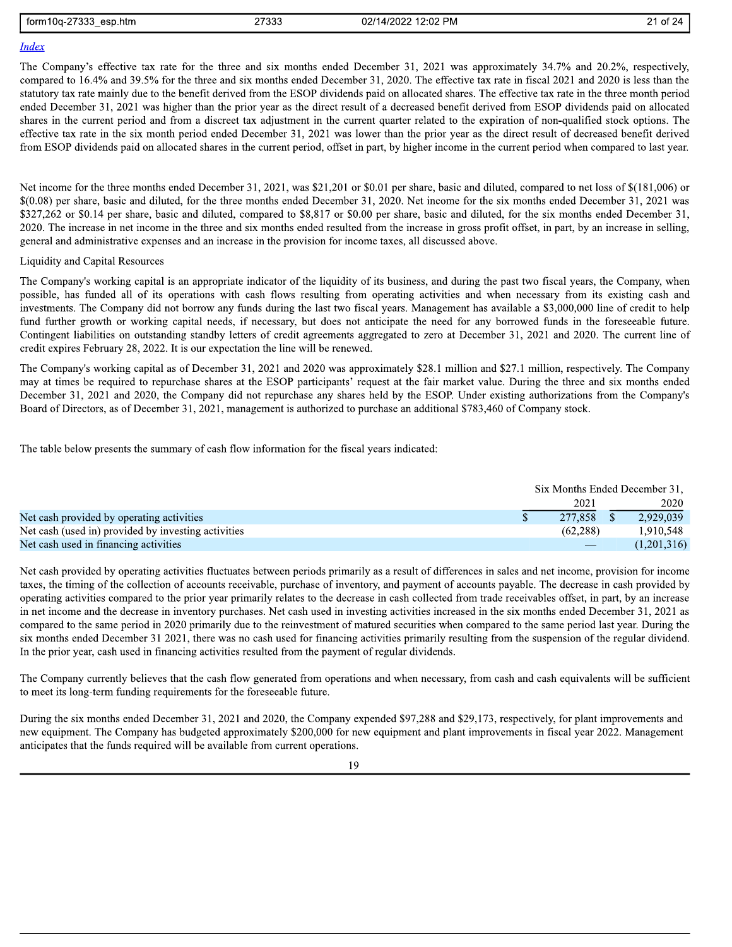| ממדם<br>form1<br>$\sim$<br>htm.<br>esn.<br>$\sim$<br>$\mathbf{u}$ | 27333 | <b>PM</b><br>02/1<br>/2022<br>$\sim$ $\sim$<br>. .<br>$\cdots$<br>14.<br>Z.UZ | . .<br>ີ<br>$\sim$ |
|-------------------------------------------------------------------|-------|-------------------------------------------------------------------------------|--------------------|
| $\overline{\phantom{a}}$                                          | 21000 |                                                                               | <u>.</u>           |

## **Index**

The Company's effective tax rate for the three and six months ended December 31, 2021 was approximately 34.7% and 20.2%, respectively, compared to 16.4% and 39.5% for the three and six months ended December 31, 2020. The effective tax rate in fiscal 2021 and 2020 is less than the statutory tax rate mainly due to the benefit derived from the ESOP dividends paid on allocated shares. The effective tax rate in the three month period ended December 31, 2021 was higher than the prior year as the direct result of a decreased benefit derived from ESOP dividends paid on allocated shares in the current period and from a discreet tax adjustment in the current quarter related to the expiration of non-qualified stock options. The effective tax rate in the six month period ended December 31, 2021 was lower than the prior year as the direct result of decreased benefit derived from ESOP dividends paid on allocated shares in the current period, offset in part, by higher income in the current period when compared to last year.

Net income for the three months ended December 31, 2021, was \$21,201 or \$0.01 per share, basic and diluted, compared to net loss of \$(181,006) or \$(0.08) per share, basic and diluted, for the three months ended December 31, 2020. Net income for the six months ended December 31, 2021 was \$327,262 or \$0.14 per share, basic and diluted, compared to \$8,817 or \$0.00 per share, basic and diluted, for the six months ended December 31, 2020. The increase in net income in the three and six months ended resulted from the increase in gross profit offset, in part, by an increase in selling, general and administrative expenses and an increase in the provision for income taxes, all discussed above.

#### **Liquidity and Capital Resources**

The Company's working capital is an appropriate indicator of the liquidity of its business, and during the past two fiscal years, the Company, when possible, has funded all of its operations with cash flows resulting from operating activities and when necessary from its existing cash and investments. The Company did not borrow any funds during the last two fiscal years. Management has available a \$3,000,000 line of credit to help fund further growth or working capital needs, if necessary, but does not anticipate the need for any borrowed funds in the foreseeable future. Contingent liabilities on outstanding standby letters of credit agreements aggregated to zero at December 31, 2021 and 2020. The current line of credit expires February 28, 2022. It is our expectation the line will be renewed.

The Company's working capital as of December 31, 2021 and 2020 was approximately \$28.1 million and \$27.1 million, respectively. The Company may at times be required to repurchase shares at the ESOP participants' request at the fair market value. During the three and six months ended December 31, 2021 and 2020, the Company did not repurchase any shares held by the ESOP. Under existing authorizations from the Company's Board of Directors, as of December 31, 2021, management is authorized to purchase an additional \$783,460 of Company stock.

The table below presents the summary of cash flow information for the fiscal years indicated:

|                                                     | Six Months Ended December 31. |  |             |
|-----------------------------------------------------|-------------------------------|--|-------------|
|                                                     | 2021                          |  | 2020        |
| Net cash provided by operating activities           | 277.858                       |  | 2.929.039   |
| Net cash (used in) provided by investing activities | (62.288)                      |  | 1.910.548   |
| Net cash used in financing activities               |                               |  | (1,201,316) |

Net cash provided by operating activities fluctuates between periods primarily as a result of differences in sales and net income, provision for income taxes, the timing of the collection of accounts receivable, purchase of inventory, and payment of accounts payable. The decrease in cash provided by operating activities compared to the prior year primarily relates to the decrease in cash collected from trade receivables offset, in part, by an increase in net income and the decrease in inventory purchases. Net cash used in investing activities increased in the six months ended December 31, 2021 as compared to the same period in 2020 primarily due to the reinvestment of matured securities when compared to the same period last year. During the six months ended December 31 2021, there was no cash used for financing activities primarily resulting from the suspension of the regular dividend. In the prior year, cash used in financing activities resulted from the payment of regular dividends.

The Company currently believes that the cash flow generated from operations and when necessary, from cash and cash equivalents will be sufficient to meet its long-term funding requirements for the foreseeable future.

During the six months ended December 31, 2021 and 2020, the Company expended \$97,288 and \$29,173, respectively, for plant improvements and new equipment. The Company has budgeted approximately \$200,000 for new equipment and plant improvements in fiscal year 2022. Management anticipates that the funds required will be available from current operations.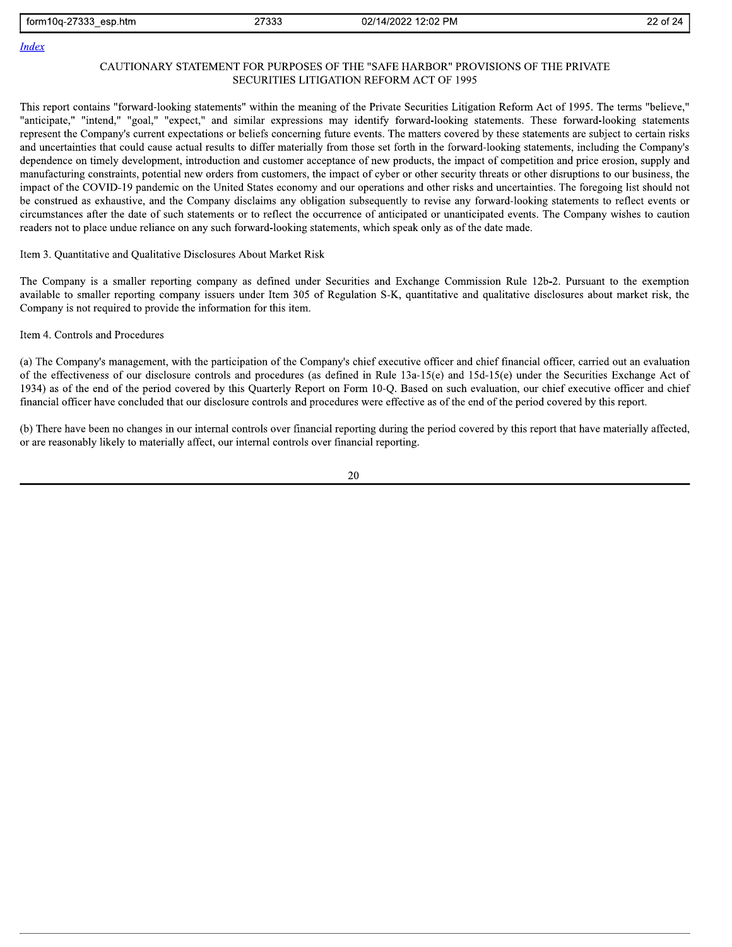form10q-27333 esp.htm 27333 02/14/2022 12:02 PM 22 of 24

#### **Index**

#### CAUTIONARY STATEMENT FOR PURPOSES OF THE "SAFE HARBOR" PROVISIONS OF THE PRIVATE SECURITIES LITIGATION REFORM ACT OF 1995

This report contains "forward-looking statements" within the meaning of the Private Securities Litigation Reform Act of 1995. The terms "believe," "anticipate," "intend," "goal," "expect," and similar expressions may identify forward-looking statements. These forward-looking statements represent the Company's current expectations or beliefs concerning future events. The matters covered by these statements are subject to certain risks and uncertainties that could cause actual results to differ materially from those set forth in the forward-looking statements, including the Company's dependence on timely development, introduction and customer acceptance of new products, the impact of competition and price erosion, supply and manufacturing constraints, potential new orders from customers, the impact of cyber or other security threats or other disruptions to our business, the impact of the COVID-19 pandemic on the United States economy and our operations and other risks and uncertainties. The foregoing list should not be construed as exhaustive, and the Company disclaims any obligation subsequently to revise any forward-looking statements to reflect events or circumstances after the date of such statements or to reflect the occurrence of anticipated or unanticipated events. The Company wishes to caution readers not to place undue reliance on any such forward-looking statements, which speak only as of the date made.

Item 3. Quantitative and Qualitative Disclosures About Market Risk

The Company is a smaller reporting company as defined under Securities and Exchange Commission Rule 12b-2. Pursuant to the exemption available to smaller reporting company issuers under Item 305 of Regulation S-K, quantitative and qualitative disclosures about market risk, the Company is not required to provide the information for this item.

#### Item 4. Controls and Procedures

(a) The Company's management, with the participation of the Company's chief executive officer and chief financial officer, carried out an evaluation of the effectiveness of our disclosure controls and procedures (as defined in Rule 13a-15(e) and 15d-15(e) under the Securities Exchange Act of 1934) as of the end of the period covered by this Quarterly Report on Form 10-Q. Based on such evaluation, our chief executive officer and chief financial officer have concluded that our disclosure controls and procedures were effective as of the end of the period covered by this report.

(b) There have been no changes in our internal controls over financial reporting during the period covered by this report that have materially affected, or are reasonably likely to materially affect, our internal controls over financial reporting.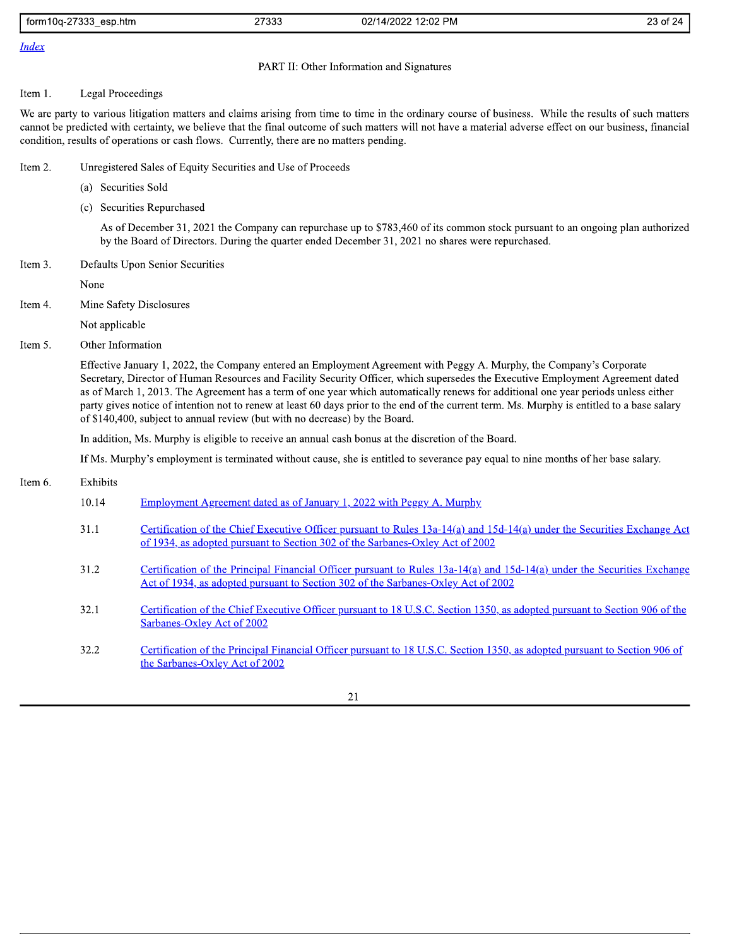| 27000<br>form1<br>esp.htm<br>24-00L،<br>, ഗാ | 27333<br>----- | 2:02 PM<br>$\sqrt{2}$<br>02/<br>., 14/2027 1 | $\sim$<br>r<br>- -<br>. . |
|----------------------------------------------|----------------|----------------------------------------------|---------------------------|
|                                              |                |                                              |                           |

## **Index**

197333\_esp.htm 27333<br>
192/14/2022 12:02 PM<br>
1942<br>
1982<br>
1982<br>
1983<br>
1983<br>
1983<br>
1984<br>
1983<br>
1984<br>
1983<br>
1994<br>
1984<br>
1995<br>
1996<br>
1996<br>
1996<br>
1997 The University, we believe that the final outcome of such matters will not ha Form 10q-27333\_esp.htm<br>
Form 10q-27333\_esp.htm<br>
23 of 24<br>
Falex<br>
PART II: Other Information and Signatures<br>
PART II: Other Information and Signatures<br>
11. Legal Proceedings<br>
We are party to various litigation matters and c

- Item 2. Unregistered Sales of Equity Securities and Use of Proceeds
	-
	-

We to prove the injetic contribution of data is the prior in the the basebary core of residues. While the results of the state of the state of the state of the state of the state of the state of the state of the state of

- -
	-
	-
	-
	-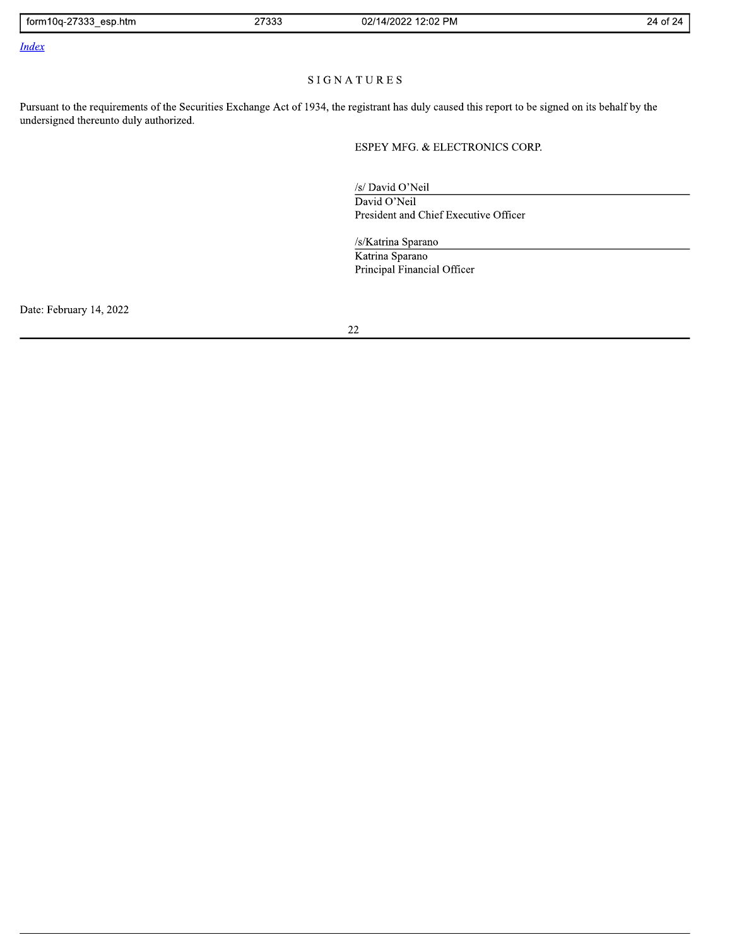| 27000<br>$\sim$<br>esp.htm<br>n och<br>tori<br>าบน<br> | 2722c<br><b>21000</b> | $2.02$ DM<br>0.014<br>1000<br>UZ<br>ہ ا<br>سم المدين<br>$\sim$<br>. | $-$<br>ΩŤ |
|--------------------------------------------------------|-----------------------|---------------------------------------------------------------------|-----------|
|                                                        |                       |                                                                     |           |

**Index** 

## SIGNATURES

Pursuant to the requirements of the Securities Exchange Act of 1934, the registrant has duly caused this report to be signed on its behalf by the undersigned thereunto duly authorized.

ESPEY MFG. & ELECTRONICS CORP.

/s/ David O'Neil

David O'Neil President and Chief Executive Officer

/s/Katrina Sparano Katrina Sparano Principal Financial Officer

Date: February 14, 2022

 $22\,$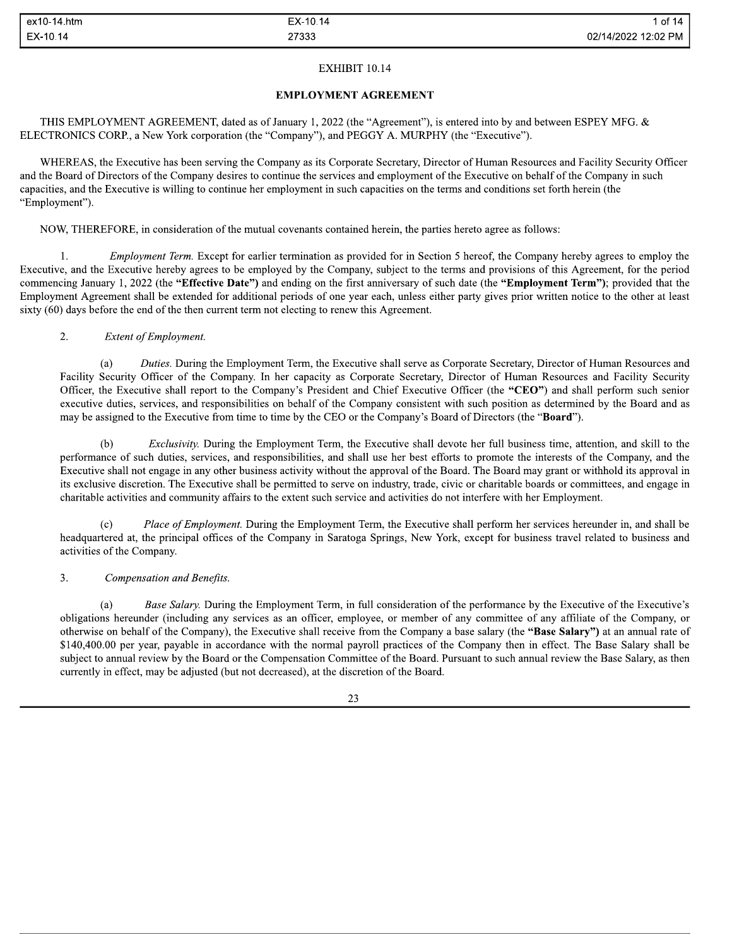ex10-14.htm<br>
EX-10.14<br>
EXHIBIT 10.14<br>
EXHIBIT 10.14<br>
EXHIBIT 10.14<br>
EXHIBIT 10.14<br>
EXHIBIT 10.14<br>
EXHIBIT 10.14<br>
EXECTRONICS CORP., a New York corporation (the "Company"), and PEGGY A. MURPHY (the "Executive").<br>
WHEREAS, t WHEREAS, the Executive has been serving the Company as its Corporate Secretary, Director of Human Resources and Facility Security Officer and the Board of Directors of the Company desires to continue the services and employment of the Executive on behalf of the Company in such capacities, and the Executive is willing to continue her employment in such capacities on the terms and conditions set forth herein (the "Employment").

NOW, THEREFORE, in consideration of the mutual covenants contained herein, the parties hereto agree as follows:

1. Employment Term. Except for earlier termination as provided for in Section 5 hereof, the Company hereby agrees to employ the Executive, and the Executive hereby agrees to be employed by the Company, subject to the terms and provisions of this Agreement, for the period commencing January 1, 2022 (the "Effective Date") and ending on the first anniversary of such date (the "Employment Term"); provided that the Employment Agreement shall be extended for additional periods of one year each, unless either party gives prior written notice to the other at least sixty  $(60)$  days before the end of the then current term not electing to renew this Agreement.

### 2. Extent of Employment.

(a) Duties. During the Employment Term, the Executive shall serve as Corporate Secretary, Director of Human Resources and Facility Security Officer of the Company. In her capacity as Corporate Secretary, Director of Human Resources and Facility Security Officer, the Executive shall report to the Company's President and Chief Executive Officer (the "CEO") and shall perform such senior executive duties, services, and responsibilities on behalf of the Company consistent with such position as determined by the Board and as may be assigned to the Executive from time to time by the CEO or the Company's Board of Directors (the "**Board**").

(b) *Exclusivity*. During the Employment Term, the Executive shall devote her full business time, attention, and skill to the performance of such duties, services, and responsibilities, and shall use her best efforts to promote the interests of the Company, and the Executive shall not engage in any other business activity without the approval of the Board. The Board may grant or withhold its approval in its exclusive discretion. The Executive shall be permitted to serve on industry, trade, civic or charitable boards or committees, and engage in charitable activities and community affairs to the extent such service and activities do not interfere with her Employment.

Place of Employment. During the Employment Term, the Executive shall perform her services hereunder in, and shall be headquartered at, the principal offices of the Company in Saratoga Springs, New York, except for business travel related to business and activities of the Company.

#### 3. Compensation and Benefits.

(a) Base Salary. During the Employment Term, in full consideration of the performance by the Executive of the Executive's obligations hereunder (including any services as an officer, employee, or member of any committee of any affiliate of the Company, or otherwise on behalf of the Company), the Executive shall receive from the Company a base salary (the "Base Salary") at an annual rate of \$140,400.00 per year, payable in accordance with the normal payroll practices of the Company then in effect. The Base Salary shall be subject to annual review by the Board or the Compensation Committee of the Board. Pursuant to such annual review the Base Salary, as then currently in effect, may be adjusted (but not decreased), at the discretion of the Board.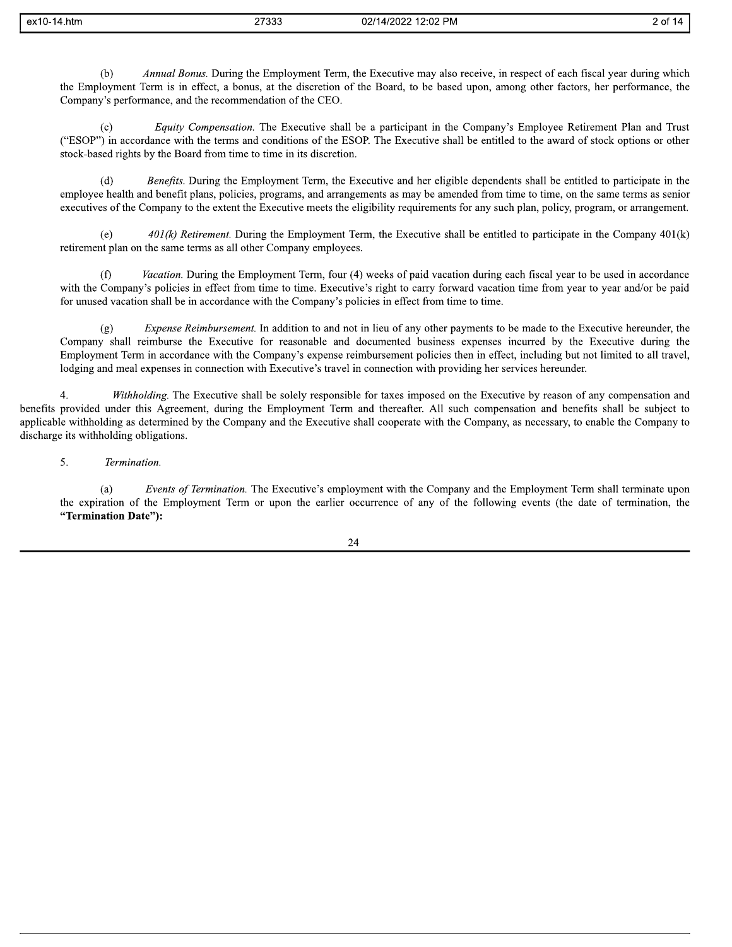| ex10-14.htm | つてつつつ<br>ددد ، ∠ | 02/14/2022 12:02 PM |  |
|-------------|------------------|---------------------|--|
|-------------|------------------|---------------------|--|

Annual Bonus. During the Employment Term, the Executive may also receive, in respect of each fiscal year during which  $(b)$ the Employment Term is in effect, a bonus, at the discretion of the Board, to be based upon, among other factors, her performance, the Company's performance, and the recommendation of the CEO.

2 of 14

Equity Compensation. The Executive shall be a participant in the Company's Employee Retirement Plan and Trust  $(c)$ ("ESOP") in accordance with the terms and conditions of the ESOP. The Executive shall be entitled to the award of stock options or other stock-based rights by the Board from time to time in its discretion.

Benefits. During the Employment Term, the Executive and her eligible dependents shall be entitled to participate in the  $(d)$ employee health and benefit plans, policies, programs, and arrangements as may be amended from time to time, on the same terms as senior executives of the Company to the extent the Executive meets the eligibility requirements for any such plan, policy, program, or arrangement.

 $(e)$  $401(k)$  Retirement. During the Employment Term, the Executive shall be entitled to participate in the Company  $401(k)$ retirement plan on the same terms as all other Company employees.

Vacation. During the Employment Term, four (4) weeks of paid vacation during each fiscal year to be used in accordance with the Company's policies in effect from time to time. Executive's right to carry forward vacation time from year to year and/or be paid for unused vacation shall be in accordance with the Company's policies in effect from time to time.

*Expense Reimbursement*. In addition to and not in lieu of any other payments to be made to the Executive hereunder, the  $(g)$ Company shall reimburse the Executive for reasonable and documented business expenses incurred by the Executive during the Employment Term in accordance with the Company's expense reimbursement policies then in effect, including but not limited to all travel, lodging and meal expenses in connection with Executive's travel in connection with providing her services hereunder.

 $4.$ Withholding. The Executive shall be solely responsible for taxes imposed on the Executive by reason of any compensation and benefits provided under this Agreement, during the Employment Term and thereafter. All such compensation and benefits shall be subject to applicable withholding as determined by the Company and the Executive shall cooperate with the Company, as necessary, to enable the Company to discharge its withholding obligations.

5. Termination.

Events of Termination. The Executive's employment with the Company and the Employment Term shall terminate upon  $(a)$ the expiration of the Employment Term or upon the earlier occurrence of any of the following events (the date of termination, the "Termination Date"):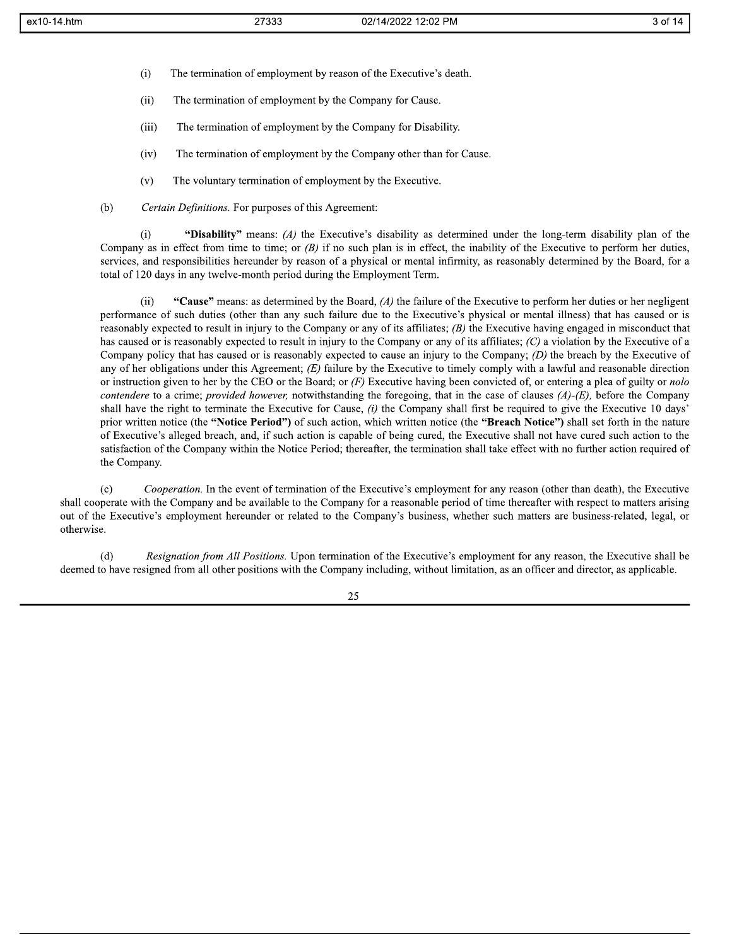- $(i)$ The termination of employment by reason of the Executive's death.
- $(ii)$ The termination of employment by the Company for Cause.
- $(iii)$ The termination of employment by the Company for Disability.
- $(iv)$ The termination of employment by the Company other than for Cause.
- $(v)$ The voluntary termination of employment by the Executive.
- $(b)$ Certain Definitions. For purposes of this Agreement:

"Disability" means: (A) the Executive's disability as determined under the long-term disability plan of the  $(i)$ Company as in effect from time to time; or  $(B)$  if no such plan is in effect, the inability of the Executive to perform her duties, services, and responsibilities hereunder by reason of a physical or mental infirmity, as reasonably determined by the Board, for a total of 120 days in any twelve-month period during the Employment Term.

"Cause" means: as determined by the Board,  $(A)$  the failure of the Executive to perform her duties or her negligent  $(ii)$ performance of such duties (other than any such failure due to the Executive's physical or mental illness) that has caused or is reasonably expected to result in injury to the Company or any of its affiliates;  $(B)$  the Executive having engaged in misconduct that has caused or is reasonably expected to result in injury to the Company or any of its affiliates;  $(C)$  a violation by the Executive of a Company policy that has caused or is reasonably expected to cause an injury to the Company;  $(D)$  the breach by the Executive of any of her obligations under this Agreement;  $(E)$  failure by the Executive to timely comply with a lawful and reasonable direction or instruction given to her by the CEO or the Board; or  $(F)$  Executive having been convicted of, or entering a plea of guilty or *nolo* contendere to a crime; provided however, notwithstanding the foregoing, that in the case of clauses  $(A)$ -(E), before the Company shall have the right to terminate the Executive for Cause,  $(i)$  the Company shall first be required to give the Executive 10 days' prior written notice (the "Notice Period") of such action, which written notice (the "Breach Notice") shall set forth in the nature of Executive's alleged breach, and, if such action is capable of being cured, the Executive shall not have cured such action to the satisfaction of the Company within the Notice Period; thereafter, the termination shall take effect with no further action required of the Company.

Cooperation. In the event of termination of the Executive's employment for any reason (other than death), the Executive  $(c)$ shall cooperate with the Company and be available to the Company for a reasonable period of time thereafter with respect to matters arising out of the Executive's employment hereunder or related to the Company's business, whether such matters are business-related, legal, or otherwise.

Resignation from All Positions. Upon termination of the Executive's employment for any reason, the Executive shall be  $(d)$ deemed to have resigned from all other positions with the Company including, without limitation, as an officer and director, as applicable.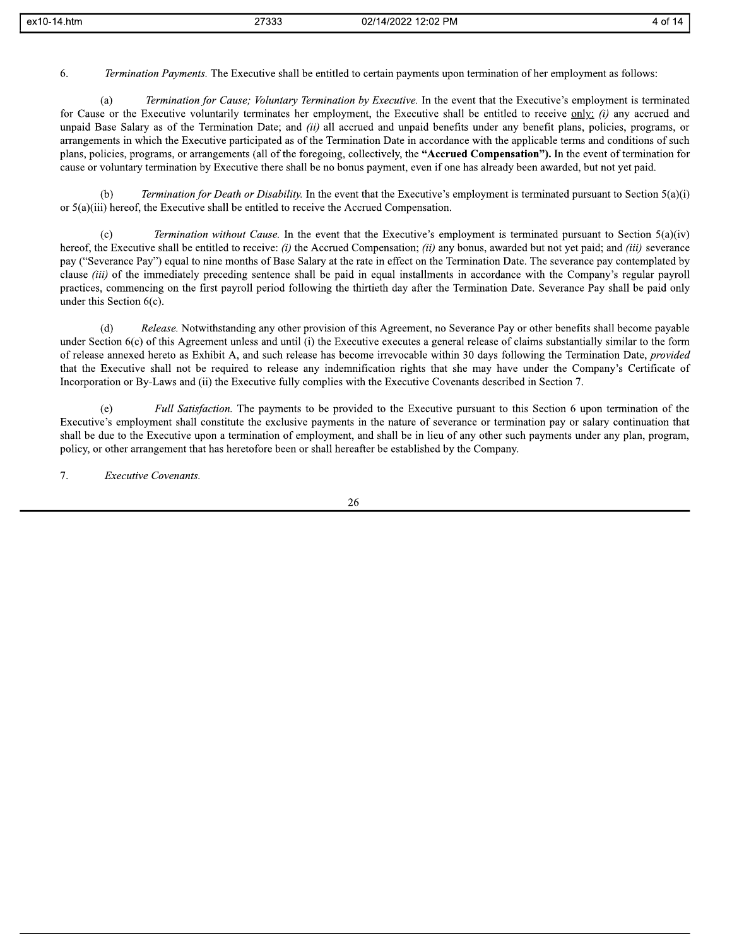| ex10-<br>4.htm | 37000 | 2:02 PM<br>1202.<br>02/1<br>4ء ا | 14<br>$\cdots$ |
|----------------|-------|----------------------------------|----------------|
|                | ຳບບບ  | - IVI                            | .              |
|                |       |                                  |                |

6. Termination Payments. The Executive shall be entitled to certain payments upon termination of her employment as follows:

Termination for Cause; Voluntary Termination by Executive. In the event that the Executive's employment is terminated  $(a)$ for Cause or the Executive voluntarily terminates her employment, the Executive shall be entitled to receive only: (i) any accrued and unpaid Base Salary as of the Termination Date; and *(ii)* all accrued and unpaid benefits under any benefit plans, policies, programs, or arrangements in which the Executive participated as of the Termination Date in accordance with the applicable terms and conditions of such plans, policies, programs, or arrangements (all of the foregoing, collectively, the "Accrued Compensation"). In the event of termination for cause or voluntary termination by Executive there shall be no bonus payment, even if one has already been awarded, but not yet paid.

Termination for Death or Disability. In the event that the Executive's employment is terminated pursuant to Section 5(a)(i)  $(h)$ or  $5(a)(iii)$  hereof, the Executive shall be entitled to receive the Accrued Compensation.

*Termination without Cause*. In the event that the Executive's employment is terminated pursuant to Section 5(a)(iv)  $(c)$ hereof, the Executive shall be entitled to receive: (i) the Accrued Compensation; (ii) any bonus, awarded but not yet paid; and (iii) severance pay ("Severance Pay") equal to nine months of Base Salary at the rate in effect on the Termination Date. The severance pay contemplated by clause *(iii)* of the immediately preceding sentence shall be paid in equal installments in accordance with the Company's regular payroll practices, commencing on the first payroll period following the thirtieth day after the Termination Date. Severance Pay shall be paid only under this Section  $6(c)$ .

Release. Notwithstanding any other provision of this Agreement, no Severance Pay or other benefits shall become payable  $(d)$ under Section 6(c) of this Agreement unless and until (i) the Executive executes a general release of claims substantially similar to the form of release annexed hereto as Exhibit A, and such release has become irrevocable within 30 days following the Termination Date, provided that the Executive shall not be required to release any indemnification rights that she may have under the Company's Certificate of Incorporation or By-Laws and (ii) the Executive fully complies with the Executive Covenants described in Section 7.

Full Satisfaction. The payments to be provided to the Executive pursuant to this Section 6 upon termination of the  $(e)$ Executive's employment shall constitute the exclusive payments in the nature of severance or termination pay or salary continuation that shall be due to the Executive upon a termination of employment, and shall be in lieu of any other such payments under any plan, program, policy, or other arrangement that has heretofore been or shall hereafter be established by the Company.

7. **Executive Covenants.**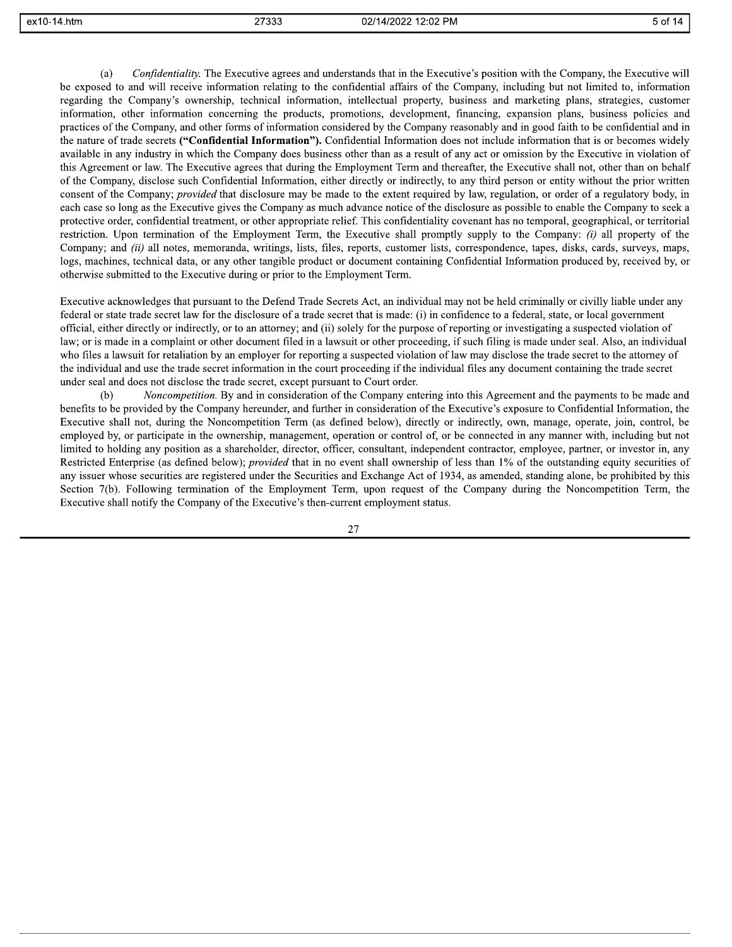Confidentiality. The Executive agrees and understands that in the Executive's position with the Company, the Executive will  $(a)$ be exposed to and will receive information relating to the confidential affairs of the Company, including but not limited to, information regarding the Company's ownership, technical information, intellectual property, business and marketing plans, strategies, customer information, other information concerning the products, promotions, development, financing, expansion plans, business policies and practices of the Company, and other forms of information considered by the Company reasonably and in good faith to be confidential and in the nature of trade secrets ("Confidential Information"). Confidential Information does not include information that is or becomes widely available in any industry in which the Company does business other than as a result of any act or omission by the Executive in violation of this Agreement or law. The Executive agrees that during the Employment Term and thereafter, the Executive shall not, other than on behalf of the Company, disclose such Confidential Information, either directly or indirectly, to any third person or entity without the prior written consent of the Company; *provided* that disclosure may be made to the extent required by law, regulation, or order of a regulatory body, in each case so long as the Executive gives the Company as much advance notice of the disclosure as possible to enable the Company to seek a protective order, confidential treatment, or other appropriate relief. This confidentiality covenant has no temporal, geographical, or territorial restriction. Upon termination of the Employment Term, the Executive shall promptly supply to the Company: *(i)* all property of the Company; and *(ii)* all notes, memoranda, writings, lists, files, reports, customer lists, correspondence, tapes, disks, cards, surveys, maps, logs, machines, technical data, or any other tangible product or document containing Confidential Information produced by, received by, or otherwise submitted to the Executive during or prior to the Employment Term.

Executive acknowledges that pursuant to the Defend Trade Secrets Act, an individual may not be held criminally or civilly liable under any federal or state trade secret law for the disclosure of a trade secret that is made: (i) in confidence to a federal, state, or local government official, either directly or indirectly, or to an attorney; and (ii) solely for the purpose of reporting or investigating a suspected violation of law; or is made in a complaint or other document filed in a lawsuit or other proceeding, if such filing is made under seal. Also, an individual who files a lawsuit for retaliation by an employer for reporting a suspected violation of law may disclose the trade secret to the attorney of the individual and use the trade secret information in the court proceeding if the individual files any document containing the trade secret under seal and does not disclose the trade secret, except pursuant to Court order.

Noncompetition. By and in consideration of the Company entering into this Agreement and the payments to be made and  $(b)$ benefits to be provided by the Company hereunder, and further in consideration of the Executive's exposure to Confidential Information, the Executive shall not, during the Noncompetition Term (as defined below), directly or indirectly, own, manage, operate, join, control, be employed by, or participate in the ownership, management, operation or control of, or be connected in any manner with, including but not limited to holding any position as a shareholder, director, officer, consultant, independent contractor, employee, partner, or investor in, any Restricted Enterprise (as defined below); *provided* that in no event shall ownership of less than 1% of the outstanding equity securities of any issuer whose securities are registered under the Securities and Exchange Act of 1934, as amended, standing alone, be prohibited by this Section 7(b). Following termination of the Employment Term, upon request of the Company during the Noncompetition Term, the Executive shall notify the Company of the Executive's then-current employment status.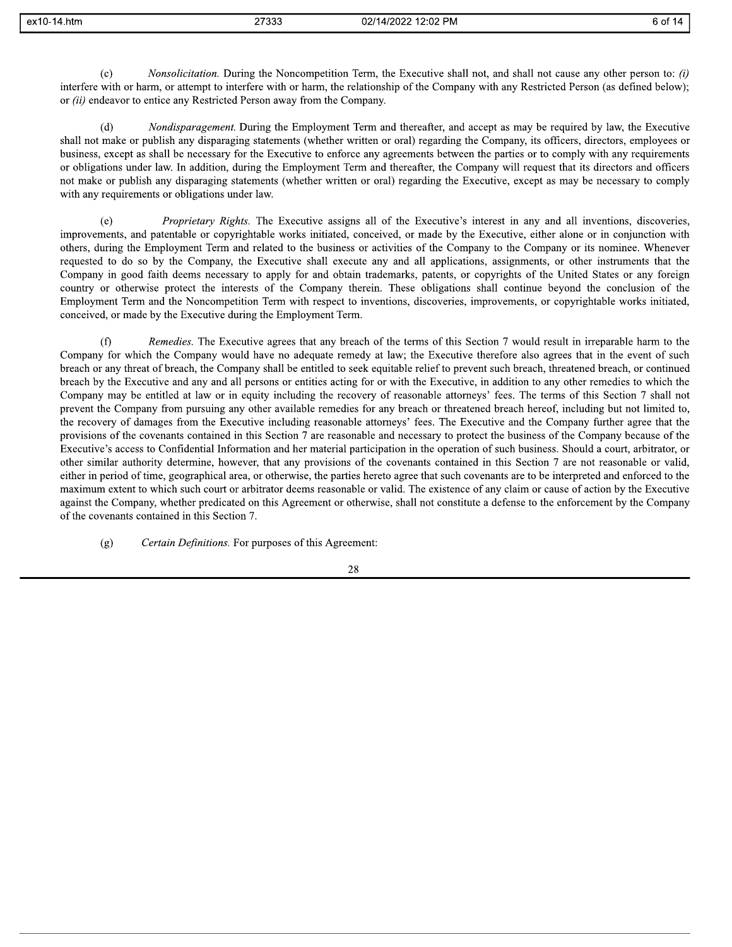27333

*Nonsolicitation*. During the Noncompetition Term, the Executive shall not, and shall not cause any other person to: (i)  $(c)$ interfere with or harm, or attempt to interfere with or harm, the relationship of the Company with any Restricted Person (as defined below); or (ii) endeavor to entice any Restricted Person away from the Company.

 $(d)$ *Nondisparagement*. During the Employment Term and thereafter, and accept as may be required by law, the Executive shall not make or publish any disparaging statements (whether written or oral) regarding the Company, its officers, directors, employees or business, except as shall be necessary for the Executive to enforce any agreements between the parties or to comply with any requirements or obligations under law. In addition, during the Employment Term and thereafter, the Company will request that its directors and officers not make or publish any disparaging statements (whether written or oral) regarding the Executive, except as may be necessary to comply with any requirements or obligations under law.

*Proprietary Rights.* The Executive assigns all of the Executive's interest in any and all inventions, discoveries,  $(e)$ improvements, and patentable or copyrightable works initiated, conceived, or made by the Executive, either alone or in conjunction with others, during the Employment Term and related to the business or activities of the Company to the Company or its nominee. Whenever requested to do so by the Company, the Executive shall execute any and all applications, assignments, or other instruments that the Company in good faith deems necessary to apply for and obtain trademarks, patents, or copyrights of the United States or any foreign country or otherwise protect the interests of the Company therein. These obligations shall continue beyond the conclusion of the Employment Term and the Noncompetition Term with respect to inventions, discoveries, improvements, or copyrightable works initiated, conceived, or made by the Executive during the Employment Term.

Remedies. The Executive agrees that any breach of the terms of this Section 7 would result in irreparable harm to the  $(f)$ Company for which the Company would have no adequate remedy at law; the Executive therefore also agrees that in the event of such breach or any threat of breach, the Company shall be entitled to seek equitable relief to prevent such breach, threatened breach, or continued breach by the Executive and any and all persons or entities acting for or with the Executive, in addition to any other remedies to which the Company may be entitled at law or in equity including the recovery of reasonable attorneys' fees. The terms of this Section 7 shall not prevent the Company from pursuing any other available remedies for any breach or threatened breach hereof, including but not limited to, the recovery of damages from the Executive including reasonable attorneys' fees. The Executive and the Company further agree that the provisions of the covenants contained in this Section 7 are reasonable and necessary to protect the business of the Company because of the Executive's access to Confidential Information and her material participation in the operation of such business. Should a court, arbitrator, or other similar authority determine, however, that any provisions of the covenants contained in this Section 7 are not reasonable or valid, either in period of time, geographical area, or otherwise, the parties hereto agree that such covenants are to be interpreted and enforced to the maximum extent to which such court or arbitrator deems reasonable or valid. The existence of any claim or cause of action by the Executive against the Company, whether predicated on this Agreement or otherwise, shall not constitute a defense to the enforcement by the Company of the covenants contained in this Section 7.

 $(g)$ Certain Definitions. For purposes of this Agreement: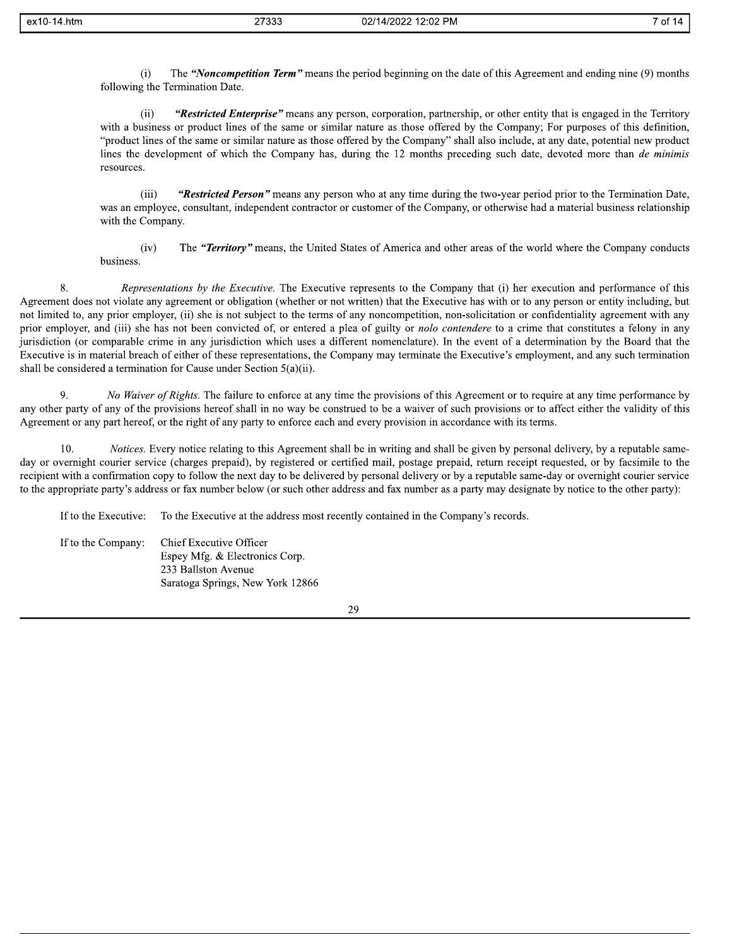The "Noncompetition Term" means the period beginning on the date of this Agreement and ending nine (9) months  $(i)$ following the Termination Date.

 $(ii)$ "Restricted Enterprise" means any person, corporation, partnership, or other entity that is engaged in the Territory with a business or product lines of the same or similar nature as those offered by the Company; For purposes of this definition, "product lines of the same or similar nature as those offered by the Company" shall also include, at any date, potential new product lines the development of which the Company has, during the 12 months preceding such date, devoted more than de minimis resources.

 $(iii)$ "Restricted Person" means any person who at any time during the two-year period prior to the Termination Date, was an employee, consultant, independent contractor or customer of the Company, or otherwise had a material business relationship with the Company.

The "Territory" means, the United States of America and other areas of the world where the Company conducts  $(iv)$ business.

8. Representations by the Executive. The Executive represents to the Company that (i) her execution and performance of this Agreement does not violate any agreement or obligation (whether or not written) that the Executive has with or to any person or entity including, but not limited to, any prior employer, (ii) she is not subject to the terms of any noncompetition, non-solicitation or confidentiality agreement with any prior employer, and (iii) she has not been convicted of, or entered a plea of guilty or *nolo contendere* to a crime that constitutes a felony in any jurisdiction (or comparable crime in any jurisdiction which uses a different nomenclature). In the event of a determination by the Board that the Executive is in material breach of either of these representations, the Company may terminate the Executive's employment, and any such termination shall be considered a termination for Cause under Section  $5(a)(ii)$ .

No Waiver of Rights. The failure to enforce at any time the provisions of this Agreement or to require at any time performance by  $\mathbf Q$ any other party of any of the provisions hereof shall in no way be construed to be a waiver of such provisions or to affect either the validity of this Agreement or any part hereof, or the right of any party to enforce each and every provision in accordance with its terms.

Notices. Every notice relating to this Agreement shall be in writing and shall be given by personal delivery, by a reputable same-10. day or overnight courier service (charges prepaid), by registered or certified mail, postage prepaid, return receipt requested, or by facsimile to the recipient with a confirmation copy to follow the next day to be delivered by personal delivery or by a reputable same-day or overnight courier service to the appropriate party's address or fax number below (or such other address and fax number as a party may designate by notice to the other party):

To the Executive at the address most recently contained in the Company's records. If to the Executive:

If to the Company: Chief Executive Officer Espey Mfg. & Electronics Corp. 233 Ballston Avenue Saratoga Springs, New York 12866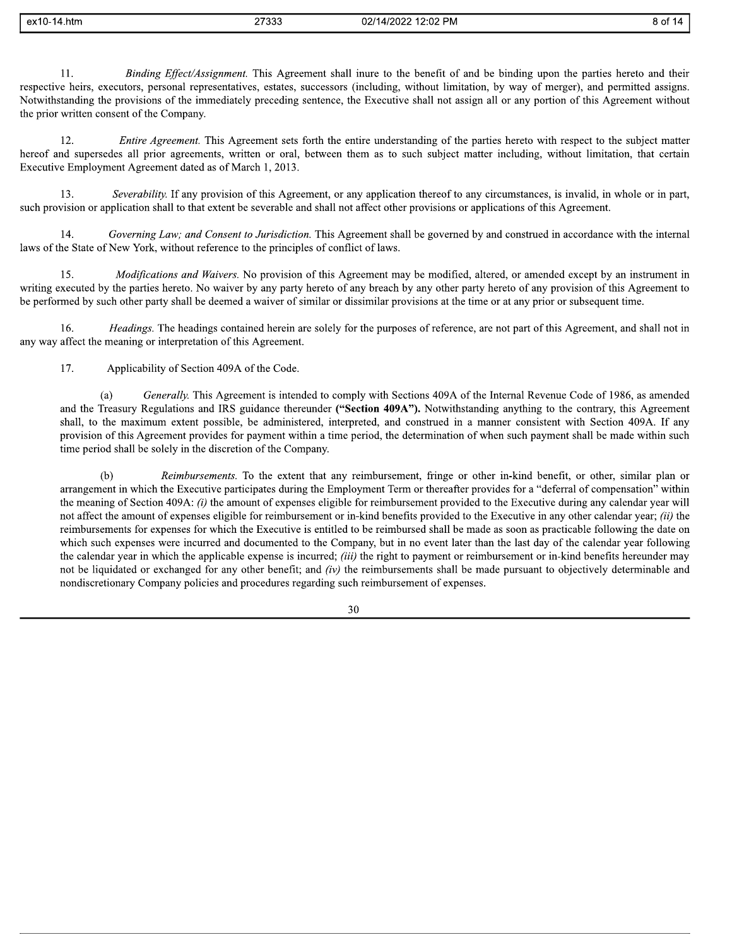| l_ex10-14.htm | 27333 | 02/14/2022 12:02 PM |  |
|---------------|-------|---------------------|--|
|---------------|-------|---------------------|--|

Binding Effect/Assignment. This Agreement shall inure to the benefit of and be binding upon the parties hereto and their 11. respective heirs, executors, personal representatives, estates, successors (including, without limitation, by way of merger), and permitted assigns. Notwithstanding the provisions of the immediately preceding sentence, the Executive shall not assign all or any portion of this Agreement without the prior written consent of the Company.

8 of 14

Entire Agreement. This Agreement sets forth the entire understanding of the parties hereto with respect to the subject matter 12. hereof and supersedes all prior agreements, written or oral, between them as to such subject matter including, without limitation, that certain Executive Employment Agreement dated as of March 1, 2013.

 $13.$ Severability. If any provision of this Agreement, or any application thereof to any circumstances, is invalid, in whole or in part, such provision or application shall to that extent be severable and shall not affect other provisions or applications of this Agreement.

14. Governing Law; and Consent to Jurisdiction. This Agreement shall be governed by and construed in accordance with the internal laws of the State of New York, without reference to the principles of conflict of laws.

Modifications and Waivers. No provision of this Agreement may be modified, altered, or amended except by an instrument in 15. writing executed by the parties hereto. No waiver by any party hereto of any breach by any other party hereto of any provision of this Agreement to be performed by such other party shall be deemed a waiver of similar or dissimilar provisions at the time or at any prior or subsequent time.

Headings. The headings contained herein are solely for the purposes of reference, are not part of this Agreement, and shall not in 16. any way affect the meaning or interpretation of this Agreement.

17. Applicability of Section 409A of the Code.

Generally. This Agreement is intended to comply with Sections 409A of the Internal Revenue Code of 1986, as amended  $(a)$ and the Treasury Regulations and IRS guidance thereunder ("Section 409A"). Notwithstanding anything to the contrary, this Agreement shall, to the maximum extent possible, be administered, interpreted, and construed in a manner consistent with Section 409A. If any provision of this Agreement provides for payment within a time period, the determination of when such payment shall be made within such time period shall be solely in the discretion of the Company.

Reimbursements. To the extent that any reimbursement, fringe or other in-kind benefit, or other, similar plan or  $(b)$ arrangement in which the Executive participates during the Employment Term or thereafter provides for a "deferral of compensation" within the meaning of Section 409A: *(i)* the amount of expenses eligible for reimbursement provided to the Executive during any calendar year will not affect the amount of expenses eligible for reimbursement or in-kind benefits provided to the Executive in any other calendar year; *(ii)* the reimbursements for expenses for which the Executive is entitled to be reimbursed shall be made as soon as practicable following the date on which such expenses were incurred and documented to the Company, but in no event later than the last day of the calendar year following the calendar year in which the applicable expense is incurred; *(iii)* the right to payment or reimbursement or in-kind benefits hereunder may not be liquidated or exchanged for any other benefit; and *(iv)* the reimbursements shall be made pursuant to objectively determinable and nondiscretionary Company policies and procedures regarding such reimbursement of expenses.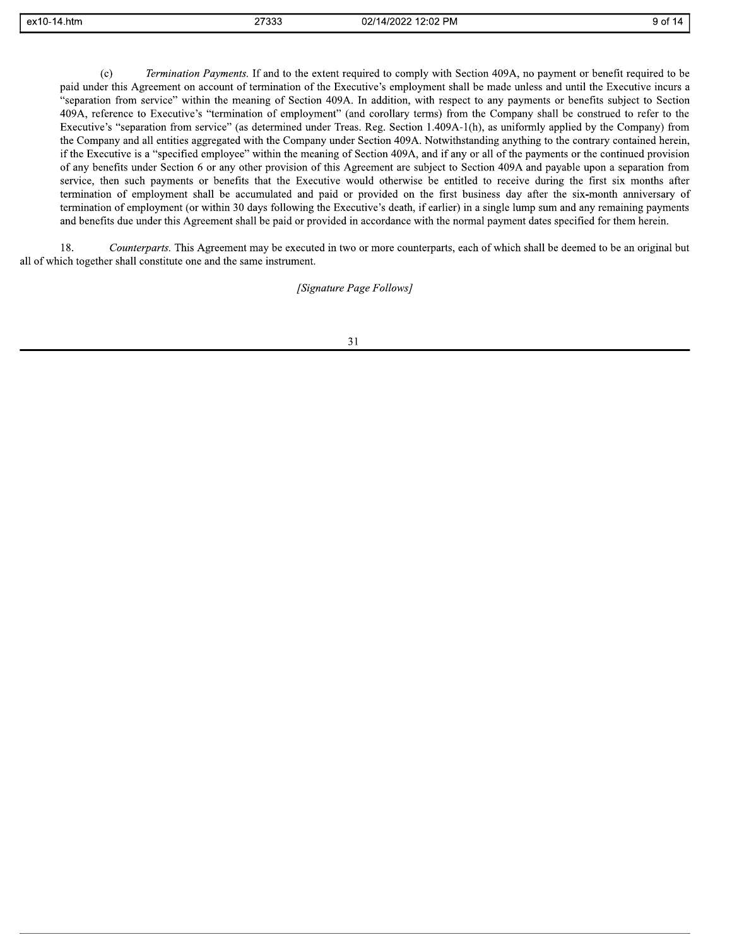| $\overline{ }$<br>ex10-<br>1.htm<br>- 7<br>. | - פרפר<br>ົບບບ | 12:02 PM<br>02/14/2022 | . ب<br>. .<br>. |
|----------------------------------------------|----------------|------------------------|-----------------|
|                                              |                |                        |                 |

Termination Payments. If and to the extent required to comply with Section 409A, no payment or benefit required to be  $(c)$ paid under this Agreement on account of termination of the Executive's employment shall be made unless and until the Executive incurs a "separation from service" within the meaning of Section 409A. In addition, with respect to any payments or benefits subject to Section 409A, reference to Executive's "termination of employment" (and corollary terms) from the Company shall be construed to refer to the Executive's "separation from service" (as determined under Treas. Reg. Section 1.409A-1(h), as uniformly applied by the Company) from the Company and all entities aggregated with the Company under Section 409A. Notwithstanding anything to the contrary contained herein, if the Executive is a "specified employee" within the meaning of Section 409A, and if any or all of the payments or the continued provision of any benefits under Section 6 or any other provision of this Agreement are subject to Section 409A and payable upon a separation from service, then such payments or benefits that the Executive would otherwise be entitled to receive during the first six months after termination of employment shall be accumulated and paid or provided on the first business day after the six-month anniversary of termination of employment (or within 30 days following the Executive's death, if earlier) in a single lump sum and any remaining payments and benefits due under this Agreement shall be paid or provided in accordance with the normal payment dates specified for them herein.

18. Counterparts. This Agreement may be executed in two or more counterparts, each of which shall be deemed to be an original but all of which together shall constitute one and the same instrument.

[Signature Page Follows]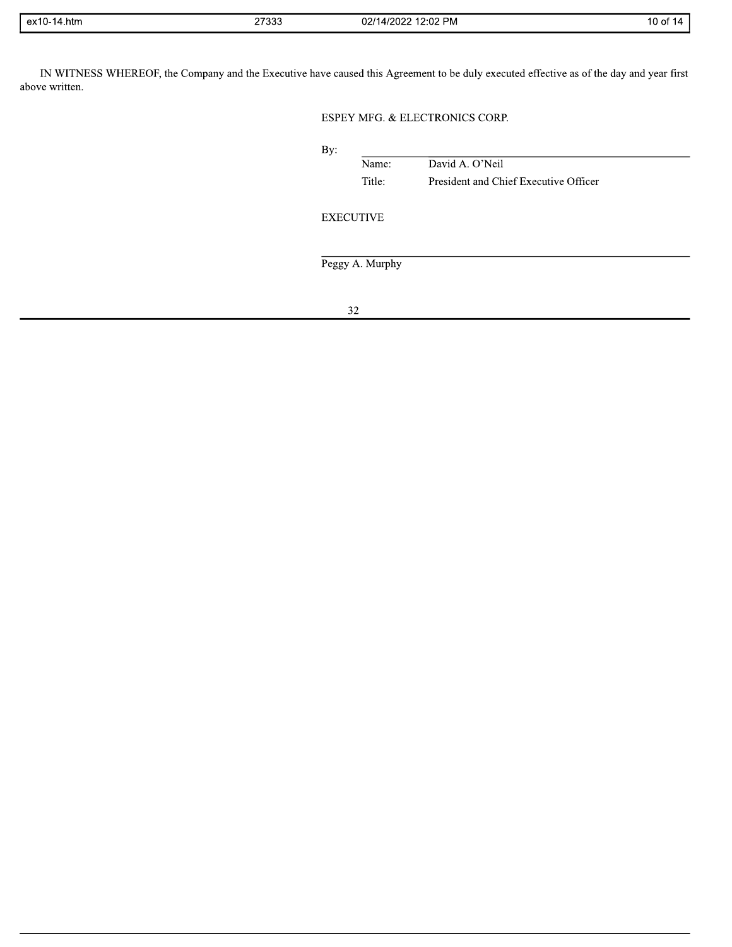| ex1 <sup>r</sup><br>4.htm<br>1-14، | 27333<br>21 JJJ | 2:02 PM<br>112022<br>02/14<br>14<br>ZUZ. | ۱o۲<br>$\mathbf{H}$<br>$\cdot$ |
|------------------------------------|-----------------|------------------------------------------|--------------------------------|

IN WITNESS WHEREOF, the Company and the Executive have caused this Agreement to be duly executed effective as of the day and year first above written.

## ESPEY MFG. & ELECTRONICS CORP.

| By: |                  |                                       |
|-----|------------------|---------------------------------------|
|     | Name:            | David A. O'Neil                       |
|     | Title:           | President and Chief Executive Officer |
|     |                  |                                       |
|     | <b>EXECUTIVE</b> |                                       |
|     |                  |                                       |
|     |                  |                                       |
|     | Peggy A. Murphy  |                                       |
|     |                  |                                       |
|     |                  |                                       |
|     | 32               |                                       |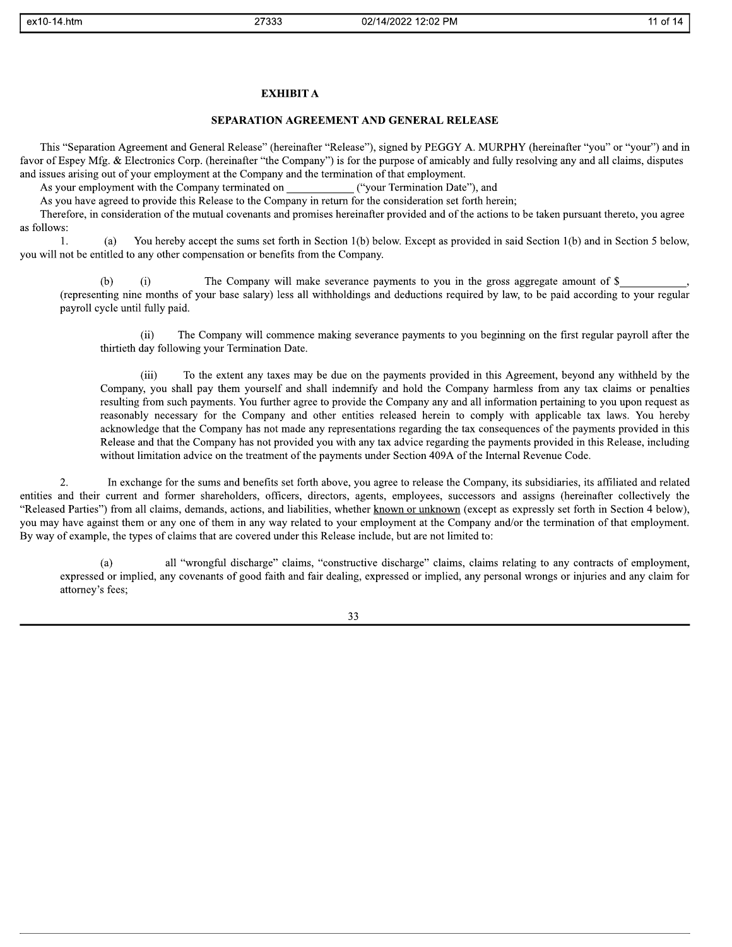#### **EXHIBIT A**

**EXAMPLE SEPTING THE SET AND ANNOUNCE SET AND CONTRACT REST AND CONTRACT SET AND CONTRACT SET AND A SET AND A SET AND A SET AND A SET AND A SET AND A SET AND A SET AND A SET AND A SET AND A SET AND A SET AND A SET AND A S**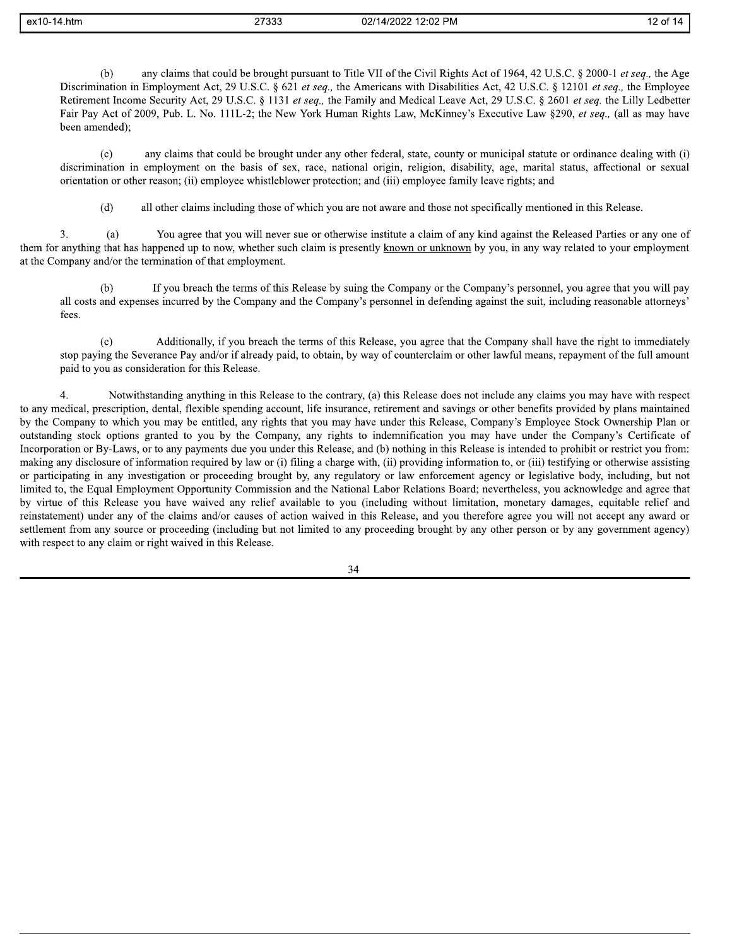| $ex10-14.htm$ |  |
|---------------|--|
|---------------|--|

27333

any claims that could be brought pursuant to Title VII of the Civil Rights Act of 1964, 42 U.S.C. § 2000-1 et seq., the Age  $(b)$ Discrimination in Employment Act, 29 U.S.C. § 621 et seq., the Americans with Disabilities Act, 42 U.S.C. § 12101 et seq., the Employee Retirement Income Security Act, 29 U.S.C. § 1131 et seq., the Family and Medical Leave Act, 29 U.S.C. § 2601 et seq. the Lilly Ledbetter Fair Pay Act of 2009, Pub. L. No. 111L-2; the New York Human Rights Law, McKinney's Executive Law §290, et seq., (all as may have been amended);

 $(c)$ any claims that could be brought under any other federal, state, county or municipal statute or ordinance dealing with (i) discrimination in employment on the basis of sex, race, national origin, religion, disability, age, marital status, affectional or sexual orientation or other reason; (ii) employee whistleblower protection; and (iii) employee family leave rights; and

 $(d)$ all other claims including those of which you are not aware and those not specifically mentioned in this Release.

 $3.$ You agree that you will never sue or otherwise institute a claim of any kind against the Released Parties or any one of  $(a)$ them for anything that has happened up to now, whether such claim is presently known or unknown by you, in any way related to your employment at the Company and/or the termination of that employment.

 $(b)$ If you breach the terms of this Release by suing the Company or the Company's personnel, you agree that you will pay all costs and expenses incurred by the Company and the Company's personnel in defending against the suit, including reasonable attorneys' fees.

Additionally, if you breach the terms of this Release, you agree that the Company shall have the right to immediately  $(c)$ stop paying the Severance Pay and/or if already paid, to obtain, by way of counterclaim or other lawful means, repayment of the full amount paid to you as consideration for this Release.

 $4.$ Notwithstanding anything in this Release to the contrary, (a) this Release does not include any claims you may have with respect to any medical, prescription, dental, flexible spending account, life insurance, retirement and savings or other benefits provided by plans maintained by the Company to which you may be entitled, any rights that you may have under this Release, Company's Employee Stock Ownership Plan or outstanding stock options granted to you by the Company, any rights to indemnification you may have under the Company's Certificate of Incorporation or By-Laws, or to any payments due you under this Release, and (b) nothing in this Release is intended to prohibit or restrict you from: making any disclosure of information required by law or (i) filing a charge with, (ii) providing information to, or (iii) testifying or otherwise assisting or participating in any investigation or proceeding brought by, any regulatory or law enforcement agency or legislative body, including, but not limited to, the Equal Employment Opportunity Commission and the National Labor Relations Board; nevertheless, you acknowledge and agree that by virtue of this Release you have waived any relief available to you (including without limitation, monetary damages, equitable relief and reinstatement) under any of the claims and/or causes of action waived in this Release, and you therefore agree you will not accept any award or settlement from any source or proceeding (including but not limited to any proceeding brought by any other person or by any government agency) with respect to any claim or right waived in this Release.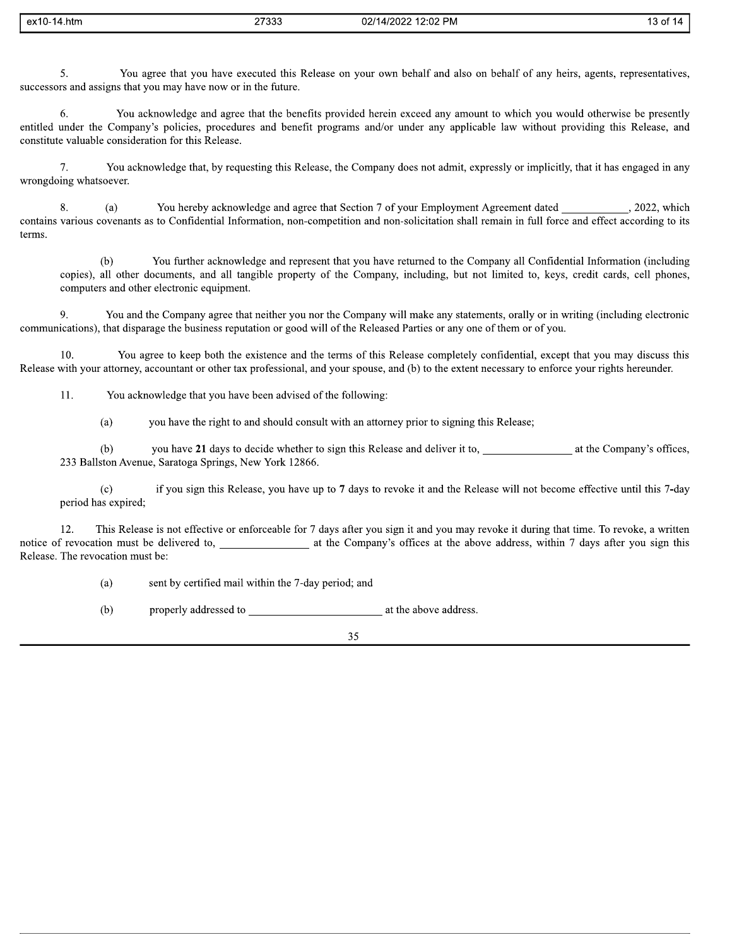| ex10-14.htm | 27333 | 02/14/2022 12:02 PM | $\sim$<br>⊤3 of ∶<br>17 L |
|-------------|-------|---------------------|---------------------------|
|             |       |                     |                           |

You agree that you have executed this Release on your own behalf and also on behalf of any heirs, agents, representatives, 5. successors and assigns that you may have now or in the future.

You acknowledge and agree that the benefits provided herein exceed any amount to which you would otherwise be presently 6. entitled under the Company's policies, procedures and benefit programs and/or under any applicable law without providing this Release, and constitute valuable consideration for this Release.

 $7.$ You acknowledge that, by requesting this Release, the Company does not admit, expressly or implicitly, that it has engaged in any wrongdoing whatsoever.

You hereby acknowledge and agree that Section 7 of your Employment Agreement dated , 2022, which 8.  $(a)$ contains various covenants as to Confidential Information, non-competition and non-solicitation shall remain in full force and effect according to its terms.

You further acknowledge and represent that you have returned to the Company all Confidential Information (including  $(b)$ copies), all other documents, and all tangible property of the Company, including, but not limited to, keys, credit cards, cell phones, computers and other electronic equipment.

 $9<sub>1</sub>$ You and the Company agree that neither you nor the Company will make any statements, orally or in writing (including electronic communications), that disparage the business reputation or good will of the Released Parties or any one of them or of you.

 $10<sub>1</sub>$ You agree to keep both the existence and the terms of this Release completely confidential, except that you may discuss this Release with your attorney, accountant or other tax professional, and your spouse, and (b) to the extent necessary to enforce your rights hereunder.

11. You acknowledge that you have been advised of the following:

> you have the right to and should consult with an attorney prior to signing this Release;  $(a)$

you have 21 days to decide whether to sign this Release and deliver it to, at the Company's offices,  $(b)$ 233 Ballston Avenue, Saratoga Springs, New York 12866.

if you sign this Release, you have up to 7 days to revoke it and the Release will not become effective until this 7-day  $(c)$ period has expired;

This Release is not effective or enforceable for 7 days after you sign it and you may revoke it during that time. To revoke, a written 12. notice of revocation must be delivered to, and the Company's offices at the above address, within 7 days after you sign this Release. The revocation must be:

> sent by certified mail within the 7-day period; and  $(a)$

 $(b)$ properly addressed to a mean of the above address.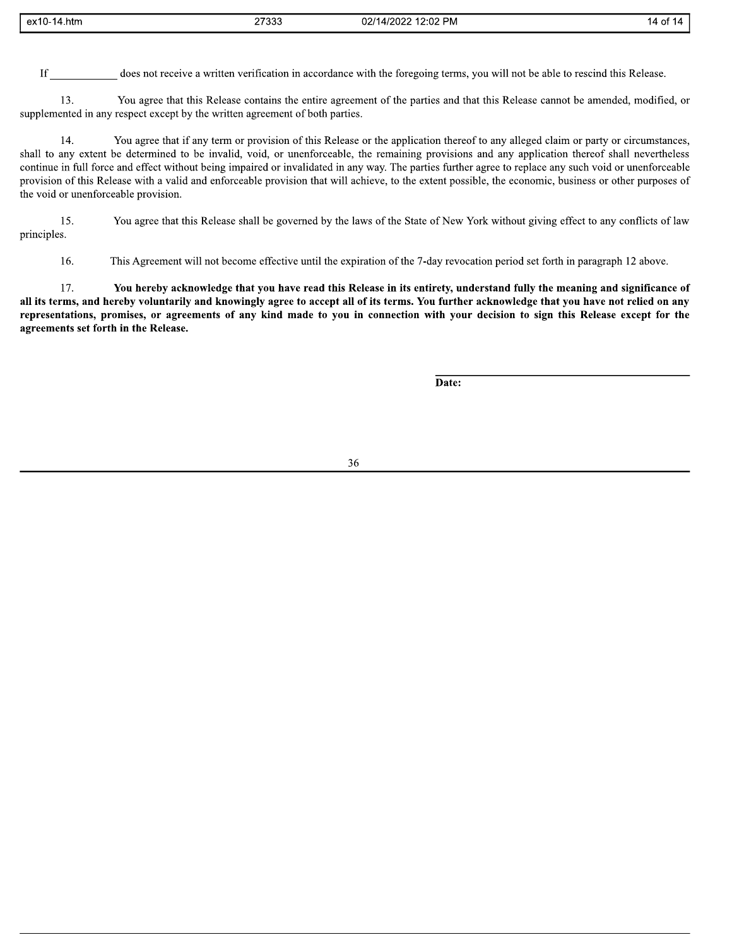| $ex10-$<br>4.htm<br><b>UAIU</b> | 27333<br>_____ | 12:02 PM<br>02/14<br>مممور<br>w | ΟT<br>ıл |
|---------------------------------|----------------|---------------------------------|----------|

does not receive a written verification in accordance with the foregoing terms, you will not be able to rescind this Release.  $If$ 

13. You agree that this Release contains the entire agreement of the parties and that this Release cannot be amended, modified, or supplemented in any respect except by the written agreement of both parties.

14. You agree that if any term or provision of this Release or the application thereof to any alleged claim or party or circumstances, shall to any extent be determined to be invalid, void, or unenforceable, the remaining provisions and any application thereof shall nevertheless continue in full force and effect without being impaired or invalidated in any way. The parties further agree to replace any such void or unenforceable provision of this Release with a valid and enforceable provision that will achieve, to the extent possible, the economic, business or other purposes of the void or unenforceable provision.

You agree that this Release shall be governed by the laws of the State of New York without giving effect to any conflicts of law 15. principles.

16. This Agreement will not become effective until the expiration of the 7-day revocation period set forth in paragraph 12 above.

17. You hereby acknowledge that you have read this Release in its entirety, understand fully the meaning and significance of all its terms, and hereby voluntarily and knowingly agree to accept all of its terms. You further acknowledge that you have not relied on any representations, promises, or agreements of any kind made to you in connection with your decision to sign this Release except for the agreements set forth in the Release.

Date: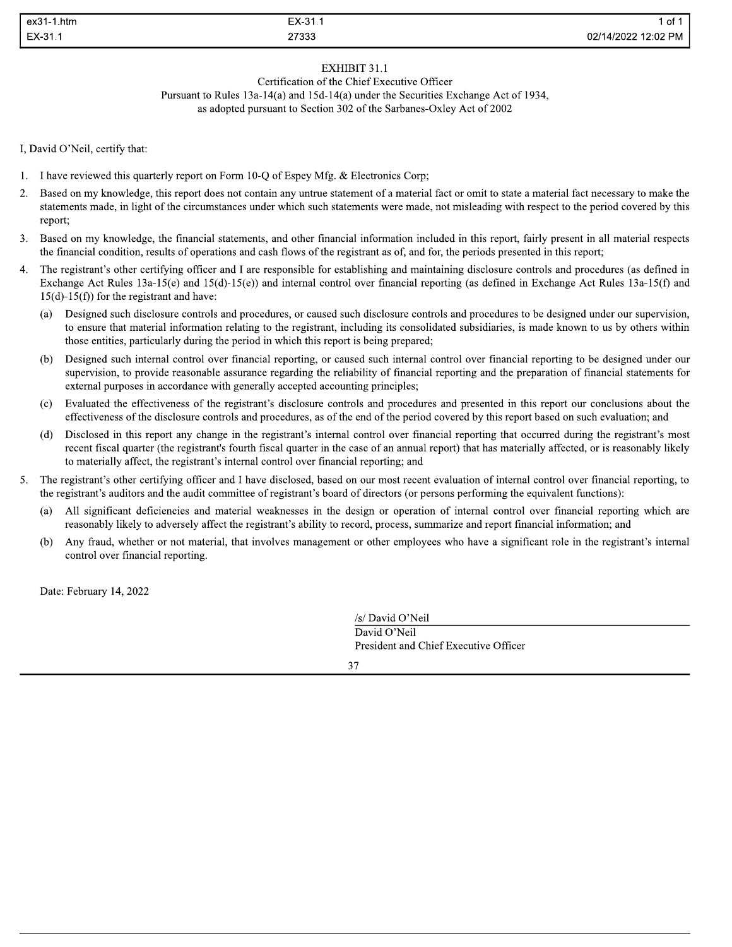| ex31-1.htm | EX-31.1       | ot                  |
|------------|---------------|---------------------|
| EX-31.1    | 27333<br>____ | 02/14/2022 12:02 PM |

## EXHIBIT 31.1

Certification of the Chief Executive Officer Pursuant to Rules 13a-14(a) and 15d-14(a) under the Securities Exchange Act of 1934. as adopted pursuant to Section 302 of the Sarbanes-Oxley Act of 2002

I, David O'Neil, certify that:

- 1. I have reviewed this quarterly report on Form 10-Q of Espey Mfg. & Electronics Corp;
- Based on my knowledge, this report does not contain any untrue statement of a material fact or omit to state a material fact necessary to make the 2. statements made, in light of the circumstances under which such statements were made, not misleading with respect to the period covered by this report;
- 3. Based on my knowledge, the financial statements, and other financial information included in this report, fairly present in all material respects the financial condition, results of operations and cash flows of the registrant as of, and for, the periods presented in this report;
- $\overline{4}$ . The registrant's other certifying officer and I are responsible for establishing and maintaining disclosure controls and procedures (as defined in Exchange Act Rules 13a-15(e) and 15(d)-15(e)) and internal control over financial reporting (as defined in Exchange Act Rules 13a-15(f) and  $15(d)-15(f)$  for the registrant and have:
	- Designed such disclosure controls and procedures, or caused such disclosure controls and procedures to be designed under our supervision,  $(a)$ to ensure that material information relating to the registrant, including its consolidated subsidiaries, is made known to us by others within those entities, particularly during the period in which this report is being prepared;
	- Designed such internal control over financial reporting, or caused such internal control over financial reporting to be designed under our  $(b)$ supervision, to provide reasonable assurance regarding the reliability of financial reporting and the preparation of financial statements for external purposes in accordance with generally accepted accounting principles;
	- Evaluated the effectiveness of the registrant's disclosure controls and procedures and presented in this report our conclusions about the  $(c)$ effectiveness of the disclosure controls and procedures, as of the end of the period covered by this report based on such evaluation; and
	- Disclosed in this report any change in the registrant's internal control over financial reporting that occurred during the registrant's most  $(d)$ recent fiscal quarter (the registrant's fourth fiscal quarter in the case of an annual report) that has materially affected, or is reasonably likely to materially affect, the registrant's internal control over financial reporting; and
- 5. The registrant's other certifying officer and I have disclosed, based on our most recent evaluation of internal control over financial reporting, to the registrant's auditors and the audit committee of registrant's board of directors (or persons performing the equivalent functions):
	- $(a)$ All significant deficiencies and material weaknesses in the design or operation of internal control over financial reporting which are reasonably likely to adversely affect the registrant's ability to record, process, summarize and report financial information; and
	- Any fraud, whether or not material, that involves management or other employees who have a significant role in the registrant's internal  $(b)$ control over financial reporting.

Date: February 14, 2022

/s/ David O'Neil David O'Neil President and Chief Executive Officer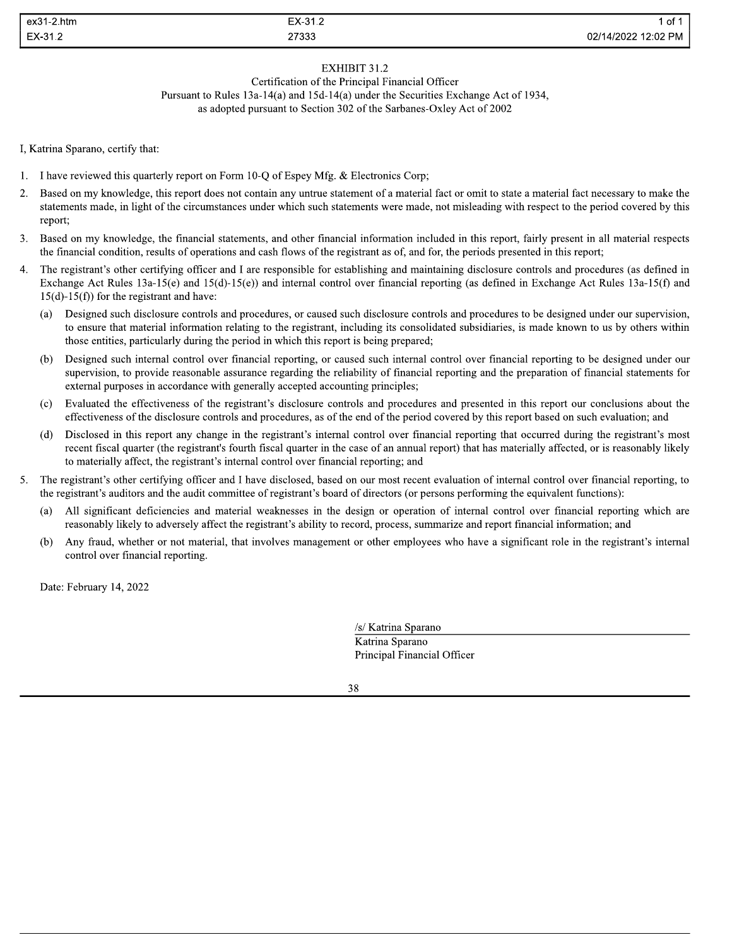| $ex31-2.htm$ | EX-31.2 | of '                |
|--------------|---------|---------------------|
| EX-31.2      | 27333   | 02/14/2022 12:02 PM |

## EXHIBIT 31.2

Certification of the Principal Financial Officer Pursuant to Rules 13a-14(a) and 15d-14(a) under the Securities Exchange Act of 1934. as adopted pursuant to Section 302 of the Sarbanes-Oxley Act of 2002

I, Katrina Sparano, certify that:

- 1. I have reviewed this quarterly report on Form 10-Q of Espey Mfg. & Electronics Corp;
- Based on my knowledge, this report does not contain any untrue statement of a material fact or omit to state a material fact necessary to make the 2. statements made, in light of the circumstances under which such statements were made, not misleading with respect to the period covered by this report;
- 3. Based on my knowledge, the financial statements, and other financial information included in this report, fairly present in all material respects the financial condition, results of operations and cash flows of the registrant as of, and for, the periods presented in this report;
- $\overline{4}$ . The registrant's other certifying officer and I are responsible for establishing and maintaining disclosure controls and procedures (as defined in Exchange Act Rules 13a-15(e) and 15(d)-15(e)) and internal control over financial reporting (as defined in Exchange Act Rules 13a-15(f) and  $15(d)-15(f)$  for the registrant and have:
	- Designed such disclosure controls and procedures, or caused such disclosure controls and procedures to be designed under our supervision,  $(a)$ to ensure that material information relating to the registrant, including its consolidated subsidiaries, is made known to us by others within those entities, particularly during the period in which this report is being prepared;
	- Designed such internal control over financial reporting, or caused such internal control over financial reporting to be designed under our  $(b)$ supervision, to provide reasonable assurance regarding the reliability of financial reporting and the preparation of financial statements for external purposes in accordance with generally accepted accounting principles;
	- Evaluated the effectiveness of the registrant's disclosure controls and procedures and presented in this report our conclusions about the  $(c)$ effectiveness of the disclosure controls and procedures, as of the end of the period covered by this report based on such evaluation; and
	- Disclosed in this report any change in the registrant's internal control over financial reporting that occurred during the registrant's most  $(d)$ recent fiscal quarter (the registrant's fourth fiscal quarter in the case of an annual report) that has materially affected, or is reasonably likely to materially affect, the registrant's internal control over financial reporting; and
- 5. The registrant's other certifying officer and I have disclosed, based on our most recent evaluation of internal control over financial reporting, to the registrant's auditors and the audit committee of registrant's board of directors (or persons performing the equivalent functions):
	- $(a)$ All significant deficiencies and material weaknesses in the design or operation of internal control over financial reporting which are reasonably likely to adversely affect the registrant's ability to record, process, summarize and report financial information; and
	- Any fraud, whether or not material, that involves management or other employees who have a significant role in the registrant's internal  $(b)$ control over financial reporting.

Date: February 14, 2022

/s/ Katrina Sparano Katrina Sparano Principal Financial Officer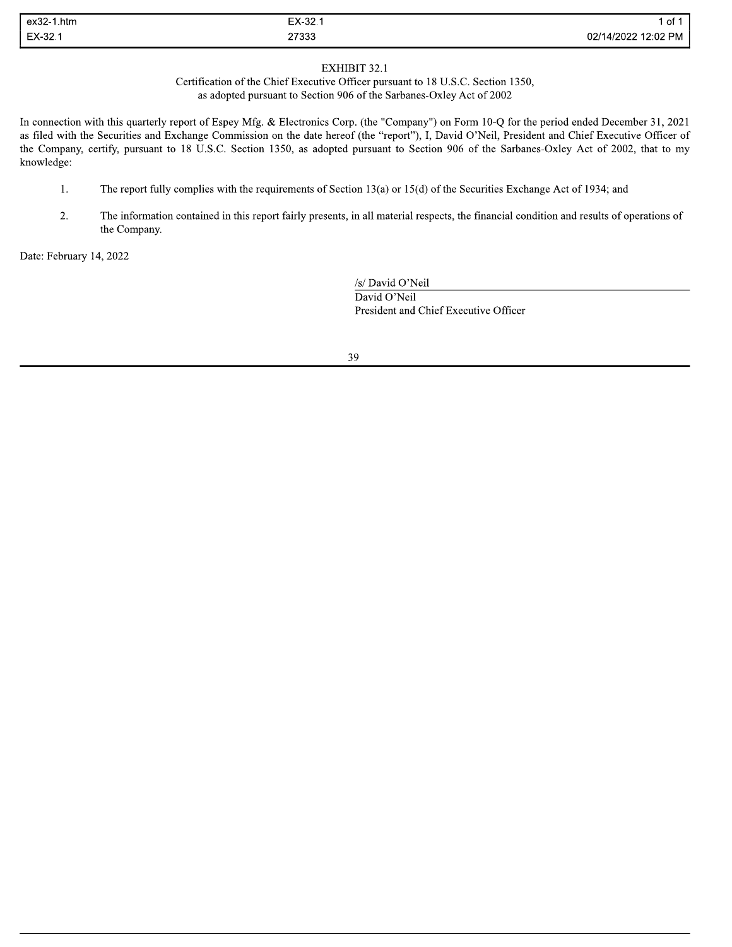| ex32-<br>1.htm     | EX-32.        | 0t                  |
|--------------------|---------------|---------------------|
| EX-32.1<br>_______ | 27333<br>____ | 02/14/2022 12:02 PM |

### EXHIBIT 32.1

Certification of the Chief Executive Officer pursuant to 18 U.S.C. Section 1350, as adopted pursuant to Section 906 of the Sarbanes-Oxley Act of 2002

In connection with this quarterly report of Espey Mfg. & Electronics Corp. (the "Company") on Form 10-Q for the period ended December 31, 2021 as filed with the Securities and Exchange Commission on the date hereof (the "report"), I, David O'Neil, President and Chief Executive Officer of the Company, certify, pursuant to 18 U.S.C. Section 1350, as adopted pursuant to Section 906 of the Sarbanes-Oxley Act of 2002, that to my knowledge:

- The report fully complies with the requirements of Section 13(a) or 15(d) of the Securities Exchange Act of 1934; and 1.
- 2. The information contained in this report fairly presents, in all material respects, the financial condition and results of operations of the Company.

Date: February 14, 2022

/s/ David O'Neil David O'Neil President and Chief Executive Officer